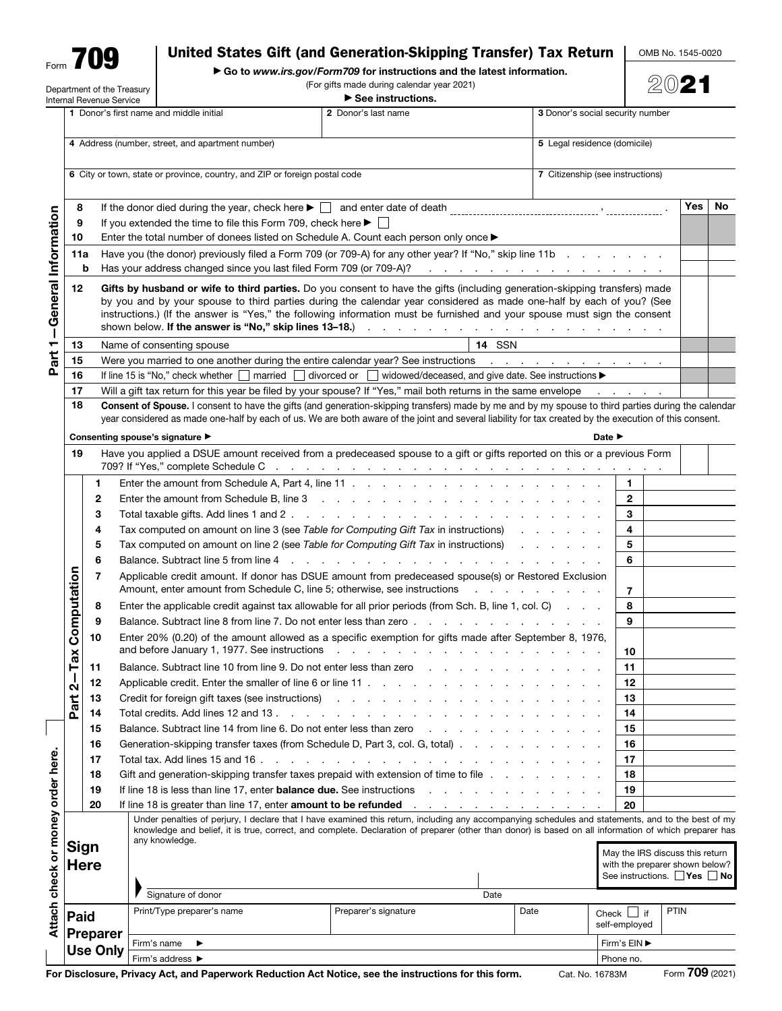Department of the Treasury

## United States Gift (and Generation-Skipping Transfer) Tax Return

OMB No. 1545-0020

2021

▶ Go to *www.irs.gov/Form709* for instructions and the latest information.

(For gifts made during calendar year 2021)

▶ See instructions.

|                                                                                                                                                                                                                                                                                                                                                                                                                                                                                                                                                                                                                                                |                                                                                                                                                                                        | Internal Revenue Service |                                                                                                                                                                                                                                                                                                                                          |  | $\blacktriangleright$ See instructions. |               |                                                                                                                                                               |                                                                          |             |            |                 |
|------------------------------------------------------------------------------------------------------------------------------------------------------------------------------------------------------------------------------------------------------------------------------------------------------------------------------------------------------------------------------------------------------------------------------------------------------------------------------------------------------------------------------------------------------------------------------------------------------------------------------------------------|----------------------------------------------------------------------------------------------------------------------------------------------------------------------------------------|--------------------------|------------------------------------------------------------------------------------------------------------------------------------------------------------------------------------------------------------------------------------------------------------------------------------------------------------------------------------------|--|-----------------------------------------|---------------|---------------------------------------------------------------------------------------------------------------------------------------------------------------|--------------------------------------------------------------------------|-------------|------------|-----------------|
|                                                                                                                                                                                                                                                                                                                                                                                                                                                                                                                                                                                                                                                |                                                                                                                                                                                        |                          | 1 Donor's first name and middle initial                                                                                                                                                                                                                                                                                                  |  | 2 Donor's last name                     |               | 3 Donor's social security number                                                                                                                              |                                                                          |             |            |                 |
|                                                                                                                                                                                                                                                                                                                                                                                                                                                                                                                                                                                                                                                |                                                                                                                                                                                        |                          | 4 Address (number, street, and apartment number)                                                                                                                                                                                                                                                                                         |  |                                         |               | 5 Legal residence (domicile)                                                                                                                                  |                                                                          |             |            |                 |
|                                                                                                                                                                                                                                                                                                                                                                                                                                                                                                                                                                                                                                                | 6 City or town, state or province, country, and ZIP or foreign postal code<br>7 Citizenship (see instructions)                                                                         |                          |                                                                                                                                                                                                                                                                                                                                          |  |                                         |               |                                                                                                                                                               |                                                                          |             |            |                 |
|                                                                                                                                                                                                                                                                                                                                                                                                                                                                                                                                                                                                                                                | 8                                                                                                                                                                                      |                          |                                                                                                                                                                                                                                                                                                                                          |  |                                         |               |                                                                                                                                                               |                                                                          |             | <b>Yes</b> | No              |
|                                                                                                                                                                                                                                                                                                                                                                                                                                                                                                                                                                                                                                                | If you extended the time to file this Form 709, check here $\blacktriangleright \Box$<br>9<br>Enter the total number of donees listed on Schedule A. Count each person only once<br>10 |                          |                                                                                                                                                                                                                                                                                                                                          |  |                                         |               |                                                                                                                                                               |                                                                          |             |            |                 |
|                                                                                                                                                                                                                                                                                                                                                                                                                                                                                                                                                                                                                                                |                                                                                                                                                                                        |                          |                                                                                                                                                                                                                                                                                                                                          |  |                                         |               |                                                                                                                                                               |                                                                          |             |            |                 |
|                                                                                                                                                                                                                                                                                                                                                                                                                                                                                                                                                                                                                                                | 11a                                                                                                                                                                                    | b                        | Have you (the donor) previously filed a Form 709 (or 709-A) for any other year? If "No," skip line 11b<br>Has your address changed since you last filed Form 709 (or 709-A)? [14] Assume that the state of the state of the state of the state of the state of the state of the state of the state of the state of the state of the stat |  |                                         |               |                                                                                                                                                               |                                                                          |             |            |                 |
| General Information<br>12<br>Gifts by husband or wife to third parties. Do you consent to have the gifts (including generation-skipping transfers) made<br>by you and by your spouse to third parties during the calendar year considered as made one-half by each of you? (See<br>instructions.) (If the answer is "Yes," the following information must be furnished and your spouse must sign the consent<br>shown below. If the answer is "No," skip lines 13-18.) (and the state of the state of the state of the state of the state of the state of the state of the state of the state of the state of the state of the state of the st |                                                                                                                                                                                        |                          |                                                                                                                                                                                                                                                                                                                                          |  |                                         |               |                                                                                                                                                               |                                                                          |             |            |                 |
| Part 1-                                                                                                                                                                                                                                                                                                                                                                                                                                                                                                                                                                                                                                        | 13                                                                                                                                                                                     |                          | Name of consenting spouse                                                                                                                                                                                                                                                                                                                |  |                                         | <b>14 SSN</b> |                                                                                                                                                               |                                                                          |             |            |                 |
|                                                                                                                                                                                                                                                                                                                                                                                                                                                                                                                                                                                                                                                | 15                                                                                                                                                                                     |                          |                                                                                                                                                                                                                                                                                                                                          |  |                                         |               |                                                                                                                                                               |                                                                          |             |            |                 |
|                                                                                                                                                                                                                                                                                                                                                                                                                                                                                                                                                                                                                                                | 16                                                                                                                                                                                     |                          | If line 15 is "No," check whether $\Box$ married $\Box$ divorced or $\Box$ widowed/deceased, and give date. See instructions                                                                                                                                                                                                             |  |                                         |               |                                                                                                                                                               |                                                                          |             |            |                 |
|                                                                                                                                                                                                                                                                                                                                                                                                                                                                                                                                                                                                                                                | 17                                                                                                                                                                                     |                          | Will a gift tax return for this year be filed by your spouse? If "Yes," mail both returns in the same envelope                                                                                                                                                                                                                           |  |                                         |               |                                                                                                                                                               | and a state of                                                           |             |            |                 |
|                                                                                                                                                                                                                                                                                                                                                                                                                                                                                                                                                                                                                                                | 18                                                                                                                                                                                     |                          | Consent of Spouse. I consent to have the gifts (and generation-skipping transfers) made by me and by my spouse to third parties during the calendar<br>year considered as made one-half by each of us. We are both aware of the joint and several liability for tax created by the execution of this consent.                            |  |                                         |               |                                                                                                                                                               |                                                                          |             |            |                 |
|                                                                                                                                                                                                                                                                                                                                                                                                                                                                                                                                                                                                                                                |                                                                                                                                                                                        |                          | Consenting spouse's signature ▶                                                                                                                                                                                                                                                                                                          |  |                                         |               |                                                                                                                                                               | Date ▶                                                                   |             |            |                 |
|                                                                                                                                                                                                                                                                                                                                                                                                                                                                                                                                                                                                                                                | 19                                                                                                                                                                                     |                          | Have you applied a DSUE amount received from a predeceased spouse to a gift or gifts reported on this or a previous Form                                                                                                                                                                                                                 |  |                                         |               |                                                                                                                                                               |                                                                          |             |            |                 |
|                                                                                                                                                                                                                                                                                                                                                                                                                                                                                                                                                                                                                                                |                                                                                                                                                                                        | 1.                       |                                                                                                                                                                                                                                                                                                                                          |  |                                         |               |                                                                                                                                                               | $\mathbf{1}$                                                             |             |            |                 |
|                                                                                                                                                                                                                                                                                                                                                                                                                                                                                                                                                                                                                                                |                                                                                                                                                                                        | 2                        | Enter the amount from Schedule B, line 3 (a) and a set of the set of the schedule B, line 3 (a) and a set of the set of the set of the set of the set of the set of the set of the set of the set of the set of the set of the                                                                                                           |  |                                         |               |                                                                                                                                                               | $\mathbf{2}$                                                             |             |            |                 |
|                                                                                                                                                                                                                                                                                                                                                                                                                                                                                                                                                                                                                                                |                                                                                                                                                                                        | 3                        |                                                                                                                                                                                                                                                                                                                                          |  |                                         |               |                                                                                                                                                               | 3                                                                        |             |            |                 |
|                                                                                                                                                                                                                                                                                                                                                                                                                                                                                                                                                                                                                                                |                                                                                                                                                                                        | 4                        | Tax computed on amount on line 3 (see Table for Computing Gift Tax in instructions)                                                                                                                                                                                                                                                      |  |                                         |               |                                                                                                                                                               | 4                                                                        |             |            |                 |
|                                                                                                                                                                                                                                                                                                                                                                                                                                                                                                                                                                                                                                                |                                                                                                                                                                                        | 5                        | Tax computed on amount on line 2 (see Table for Computing Gift Tax in instructions)                                                                                                                                                                                                                                                      |  |                                         |               |                                                                                                                                                               | 5                                                                        |             |            |                 |
|                                                                                                                                                                                                                                                                                                                                                                                                                                                                                                                                                                                                                                                |                                                                                                                                                                                        | 6                        |                                                                                                                                                                                                                                                                                                                                          |  |                                         |               |                                                                                                                                                               | 6                                                                        |             |            |                 |
|                                                                                                                                                                                                                                                                                                                                                                                                                                                                                                                                                                                                                                                | Computation                                                                                                                                                                            | 7                        | Applicable credit amount. If donor has DSUE amount from predeceased spouse(s) or Restored Exclusion<br>$\overline{7}$                                                                                                                                                                                                                    |  |                                         |               |                                                                                                                                                               |                                                                          |             |            |                 |
|                                                                                                                                                                                                                                                                                                                                                                                                                                                                                                                                                                                                                                                |                                                                                                                                                                                        | 8                        | Enter the applicable credit against tax allowable for all prior periods (from Sch. B, line 1, col. C)                                                                                                                                                                                                                                    |  |                                         |               |                                                                                                                                                               | 8                                                                        |             |            |                 |
|                                                                                                                                                                                                                                                                                                                                                                                                                                                                                                                                                                                                                                                |                                                                                                                                                                                        | 9                        | Balance. Subtract line 8 from line 7. Do not enter less than zero                                                                                                                                                                                                                                                                        |  |                                         |               |                                                                                                                                                               | 9                                                                        |             |            |                 |
|                                                                                                                                                                                                                                                                                                                                                                                                                                                                                                                                                                                                                                                | $\tilde{a}$                                                                                                                                                                            | 10                       | Enter 20% (0.20) of the amount allowed as a specific exemption for gifts made after September 8, 1976,<br>and before January 1, 1977. See instructions enterstanding to the control of the set of the control of the control of the control of the control of the control of the control of the control of the control of the control of |  |                                         |               |                                                                                                                                                               | 10                                                                       |             |            |                 |
|                                                                                                                                                                                                                                                                                                                                                                                                                                                                                                                                                                                                                                                |                                                                                                                                                                                        | 11                       | Balance. Subtract line 10 from line 9. Do not enter less than zero                                                                                                                                                                                                                                                                       |  |                                         |               |                                                                                                                                                               | 11                                                                       |             |            |                 |
|                                                                                                                                                                                                                                                                                                                                                                                                                                                                                                                                                                                                                                                | I.<br>N                                                                                                                                                                                | 12                       | Applicable credit. Enter the smaller of line 6 or line 11 enter and contact the contact of the smaller of line 6 or line 11 and contact the contact of the contact of the smaller of the contact of the contact of the contact                                                                                                           |  |                                         |               |                                                                                                                                                               | 12                                                                       |             |            |                 |
|                                                                                                                                                                                                                                                                                                                                                                                                                                                                                                                                                                                                                                                |                                                                                                                                                                                        | 13                       |                                                                                                                                                                                                                                                                                                                                          |  |                                         |               |                                                                                                                                                               | 13                                                                       |             |            |                 |
|                                                                                                                                                                                                                                                                                                                                                                                                                                                                                                                                                                                                                                                | Part                                                                                                                                                                                   | 14                       | Total credits. Add lines 12 and 13.                                                                                                                                                                                                                                                                                                      |  | $\frac{1}{2}$                           |               |                                                                                                                                                               | 14                                                                       |             |            |                 |
|                                                                                                                                                                                                                                                                                                                                                                                                                                                                                                                                                                                                                                                |                                                                                                                                                                                        | 15                       | Balance. Subtract line 14 from line 6. Do not enter less than zero entercated as the control of the Balance B                                                                                                                                                                                                                            |  |                                         |               |                                                                                                                                                               | 15                                                                       |             |            |                 |
|                                                                                                                                                                                                                                                                                                                                                                                                                                                                                                                                                                                                                                                |                                                                                                                                                                                        | 16                       | Generation-skipping transfer taxes (from Schedule D, Part 3, col. G, total)                                                                                                                                                                                                                                                              |  |                                         |               |                                                                                                                                                               | 16                                                                       |             |            |                 |
|                                                                                                                                                                                                                                                                                                                                                                                                                                                                                                                                                                                                                                                |                                                                                                                                                                                        | 17                       |                                                                                                                                                                                                                                                                                                                                          |  |                                         |               |                                                                                                                                                               | 17                                                                       |             |            |                 |
|                                                                                                                                                                                                                                                                                                                                                                                                                                                                                                                                                                                                                                                |                                                                                                                                                                                        | 18                       | Gift and generation-skipping transfer taxes prepaid with extension of time to file                                                                                                                                                                                                                                                       |  |                                         |               |                                                                                                                                                               | 18                                                                       |             |            |                 |
|                                                                                                                                                                                                                                                                                                                                                                                                                                                                                                                                                                                                                                                |                                                                                                                                                                                        | 19                       | If line 18 is less than line 17, enter <b>balance due.</b> See instructions                                                                                                                                                                                                                                                              |  |                                         |               | $\frac{1}{2}$ , $\frac{1}{2}$ , $\frac{1}{2}$ , $\frac{1}{2}$ , $\frac{1}{2}$ , $\frac{1}{2}$ , $\frac{1}{2}$ , $\frac{1}{2}$ , $\frac{1}{2}$ , $\frac{1}{2}$ | 19                                                                       |             |            |                 |
|                                                                                                                                                                                                                                                                                                                                                                                                                                                                                                                                                                                                                                                |                                                                                                                                                                                        | 20                       | If line 18 is greater than line 17, enter amount to be refunded                                                                                                                                                                                                                                                                          |  |                                         |               |                                                                                                                                                               | 20                                                                       |             |            |                 |
| Attach check or money order here.                                                                                                                                                                                                                                                                                                                                                                                                                                                                                                                                                                                                              |                                                                                                                                                                                        | <b>Sign</b>              | Under penalties of perjury, I declare that I have examined this return, including any accompanying schedules and statements, and to the best of my<br>knowledge and belief, it is true, correct, and complete. Declaration of preparer (other than donor) is based on all information of which preparer has<br>any knowledge.            |  |                                         |               |                                                                                                                                                               | May the IRS discuss this return                                          |             |            |                 |
|                                                                                                                                                                                                                                                                                                                                                                                                                                                                                                                                                                                                                                                |                                                                                                                                                                                        | <b>Here</b>              |                                                                                                                                                                                                                                                                                                                                          |  |                                         |               |                                                                                                                                                               | with the preparer shown below?<br>See instructions. $\Box$ Yes $\Box$ No |             |            |                 |
|                                                                                                                                                                                                                                                                                                                                                                                                                                                                                                                                                                                                                                                |                                                                                                                                                                                        |                          |                                                                                                                                                                                                                                                                                                                                          |  |                                         |               |                                                                                                                                                               |                                                                          |             |            |                 |
|                                                                                                                                                                                                                                                                                                                                                                                                                                                                                                                                                                                                                                                |                                                                                                                                                                                        |                          | Signature of donor                                                                                                                                                                                                                                                                                                                       |  |                                         | Date          |                                                                                                                                                               |                                                                          |             |            |                 |
|                                                                                                                                                                                                                                                                                                                                                                                                                                                                                                                                                                                                                                                | Paid                                                                                                                                                                                   | Preparer                 | Print/Type preparer's name                                                                                                                                                                                                                                                                                                               |  | Preparer's signature                    | Date          |                                                                                                                                                               | Check $\Box$ if<br>self-employed                                         | <b>PTIN</b> |            |                 |
|                                                                                                                                                                                                                                                                                                                                                                                                                                                                                                                                                                                                                                                |                                                                                                                                                                                        | <b>Use Only</b>          | Firm's name<br>▶                                                                                                                                                                                                                                                                                                                         |  |                                         |               |                                                                                                                                                               | Firm's EIN ▶                                                             |             |            |                 |
|                                                                                                                                                                                                                                                                                                                                                                                                                                                                                                                                                                                                                                                |                                                                                                                                                                                        |                          | Firm's address ▶                                                                                                                                                                                                                                                                                                                         |  |                                         |               |                                                                                                                                                               | Phone no.                                                                |             |            |                 |
|                                                                                                                                                                                                                                                                                                                                                                                                                                                                                                                                                                                                                                                |                                                                                                                                                                                        |                          | For Disclosure, Privacy Act, and Paperwork Reduction Act Notice, see the instructions for this form.                                                                                                                                                                                                                                     |  |                                         |               | Cat. No. 16783M                                                                                                                                               |                                                                          |             |            | Form 709 (2021) |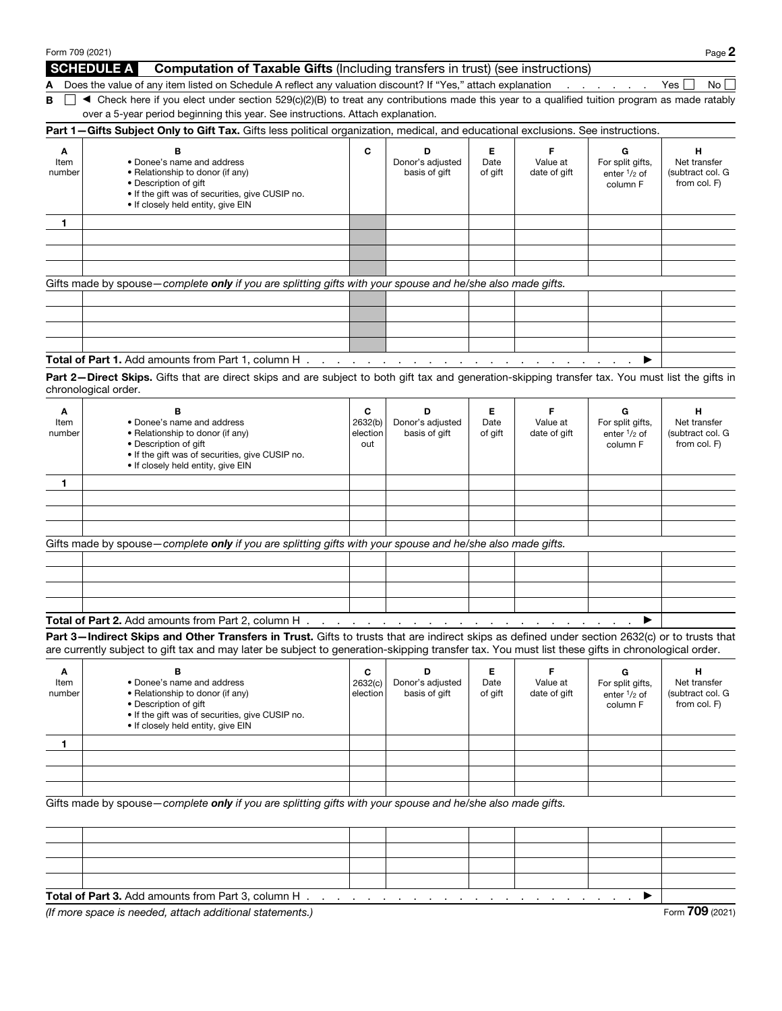#### SCHEDULE A Computation of Taxable Gifts (Including transfers in trust) (see instructions)

**B** ■ Check here if you elect under section 529(c)(2)(B) to treat any contributions made this year to a qualified tuition program as made ratably over a 5-year period beginning this year. See instructions. Attach explanation.

|                     | $\sigma$ or a $\sigma$ year period beginning this year. Occ instructions. Attach explanation.<br>Part 1-Gifts Subject Only to Gift Tax. Gifts less political organization, medical, and educational exclusions. See instructions.                                                                   |                                 |                                                                                                                                                                                                                               |                      |                                |                                                             |                                                       |
|---------------------|-----------------------------------------------------------------------------------------------------------------------------------------------------------------------------------------------------------------------------------------------------------------------------------------------------|---------------------------------|-------------------------------------------------------------------------------------------------------------------------------------------------------------------------------------------------------------------------------|----------------------|--------------------------------|-------------------------------------------------------------|-------------------------------------------------------|
| A<br>Item<br>number | в<br>• Donee's name and address<br>• Relationship to donor (if any)<br>• Description of gift<br>. If the gift was of securities, give CUSIP no.<br>. If closely held entity, give EIN                                                                                                               | C                               | D<br>Donor's adjusted<br>basis of gift                                                                                                                                                                                        | Е<br>Date<br>of gift | F<br>Value at<br>date of gift  | G<br>For split gifts,<br>enter $\frac{1}{2}$ of<br>column F | н<br>Net transfer<br>(subtract col. G<br>from col. F) |
| 1                   |                                                                                                                                                                                                                                                                                                     |                                 |                                                                                                                                                                                                                               |                      |                                |                                                             |                                                       |
|                     | Gifts made by spouse-complete only if you are splitting gifts with your spouse and he/she also made gifts.                                                                                                                                                                                          |                                 |                                                                                                                                                                                                                               |                      |                                |                                                             |                                                       |
|                     |                                                                                                                                                                                                                                                                                                     |                                 |                                                                                                                                                                                                                               |                      |                                |                                                             |                                                       |
|                     | Total of Part 1. Add amounts from Part 1, column H.                                                                                                                                                                                                                                                 |                                 | and a construction of the construction of the construction of the construction of the construction of the construction of the construction of the construction of the construction of the construction of the construction of |                      |                                |                                                             |                                                       |
|                     | Part 2-Direct Skips. Gifts that are direct skips and are subject to both gift tax and generation-skipping transfer tax. You must list the gifts in<br>chronological order.                                                                                                                          |                                 |                                                                                                                                                                                                                               |                      |                                |                                                             |                                                       |
| A<br>Item<br>number | B<br>• Donee's name and address<br>• Relationship to donor (if any)<br>• Description of gift<br>• If the gift was of securities, give CUSIP no.<br>• If closely held entity, give EIN                                                                                                               | C<br>2632(b)<br>election<br>out | D<br>Donor's adjusted<br>basis of gift                                                                                                                                                                                        | Е<br>Date<br>of gift | F.<br>Value at<br>date of gift | G<br>For split gifts,<br>enter $\frac{1}{2}$ of<br>column F | н<br>Net transfer<br>(subtract col. G<br>from col. F) |
| 1                   |                                                                                                                                                                                                                                                                                                     |                                 |                                                                                                                                                                                                                               |                      |                                |                                                             |                                                       |
|                     |                                                                                                                                                                                                                                                                                                     |                                 |                                                                                                                                                                                                                               |                      |                                |                                                             |                                                       |
|                     | Gifts made by spouse-complete only if you are splitting gifts with your spouse and he/she also made gifts.                                                                                                                                                                                          |                                 |                                                                                                                                                                                                                               |                      |                                |                                                             |                                                       |
|                     |                                                                                                                                                                                                                                                                                                     |                                 |                                                                                                                                                                                                                               |                      |                                |                                                             |                                                       |
|                     |                                                                                                                                                                                                                                                                                                     |                                 |                                                                                                                                                                                                                               |                      |                                |                                                             |                                                       |
|                     |                                                                                                                                                                                                                                                                                                     |                                 |                                                                                                                                                                                                                               |                      |                                |                                                             |                                                       |
|                     | Total of Part 2. Add amounts from Part 2, column H.                                                                                                                                                                                                                                                 |                                 | $\alpha$ , which is a set of the contract of the set of the set of the set of the $\alpha$                                                                                                                                    |                      |                                |                                                             |                                                       |
|                     | Part 3-Indirect Skips and Other Transfers in Trust. Gifts to trusts that are indirect skips as defined under section 2632(c) or to trusts that<br>are currently subject to gift tax and may later be subject to generation-skipping transfer tax. You must list these gifts in chronological order. |                                 |                                                                                                                                                                                                                               |                      |                                |                                                             |                                                       |
| A<br>Item<br>number | в<br>• Donee's name and address<br>• Relationship to donor (if any)<br>• Description of gift<br>. If the gift was of securities, give CUSIP no.<br>. If closely held entity, give EIN                                                                                                               | C<br>2632(c)<br>election        | D<br>Donor's adjusted<br>basis of gift                                                                                                                                                                                        | Е<br>Date<br>of gift | F<br>Value at<br>date of gift  | G<br>For split gifts,<br>enter $\frac{1}{2}$ of<br>column F | н<br>Net transfer<br>(subtract col. G<br>from col. F) |
| 1.                  |                                                                                                                                                                                                                                                                                                     |                                 |                                                                                                                                                                                                                               |                      |                                |                                                             |                                                       |
|                     |                                                                                                                                                                                                                                                                                                     |                                 |                                                                                                                                                                                                                               |                      |                                |                                                             |                                                       |
|                     |                                                                                                                                                                                                                                                                                                     |                                 |                                                                                                                                                                                                                               |                      |                                |                                                             |                                                       |
|                     | Gifts made by spouse-complete only if you are splitting gifts with your spouse and he/she also made gifts.                                                                                                                                                                                          |                                 |                                                                                                                                                                                                                               |                      |                                |                                                             |                                                       |
|                     |                                                                                                                                                                                                                                                                                                     |                                 |                                                                                                                                                                                                                               |                      |                                |                                                             |                                                       |
|                     |                                                                                                                                                                                                                                                                                                     |                                 |                                                                                                                                                                                                                               |                      |                                |                                                             |                                                       |
|                     |                                                                                                                                                                                                                                                                                                     |                                 |                                                                                                                                                                                                                               |                      |                                |                                                             |                                                       |
|                     | Total of Part 3. Add amounts from Part 3, column H                                                                                                                                                                                                                                                  |                                 |                                                                                                                                                                                                                               |                      |                                | ▶                                                           |                                                       |
|                     |                                                                                                                                                                                                                                                                                                     |                                 |                                                                                                                                                                                                                               |                      |                                |                                                             |                                                       |

*(If more space is needed, attach additional statements.)* Form 709 (2021)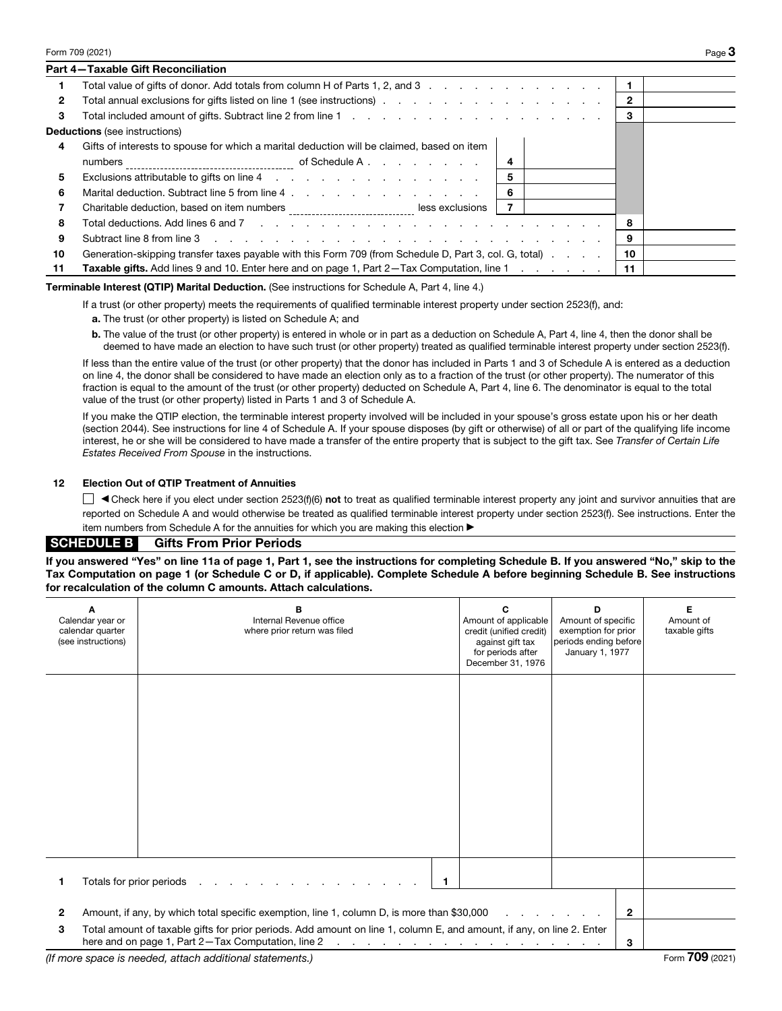|              | Part 4-Taxable Gift Reconciliation                                                                                                                                                                                             |   |  |              |  |
|--------------|--------------------------------------------------------------------------------------------------------------------------------------------------------------------------------------------------------------------------------|---|--|--------------|--|
|              | Total value of gifts of donor. Add totals from column H of Parts 1, 2, and 3                                                                                                                                                   |   |  |              |  |
| $\mathbf{2}$ |                                                                                                                                                                                                                                |   |  | $\mathbf{2}$ |  |
| 3            |                                                                                                                                                                                                                                |   |  | 3            |  |
|              | <b>Deductions</b> (see instructions)                                                                                                                                                                                           |   |  |              |  |
| 4            | Gifts of interests to spouse for which a marital deduction will be claimed, based on item                                                                                                                                      |   |  |              |  |
|              |                                                                                                                                                                                                                                | 4 |  |              |  |
| 5            | Exclusions attributable to gifts on line 4 contained a series and contained a series of the series of the series of the series of the series of the series of the series of the series of the series of the series of the seri | 5 |  |              |  |
| 6            | Marital deduction. Subtract line 5 from line 4                                                                                                                                                                                 | 6 |  |              |  |
|              | Charitable deduction, based on item numbers ______________________________ less exclusions                                                                                                                                     |   |  |              |  |
| 8            |                                                                                                                                                                                                                                |   |  | 8            |  |
| 9            |                                                                                                                                                                                                                                |   |  | 9            |  |
| 10           | Generation-skipping transfer taxes payable with this Form 709 (from Schedule D, Part 3, col. G, total).                                                                                                                        |   |  | 10           |  |
| 11           | Taxable gifts. Add lines 9 and 10. Enter here and on page 1, Part 2-Tax Computation, line 1.<br>11                                                                                                                             |   |  |              |  |

#### Terminable Interest (QTIP) Marital Deduction. (See instructions for Schedule A, Part 4, line 4.)

If a trust (or other property) meets the requirements of qualified terminable interest property under section 2523(f), and:

- a. The trust (or other property) is listed on Schedule A; and
- b. The value of the trust (or other property) is entered in whole or in part as a deduction on Schedule A, Part 4, line 4, then the donor shall be deemed to have made an election to have such trust (or other property) treated as qualified terminable interest property under section 2523(f).

If less than the entire value of the trust (or other property) that the donor has included in Parts 1 and 3 of Schedule A is entered as a deduction on line 4, the donor shall be considered to have made an election only as to a fraction of the trust (or other property). The numerator of this fraction is equal to the amount of the trust (or other property) deducted on Schedule A, Part 4, line 6. The denominator is equal to the total value of the trust (or other property) listed in Parts 1 and 3 of Schedule A.

If you make the QTIP election, the terminable interest property involved will be included in your spouse's gross estate upon his or her death (section 2044). See instructions for line 4 of Schedule A. If your spouse disposes (by gift or otherwise) of all or part of the qualifying life income interest, he or she will be considered to have made a transfer of the entire property that is subject to the gift tax. See *Transfer of Certain Life Estates Received From Spouse* in the instructions.

#### 12 Election Out of QTIP Treatment of Annuities

◯ < Check here if you elect under section 2523(f)(6) not to treat as qualified terminable interest property any joint and survivor annuities that are reported on Schedule A and would otherwise be treated as qualified terminable interest property under section 2523(f). See instructions. Enter the item numbers from Schedule A for the annuities for which you are making this election ▶

#### SCHEDULE B Gifts From Prior Periods

If you answered "Yes" on line 11a of page 1, Part 1, see the instructions for completing Schedule B. If you answered "No," skip to the Tax Computation on page 1 (or Schedule C or D, if applicable). Complete Schedule A before beginning Schedule B. See instructions for recalculation of the column C amounts. Attach calculations.

|              | Α<br>Calendar year or<br>calendar quarter<br>(see instructions)                                                                                                                                                                                                             | в<br>Internal Revenue office<br>where prior return was filed | c<br>Amount of applicable<br>credit (unified credit)<br>against gift tax<br>for periods after<br>December 31, 1976 | ח<br>Amount of specific<br>exemption for prior<br>periods ending before<br>January 1, 1977 | Е<br>Amount of<br>taxable gifts |
|--------------|-----------------------------------------------------------------------------------------------------------------------------------------------------------------------------------------------------------------------------------------------------------------------------|--------------------------------------------------------------|--------------------------------------------------------------------------------------------------------------------|--------------------------------------------------------------------------------------------|---------------------------------|
|              |                                                                                                                                                                                                                                                                             |                                                              |                                                                                                                    |                                                                                            |                                 |
|              |                                                                                                                                                                                                                                                                             |                                                              |                                                                                                                    |                                                                                            |                                 |
|              |                                                                                                                                                                                                                                                                             |                                                              |                                                                                                                    |                                                                                            |                                 |
|              |                                                                                                                                                                                                                                                                             |                                                              |                                                                                                                    |                                                                                            |                                 |
| 1            | Totals for prior periods                                                                                                                                                                                                                                                    |                                                              |                                                                                                                    |                                                                                            |                                 |
| $\mathbf{2}$ | $\mathbf{2}$<br>Amount, if any, by which total specific exemption, line 1, column D, is more than \$30,000                                                                                                                                                                  |                                                              |                                                                                                                    |                                                                                            |                                 |
| 3            | Total amount of taxable gifts for prior periods. Add amount on line 1, column E, and amount, if any, on line 2. Enter<br>here and on page 1, Part 2-Tax Computation, line 2<br>3<br>the contract of the contract of the contract of the contract of the contract of<br>700. |                                                              |                                                                                                                    |                                                                                            |                                 |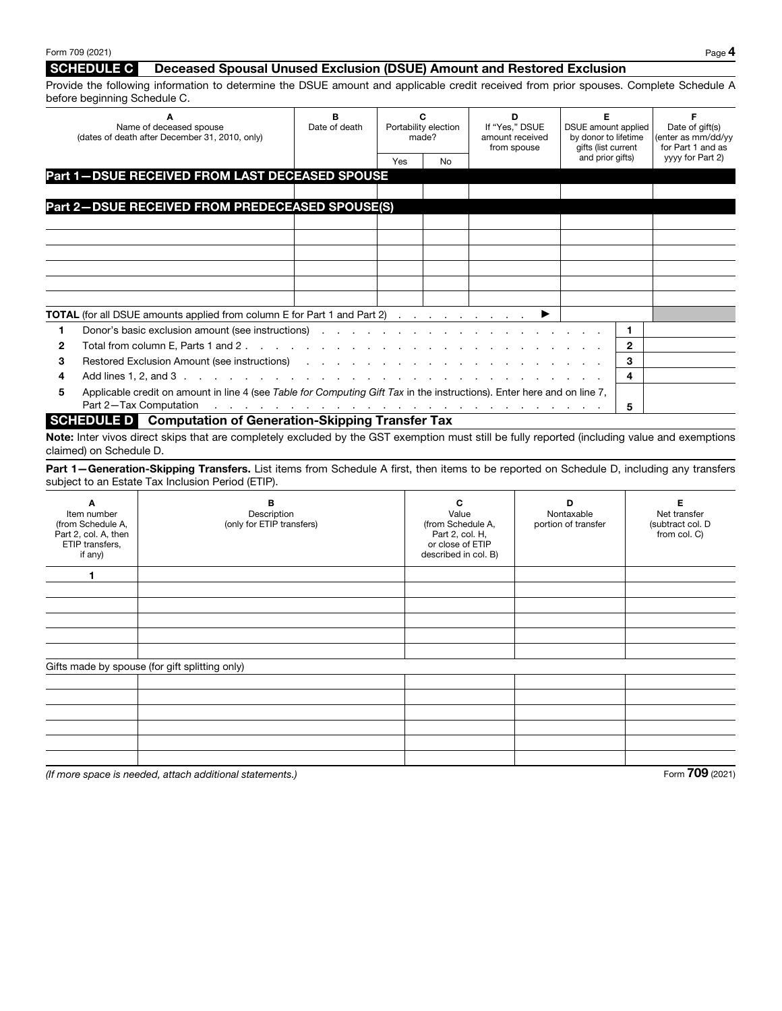#### Form 709 (2021) Page 4

#### SCHEDULE C Deceased Spousal Unused Exclusion (DSUE) Amount and Restored Exclusion

Provide the following information to determine the DSUE amount and applicable credit received from prior spouses. Complete Schedule A before beginning Schedule C.

|   | Name of deceased spouse<br>(dates of death after December 31, 2010, only)                                                                                                                                                                                                                                                                                 | R<br>Date of death | C<br>Portability election<br>made? |     | D<br>If "Yes," DSUE<br>amount received<br>from spouse | F<br>DSUE amount applied<br>by donor to lifetime<br>gifts (list current | Date of gift(s)<br>(enter as mm/dd/yy<br>for Part 1 and as |
|---|-----------------------------------------------------------------------------------------------------------------------------------------------------------------------------------------------------------------------------------------------------------------------------------------------------------------------------------------------------------|--------------------|------------------------------------|-----|-------------------------------------------------------|-------------------------------------------------------------------------|------------------------------------------------------------|
|   |                                                                                                                                                                                                                                                                                                                                                           |                    | <b>Yes</b>                         | No. |                                                       | and prior gifts)                                                        | yyyy for Part 2)                                           |
|   | Part 1-DSUE RECEIVED FROM LAST DECEASED SPOUSE                                                                                                                                                                                                                                                                                                            |                    |                                    |     |                                                       |                                                                         |                                                            |
|   |                                                                                                                                                                                                                                                                                                                                                           |                    |                                    |     |                                                       |                                                                         |                                                            |
|   | Part 2-DSUE RECEIVED FROM PREDECEASED SPOUSE(S)                                                                                                                                                                                                                                                                                                           |                    |                                    |     |                                                       |                                                                         |                                                            |
|   |                                                                                                                                                                                                                                                                                                                                                           |                    |                                    |     |                                                       |                                                                         |                                                            |
|   |                                                                                                                                                                                                                                                                                                                                                           |                    |                                    |     |                                                       |                                                                         |                                                            |
|   |                                                                                                                                                                                                                                                                                                                                                           |                    |                                    |     |                                                       |                                                                         |                                                            |
|   |                                                                                                                                                                                                                                                                                                                                                           |                    |                                    |     |                                                       |                                                                         |                                                            |
|   |                                                                                                                                                                                                                                                                                                                                                           |                    |                                    |     |                                                       |                                                                         |                                                            |
|   |                                                                                                                                                                                                                                                                                                                                                           |                    |                                    |     |                                                       |                                                                         |                                                            |
|   | <b>TOTAL</b> (for all DSUE amounts applied from column E for Part 1 and Part 2) $\ldots$ $\ldots$ $\ldots$                                                                                                                                                                                                                                                |                    |                                    |     |                                                       |                                                                         |                                                            |
| 1 |                                                                                                                                                                                                                                                                                                                                                           |                    |                                    |     |                                                       |                                                                         |                                                            |
| 2 |                                                                                                                                                                                                                                                                                                                                                           |                    |                                    |     |                                                       | $\overline{2}$                                                          |                                                            |
| 3 |                                                                                                                                                                                                                                                                                                                                                           |                    |                                    |     |                                                       | 3                                                                       |                                                            |
| 4 | Add lines 1, 2, and 3 $\ldots$ $\ldots$ $\ldots$ $\ldots$ $\ldots$ $\ldots$ $\ldots$ $\ldots$ $\ldots$ $\ldots$ $\ldots$ $\ldots$                                                                                                                                                                                                                         |                    |                                    |     |                                                       | 4                                                                       |                                                            |
| 5 | Applicable credit on amount in line 4 (see Table for Computing Gift Tax in the instructions). Enter here and on line 7,<br>Part 2-Tax Computation research with the contract of the contract of the contract of the contract of the contract of the contract of the contract of the contract of the contract of the contract of the contract of the contr |                    |                                    |     |                                                       | 5                                                                       |                                                            |

SCHEDULE D Computation of Generation-Skipping Transfer Tax

Note: Inter vivos direct skips that are completely excluded by the GST exemption must still be fully reported (including value and exemptions claimed) on Schedule D.

Part 1-Generation-Skipping Transfers. List items from Schedule A first, then items to be reported on Schedule D, including any transfers subject to an Estate Tax Inclusion Period (ETIP).

| A<br>Item number<br>(from Schedule A,<br>Part 2, col. A, then<br>ETIP transfers,<br>if any) | в<br>Description<br>(only for ETIP transfers)  | C.<br>Value<br>(from Schedule A,<br>Part 2, col. H,<br>or close of ETIP<br>described in col. B) | D<br>Nontaxable<br>portion of transfer | Е<br>Net transfer<br>(subtract col. D<br>from col. C) |
|---------------------------------------------------------------------------------------------|------------------------------------------------|-------------------------------------------------------------------------------------------------|----------------------------------------|-------------------------------------------------------|
| 1                                                                                           |                                                |                                                                                                 |                                        |                                                       |
|                                                                                             |                                                |                                                                                                 |                                        |                                                       |
|                                                                                             |                                                |                                                                                                 |                                        |                                                       |
|                                                                                             |                                                |                                                                                                 |                                        |                                                       |
|                                                                                             |                                                |                                                                                                 |                                        |                                                       |
|                                                                                             |                                                |                                                                                                 |                                        |                                                       |
|                                                                                             | Gifts made by spouse (for gift splitting only) |                                                                                                 |                                        |                                                       |
|                                                                                             |                                                |                                                                                                 |                                        |                                                       |
|                                                                                             |                                                |                                                                                                 |                                        |                                                       |
|                                                                                             |                                                |                                                                                                 |                                        |                                                       |
|                                                                                             |                                                |                                                                                                 |                                        |                                                       |
|                                                                                             |                                                |                                                                                                 |                                        |                                                       |
|                                                                                             |                                                |                                                                                                 |                                        |                                                       |

*(If more space is needed, attach additional statements.)* Form 709 (2021)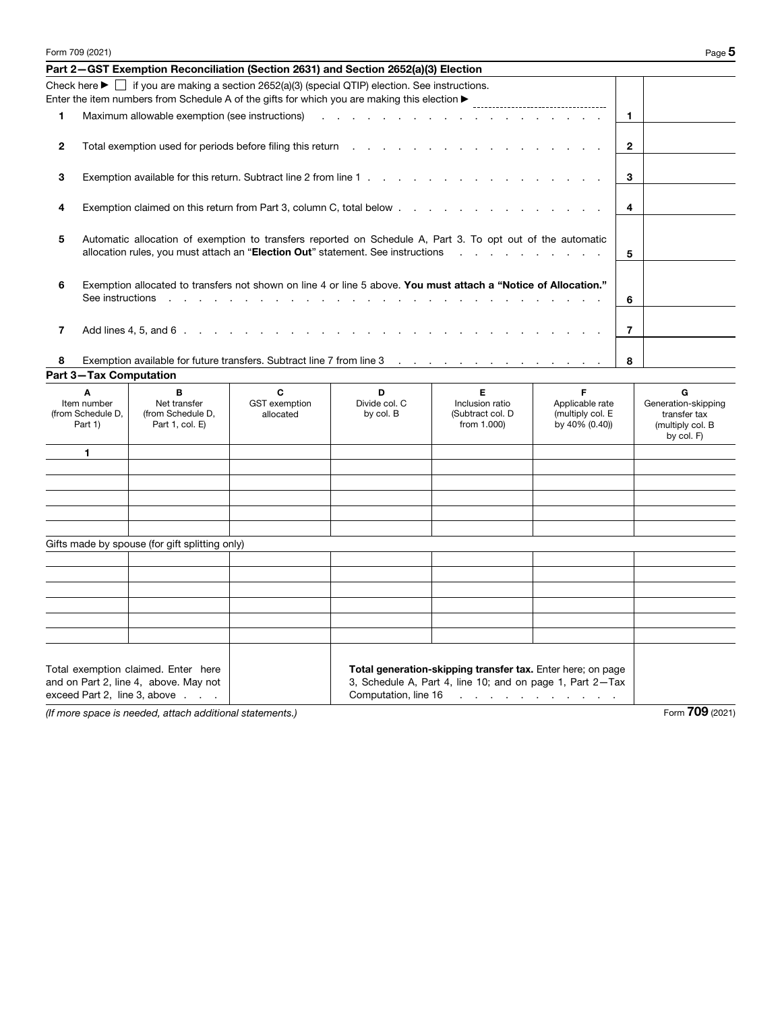|              | Form 709 (2021)<br>Page $5$                                                                                                                                                                                                                           |                |  |  |
|--------------|-------------------------------------------------------------------------------------------------------------------------------------------------------------------------------------------------------------------------------------------------------|----------------|--|--|
|              | Part 2-GST Exemption Reconciliation (Section 2631) and Section 2652(a)(3) Election                                                                                                                                                                    |                |  |  |
|              | Check here $\blacktriangleright$ $\blacksquare$ if you are making a section 2652(a)(3) (special QTIP) election. See instructions.<br>Enter the item numbers from Schedule A of the gifts for which you are making this election $\blacktriangleright$ |                |  |  |
| 1.           |                                                                                                                                                                                                                                                       | - 1            |  |  |
| $\mathbf{2}$ | Total exemption used for periods before filing this return end and and and and annual contract to the state of                                                                                                                                        | - 2            |  |  |
| 3            |                                                                                                                                                                                                                                                       | -3             |  |  |
| 4            |                                                                                                                                                                                                                                                       | 4              |  |  |
| 5            | Automatic allocation of exemption to transfers reported on Schedule A, Part 3. To opt out of the automatic<br>allocation rules, you must attach an "Election Out" statement. See instructions                                                         | 5              |  |  |
| 6            | Exemption allocated to transfers not shown on line 4 or line 5 above. You must attach a "Notice of Allocation."                                                                                                                                       | 6              |  |  |
| 7            |                                                                                                                                                                                                                                                       | $\overline{7}$ |  |  |
| 8            | Exemption available for future transfers. Subtract line 7 from line 3<br>and a series of the contract of the contract of the con-<br><b>Part 3-Tax Computation</b>                                                                                    | -8             |  |  |

|                                                                                                              | r art o— rax Oomputation                                  |                                 |                                 |                                                                                                                                                  |                                                            |                                                                            |
|--------------------------------------------------------------------------------------------------------------|-----------------------------------------------------------|---------------------------------|---------------------------------|--------------------------------------------------------------------------------------------------------------------------------------------------|------------------------------------------------------------|----------------------------------------------------------------------------|
| A<br>Item number<br>(from Schedule D,<br>Part 1)                                                             | в<br>Net transfer<br>(from Schedule D,<br>Part 1, col. E) | C<br>GST exemption<br>allocated | D<br>Divide col. C<br>by col. B | Е<br>Inclusion ratio<br>(Subtract col. D<br>from 1.000)                                                                                          | F<br>Applicable rate<br>(multiply col. E<br>by 40% (0.40)) | G<br>Generation-skipping<br>transfer tax<br>(multiply col. B<br>by col. F) |
| 1                                                                                                            |                                                           |                                 |                                 |                                                                                                                                                  |                                                            |                                                                            |
|                                                                                                              |                                                           |                                 |                                 |                                                                                                                                                  |                                                            |                                                                            |
|                                                                                                              |                                                           |                                 |                                 |                                                                                                                                                  |                                                            |                                                                            |
|                                                                                                              |                                                           |                                 |                                 |                                                                                                                                                  |                                                            |                                                                            |
|                                                                                                              |                                                           |                                 |                                 |                                                                                                                                                  |                                                            |                                                                            |
|                                                                                                              |                                                           |                                 |                                 |                                                                                                                                                  |                                                            |                                                                            |
|                                                                                                              |                                                           |                                 |                                 |                                                                                                                                                  |                                                            |                                                                            |
|                                                                                                              | Gifts made by spouse (for gift splitting only)            |                                 |                                 |                                                                                                                                                  |                                                            |                                                                            |
|                                                                                                              |                                                           |                                 |                                 |                                                                                                                                                  |                                                            |                                                                            |
|                                                                                                              |                                                           |                                 |                                 |                                                                                                                                                  |                                                            |                                                                            |
|                                                                                                              |                                                           |                                 |                                 |                                                                                                                                                  |                                                            |                                                                            |
|                                                                                                              |                                                           |                                 |                                 |                                                                                                                                                  |                                                            |                                                                            |
|                                                                                                              |                                                           |                                 |                                 |                                                                                                                                                  |                                                            |                                                                            |
|                                                                                                              |                                                           |                                 |                                 |                                                                                                                                                  |                                                            |                                                                            |
|                                                                                                              |                                                           |                                 |                                 |                                                                                                                                                  |                                                            |                                                                            |
| Total exemption claimed. Enter here<br>and on Part 2, line 4, above. May not<br>exceed Part 2, line 3, above |                                                           |                                 |                                 | Total generation-skipping transfer tax. Enter here; on page<br>3, Schedule A, Part 4, line 10; and on page 1, Part 2-Tax<br>Computation, line 16 |                                                            |                                                                            |

*(If more space is needed, attach additional statements.)* Form 709 (2021)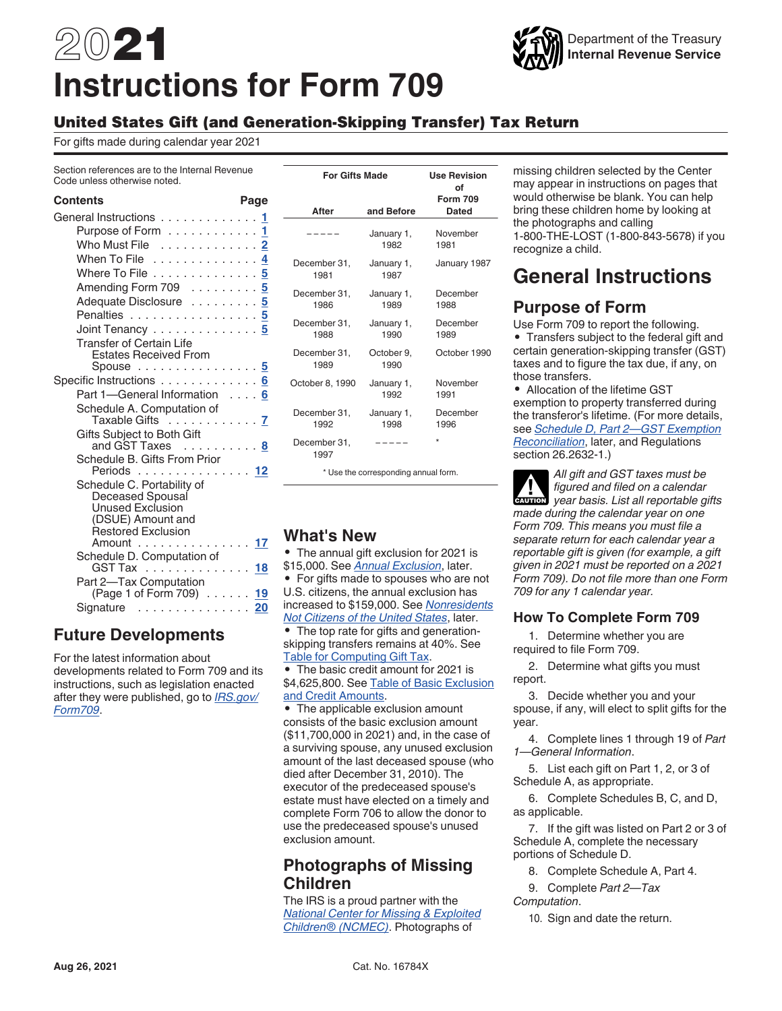# $2021$ **Instructions for Form 709**

## United States Gift (and Generation-Skipping Transfer) Tax Return

For gifts made during calendar year 2021

Section references are to the Internal Revenue Code unless otherwise noted.

| Contents                                            | Page |
|-----------------------------------------------------|------|
| General Instructions 1                              |      |
| Purpose of Form 1                                   |      |
| Who Must File 2                                     |      |
| When To File $\dots\dots\dots\dots\dots\frac{4}{2}$ |      |
| Where To File 5                                     |      |
| Amending Form 709 5                                 |      |
| Adequate Disclosure 5                               |      |
| Penalties 5                                         |      |
| Joint Tenancy 5                                     |      |
| <b>Transfer of Certain Life</b>                     |      |
| <b>Estates Received From</b>                        |      |
| Spouse <u>5</u>                                     |      |
| Specific Instructions 6                             |      |
| Part 1-General Information 6                        |      |
| Schedule A. Computation of<br>Taxable Gifts 7       |      |
|                                                     |      |
| Gifts Subject to Both Gift<br>and GST Taxes 8       |      |
| Schedule B. Gifts From Prior                        |      |
| Periods 12                                          |      |
| Schedule C. Portability of                          |      |
| Deceased Spousal                                    |      |
| Unused Exclusion                                    |      |
| (DSUE) Amount and<br><b>Restored Exclusion</b>      |      |
| Amount 17                                           |      |
| Schedule D. Computation of                          |      |
| GST Tax <u>18</u>                                   |      |
| Part 2-Tax Computation                              |      |
| (Page 1 of Form 709) 19                             |      |
| Signature                                           | 20   |

# **Future Developments**

For the latest information about developments related to Form 709 and its instructions, such as legislation enacted after they were published, go to *[IRS.gov/](https://www.irs.gov/forms-pubs/about-form-709) [Form709](https://www.irs.gov/forms-pubs/about-form-709)*.

| <b>For Gifts Made</b> | <b>Use Revision</b><br>οf |                                 |
|-----------------------|---------------------------|---------------------------------|
| After                 | and Before                | <b>Form 709</b><br><b>Dated</b> |
|                       | January 1,<br>1982        | November<br>1981                |
| December 31.<br>1981  | January 1,<br>1987        | January 1987                    |
| December 31,<br>1986  | January 1,<br>1989        | December<br>1988                |
| December 31,<br>1988  | January 1,<br>1990        | December<br>1989                |
| December 31,<br>1989  | October 9,<br>1990        | October 1990                    |
| October 8, 1990       | January 1,<br>1992        | November<br>1991                |
| December 31.<br>1992  | January 1,<br>1998        | December<br>1996                |
| December 31,<br>1997  |                           | *                               |

\* Use the corresponding annual form.

## **What's New**

• The annual gift exclusion for 2021 is \$15,000. See *Annual Exclusion*, later. • For gifts made to spouses who are not U.S. citizens, the annual exclusion has increased to \$159,000. See *Nonresidents Not Citizens of the United States*, later. • The top rate for gifts and generationskipping transfers remains at 40%. See Table for Computing Gift Tax.

• The basic credit amount for 2021 is \$4,625,800. See Table of Basic Exclusion and Credit Amounts.

• The applicable exclusion amount consists of the basic exclusion amount (\$11,700,000 in 2021) and, in the case of a surviving spouse, any unused exclusion amount of the last deceased spouse (who died after December 31, 2010). The executor of the predeceased spouse's estate must have elected on a timely and complete Form 706 to allow the donor to use the predeceased spouse's unused exclusion amount.

## **Photographs of Missing Children**

The IRS is a proud partner with the *[National Center for Missing & Exploited](http://www.missingkids.com)  [Children® \(NCMEC\)](http://www.missingkids.com)*. Photographs of

missing children selected by the Center may appear in instructions on pages that would otherwise be blank. You can help bring these children home by looking at the photographs and calling 1-800-THE-LOST (1-800-843-5678) if you recognize a child.

# **General Instructions**

## **Purpose of Form**

Use Form 709 to report the following. • Transfers subject to the federal gift and certain generation-skipping transfer (GST) taxes and to figure the tax due, if any, on those transfers.

• Allocation of the lifetime GST exemption to property transferred during the transferor's lifetime. (For more details, see *Schedule D, Part 2—GST Exemption Reconciliation*, later, and Regulations section 26.2632-1.)

*All gift and GST taxes must be figured and filed on a calendar x ligured and filed on a calendar*<br> *year basis. List all reportable gifts made during the calendar year on one Form 709. This means you must file a separate return for each calendar year a reportable gift is given (for example, a gift given in 2021 must be reported on a 2021 Form 709). Do not file more than one Form 709 for any 1 calendar year.*

## **How To Complete Form 709**

1. Determine whether you are required to file Form 709.

2. Determine what gifts you must report.

3. Decide whether you and your spouse, if any, will elect to split gifts for the year.

4. Complete lines 1 through 19 of *Part 1—General Information*.

5. List each gift on Part 1, 2, or 3 of Schedule A, as appropriate.

6. Complete Schedules B, C, and D, as applicable.

7. If the gift was listed on Part 2 or 3 of Schedule A, complete the necessary portions of Schedule D.

8. Complete Schedule A, Part 4.

9. Complete *Part 2—Tax Computation*.

10. Sign and date the return.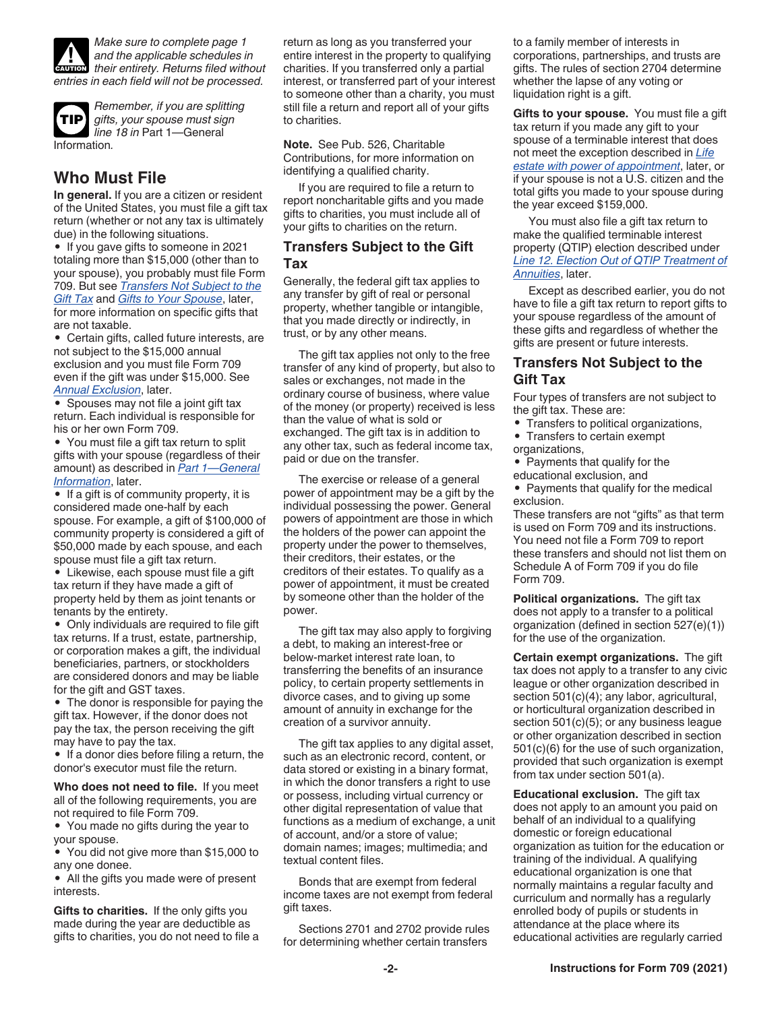

*Make sure to complete page 1 and the applicable schedules in*  **h** and the applicable schedules in<br> **CAUTION** their entirety. Returns filed without *entries in each field will not be processed.*



*Remember, if you are splitting gifts, your spouse must sign line 18 in* Part 1—General Information*.*

# **Who Must File**

**In general.** If you are a citizen or resident of the United States, you must file a gift tax return (whether or not any tax is ultimately due) in the following situations.

• If you gave gifts to someone in 2021 totaling more than \$15,000 (other than to your spouse), you probably must file Form 709. But see *Transfers Not Subject to the Gift Tax* and *Gifts to Your Spouse*, later, for more information on specific gifts that are not taxable.

• Certain gifts, called future interests, are not subject to the \$15,000 annual exclusion and you must file Form 709 even if the gift was under \$15,000. See *Annual Exclusion*, later.

• Spouses may not file a joint gift tax return. Each individual is responsible for his or her own Form 709.

• You must file a gift tax return to split gifts with your spouse (regardless of their amount) as described in *Part 1—General Information*, later.

• If a gift is of community property, it is considered made one-half by each spouse. For example, a gift of \$100,000 of community property is considered a gift of \$50,000 made by each spouse, and each spouse must file a gift tax return.

• Likewise, each spouse must file a gift tax return if they have made a gift of property held by them as joint tenants or tenants by the entirety.

• Only individuals are required to file gift tax returns. If a trust, estate, partnership, or corporation makes a gift, the individual beneficiaries, partners, or stockholders are considered donors and may be liable for the gift and GST taxes.

• The donor is responsible for paying the gift tax. However, if the donor does not pay the tax, the person receiving the gift may have to pay the tax.

• If a donor dies before filing a return, the donor's executor must file the return.

**Who does not need to file.** If you meet all of the following requirements, you are not required to file Form 709.

• You made no gifts during the year to your spouse.

• You did not give more than \$15,000 to any one donee.

• All the gifts you made were of present interests.

**Gifts to charities.** If the only gifts you made during the year are deductible as gifts to charities, you do not need to file a return as long as you transferred your entire interest in the property to qualifying charities. If you transferred only a partial interest, or transferred part of your interest to someone other than a charity, you must still file a return and report all of your gifts to charities.

**Note.** See Pub. 526, Charitable Contributions, for more information on identifying a qualified charity.

If you are required to file a return to report noncharitable gifts and you made gifts to charities, you must include all of your gifts to charities on the return.

#### **Transfers Subject to the Gift Tax**

Generally, the federal gift tax applies to any transfer by gift of real or personal property, whether tangible or intangible, that you made directly or indirectly, in trust, or by any other means.

The gift tax applies not only to the free transfer of any kind of property, but also to sales or exchanges, not made in the ordinary course of business, where value of the money (or property) received is less than the value of what is sold or exchanged. The gift tax is in addition to any other tax, such as federal income tax, paid or due on the transfer.

The exercise or release of a general power of appointment may be a gift by the individual possessing the power. General powers of appointment are those in which the holders of the power can appoint the property under the power to themselves, their creditors, their estates, or the creditors of their estates. To qualify as a power of appointment, it must be created by someone other than the holder of the power.

The gift tax may also apply to forgiving a debt, to making an interest-free or below-market interest rate loan, to transferring the benefits of an insurance policy, to certain property settlements in divorce cases, and to giving up some amount of annuity in exchange for the creation of a survivor annuity.

The gift tax applies to any digital asset, such as an electronic record, content, or data stored or existing in a binary format, in which the donor transfers a right to use or possess, including virtual currency or other digital representation of value that functions as a medium of exchange, a unit of account, and/or a store of value; domain names; images; multimedia; and textual content files.

Bonds that are exempt from federal income taxes are not exempt from federal gift taxes.

Sections 2701 and 2702 provide rules for determining whether certain transfers

to a family member of interests in corporations, partnerships, and trusts are gifts. The rules of section 2704 determine whether the lapse of any voting or liquidation right is a gift.

**Gifts to your spouse.** You must file a gift tax return if you made any gift to your spouse of a terminable interest that does not meet the exception described in *Life estate with power of appointment*, later, or if your spouse is not a U.S. citizen and the total gifts you made to your spouse during the year exceed \$159,000.

You must also file a gift tax return to make the qualified terminable interest property (QTIP) election described under *Line 12. Election Out of QTIP Treatment of Annuities*, later.

Except as described earlier, you do not have to file a gift tax return to report gifts to your spouse regardless of the amount of these gifts and regardless of whether the gifts are present or future interests.

## **Transfers Not Subject to the Gift Tax**

Four types of transfers are not subject to the gift tax. These are:

- Transfers to political organizations,
- Transfers to certain exempt organizations,
- Payments that qualify for the
- educational exclusion, and
- Payments that qualify for the medical exclusion.

These transfers are not "gifts" as that term is used on Form 709 and its instructions. You need not file a Form 709 to report these transfers and should not list them on Schedule A of Form 709 if you do file Form 709.

**Political organizations.** The gift tax does not apply to a transfer to a political organization (defined in section 527(e)(1)) for the use of the organization.

**Certain exempt organizations.** The gift tax does not apply to a transfer to any civic league or other organization described in section 501(c)(4); any labor, agricultural, or horticultural organization described in section 501(c)(5); or any business league or other organization described in section 501(c)(6) for the use of such organization, provided that such organization is exempt from tax under section 501(a).

**Educational exclusion.** The gift tax does not apply to an amount you paid on behalf of an individual to a qualifying domestic or foreign educational organization as tuition for the education or training of the individual. A qualifying educational organization is one that normally maintains a regular faculty and curriculum and normally has a regularly enrolled body of pupils or students in attendance at the place where its educational activities are regularly carried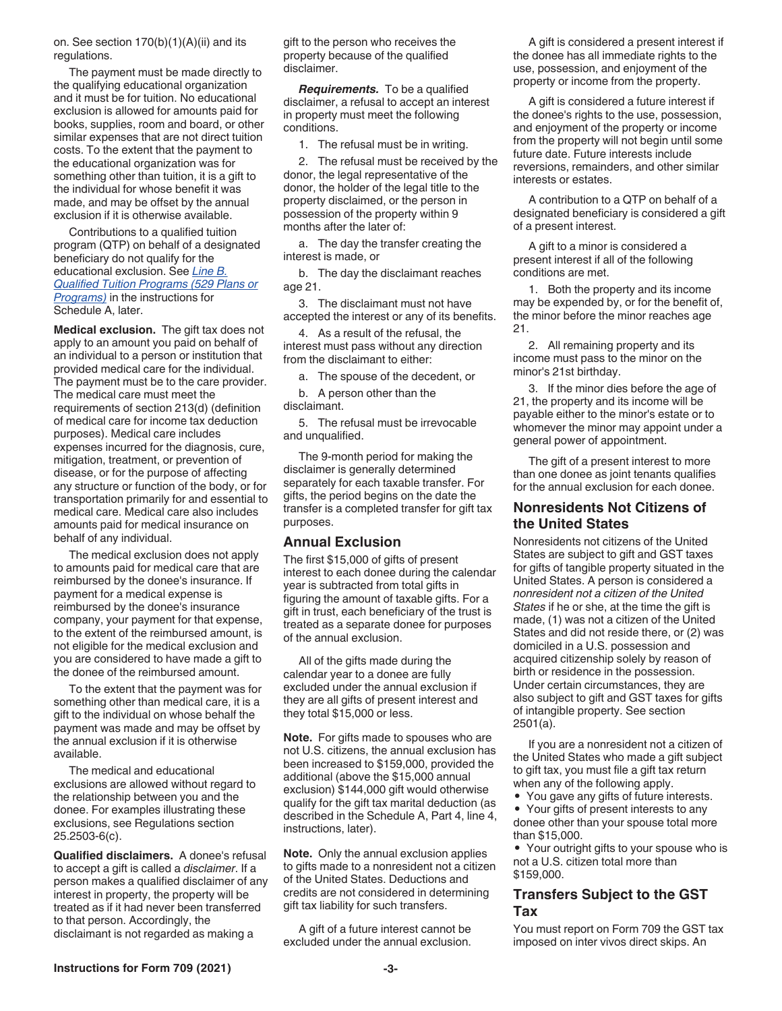#### on. See section 170(b)(1)(A)(ii) and its regulations.

The payment must be made directly to the qualifying educational organization and it must be for tuition. No educational exclusion is allowed for amounts paid for books, supplies, room and board, or other similar expenses that are not direct tuition costs. To the extent that the payment to the educational organization was for something other than tuition, it is a gift to the individual for whose benefit it was made, and may be offset by the annual exclusion if it is otherwise available.

Contributions to a qualified tuition program (QTP) on behalf of a designated beneficiary do not qualify for the educational exclusion. See *Line B. Qualified Tuition Programs (529 Plans or Programs)* in the instructions for Schedule A, later.

**Medical exclusion.** The gift tax does not apply to an amount you paid on behalf of an individual to a person or institution that provided medical care for the individual. The payment must be to the care provider. The medical care must meet the requirements of section 213(d) (definition of medical care for income tax deduction purposes). Medical care includes expenses incurred for the diagnosis, cure, mitigation, treatment, or prevention of disease, or for the purpose of affecting any structure or function of the body, or for transportation primarily for and essential to medical care. Medical care also includes amounts paid for medical insurance on behalf of any individual.

The medical exclusion does not apply to amounts paid for medical care that are reimbursed by the donee's insurance. If payment for a medical expense is reimbursed by the donee's insurance company, your payment for that expense, to the extent of the reimbursed amount, is not eligible for the medical exclusion and you are considered to have made a gift to the donee of the reimbursed amount.

To the extent that the payment was for something other than medical care, it is a gift to the individual on whose behalf the payment was made and may be offset by the annual exclusion if it is otherwise available.

The medical and educational exclusions are allowed without regard to the relationship between you and the donee. For examples illustrating these exclusions, see Regulations section 25.2503-6(c).

**Qualified disclaimers.** A donee's refusal to accept a gift is called a *disclaimer*. If a person makes a qualified disclaimer of any interest in property, the property will be treated as if it had never been transferred to that person. Accordingly, the disclaimant is not regarded as making a

gift to the person who receives the property because of the qualified disclaimer.

*Requirements.* To be a qualified disclaimer, a refusal to accept an interest in property must meet the following conditions.

1. The refusal must be in writing.

2. The refusal must be received by the donor, the legal representative of the donor, the holder of the legal title to the property disclaimed, or the person in possession of the property within 9 months after the later of:

a. The day the transfer creating the interest is made, or

b. The day the disclaimant reaches age 21.

3. The disclaimant must not have accepted the interest or any of its benefits.

4. As a result of the refusal, the interest must pass without any direction from the disclaimant to either:

a. The spouse of the decedent, or

b. A person other than the disclaimant.

5. The refusal must be irrevocable and unqualified.

The 9-month period for making the disclaimer is generally determined separately for each taxable transfer. For gifts, the period begins on the date the transfer is a completed transfer for gift tax purposes.

#### **Annual Exclusion**

The first \$15,000 of gifts of present interest to each donee during the calendar year is subtracted from total gifts in figuring the amount of taxable gifts. For a gift in trust, each beneficiary of the trust is treated as a separate donee for purposes of the annual exclusion.

All of the gifts made during the calendar year to a donee are fully excluded under the annual exclusion if they are all gifts of present interest and they total \$15,000 or less.

**Note.** For gifts made to spouses who are not U.S. citizens, the annual exclusion has been increased to \$159,000, provided the additional (above the \$15,000 annual exclusion) \$144,000 gift would otherwise qualify for the gift tax marital deduction (as described in the Schedule A, Part 4, line 4, instructions, later).

**Note.** Only the annual exclusion applies to gifts made to a nonresident not a citizen of the United States. Deductions and credits are not considered in determining gift tax liability for such transfers.

A gift of a future interest cannot be excluded under the annual exclusion.

A gift is considered a present interest if the donee has all immediate rights to the use, possession, and enjoyment of the property or income from the property.

A gift is considered a future interest if the donee's rights to the use, possession, and enjoyment of the property or income from the property will not begin until some future date. Future interests include reversions, remainders, and other similar interests or estates.

A contribution to a QTP on behalf of a designated beneficiary is considered a gift of a present interest.

A gift to a minor is considered a present interest if all of the following conditions are met.

1. Both the property and its income may be expended by, or for the benefit of, the minor before the minor reaches age 21.

2. All remaining property and its income must pass to the minor on the minor's 21st birthday.

3. If the minor dies before the age of 21, the property and its income will be payable either to the minor's estate or to whomever the minor may appoint under a general power of appointment.

The gift of a present interest to more than one donee as joint tenants qualifies for the annual exclusion for each donee.

#### **Nonresidents Not Citizens of the United States**

Nonresidents not citizens of the United States are subject to gift and GST taxes for gifts of tangible property situated in the United States. A person is considered a *nonresident not a citizen of the United States* if he or she, at the time the gift is made, (1) was not a citizen of the United States and did not reside there, or (2) was domiciled in a U.S. possession and acquired citizenship solely by reason of birth or residence in the possession. Under certain circumstances, they are also subject to gift and GST taxes for gifts of intangible property. See section 2501(a).

If you are a nonresident not a citizen of the United States who made a gift subject to gift tax, you must file a gift tax return when any of the following apply.

• You gave any gifts of future interests.

• Your gifts of present interests to any donee other than your spouse total more than \$15,000.

• Your outright gifts to your spouse who is not a U.S. citizen total more than \$159,000.

#### **Transfers Subject to the GST Tax**

You must report on Form 709 the GST tax imposed on inter vivos direct skips. An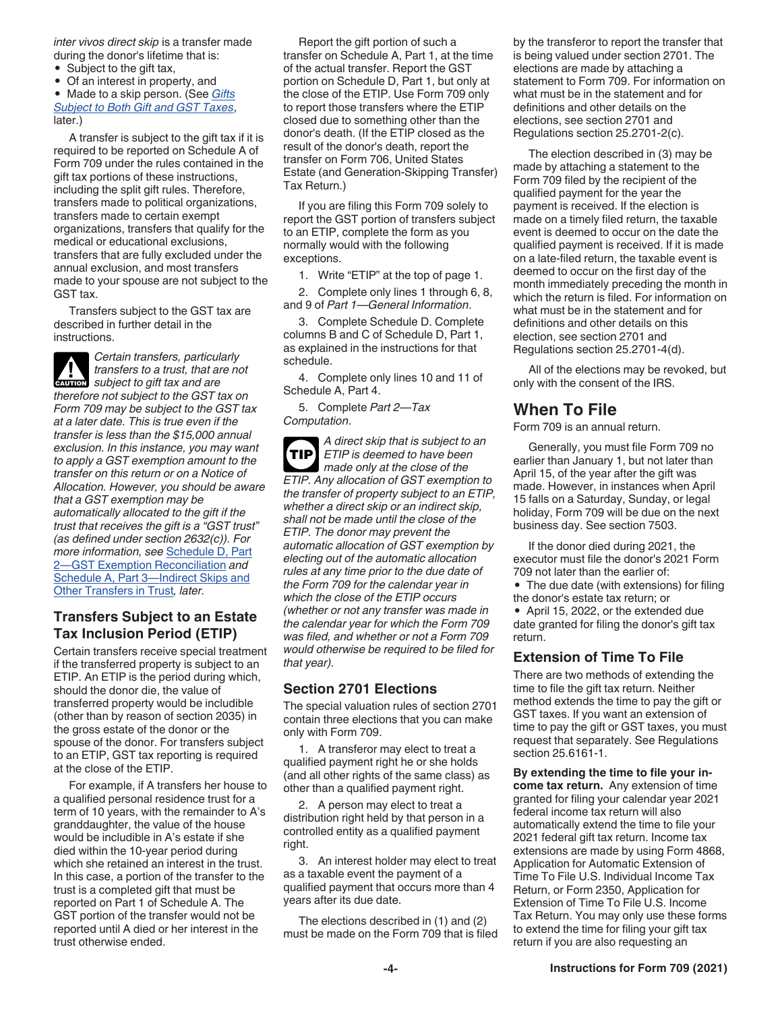*inter vivos direct skip* is a transfer made during the donor's lifetime that is:

- Subject to the gift tax,
- Of an interest in property, and

• Made to a skip person. (See *Gifts Subject to Both Gift and GST Taxes*, later.)

A transfer is subject to the gift tax if it is required to be reported on Schedule A of Form 709 under the rules contained in the gift tax portions of these instructions, including the split gift rules. Therefore, transfers made to political organizations, transfers made to certain exempt organizations, transfers that qualify for the medical or educational exclusions, transfers that are fully excluded under the annual exclusion, and most transfers made to your spouse are not subject to the GST tax.

Transfers subject to the GST tax are described in further detail in the **instructions** 

*Certain transfers, particularly transfers to a trust, that are not*  **k** *subject to a trust, that are subject to gift tax and are therefore not subject to the GST tax on Form 709 may be subject to the GST tax at a later date. This is true even if the transfer is less than the \$15,000 annual exclusion. In this instance, you may want to apply a GST exemption amount to the transfer on this return or on a Notice of Allocation. However, you should be aware that a GST exemption may be automatically allocated to the gift if the trust that receives the gift is a "GST trust" (as defined under section 2632(c)). For more information, see* Schedule D, Part 2—GST Exemption Reconciliation *and*  Schedule A, Part 3-Indirect Skips and Other Transfers in Trust*, later.*

## **Transfers Subject to an Estate Tax Inclusion Period (ETIP)**

Certain transfers receive special treatment if the transferred property is subject to an ETIP. An ETIP is the period during which, should the donor die, the value of transferred property would be includible (other than by reason of section 2035) in the gross estate of the donor or the spouse of the donor. For transfers subject to an ETIP, GST tax reporting is required at the close of the ETIP.

For example, if A transfers her house to a qualified personal residence trust for a term of 10 years, with the remainder to A's granddaughter, the value of the house would be includible in A's estate if she died within the 10-year period during which she retained an interest in the trust. In this case, a portion of the transfer to the trust is a completed gift that must be reported on Part 1 of Schedule A. The GST portion of the transfer would not be reported until A died or her interest in the trust otherwise ended.

Report the gift portion of such a transfer on Schedule A, Part 1, at the time of the actual transfer. Report the GST portion on Schedule D, Part 1, but only at the close of the ETIP. Use Form 709 only to report those transfers where the ETIP closed due to something other than the donor's death. (If the ETIP closed as the result of the donor's death, report the transfer on Form 706, United States Estate (and Generation-Skipping Transfer) Tax Return.)

If you are filing this Form 709 solely to report the GST portion of transfers subject to an ETIP, complete the form as you normally would with the following exceptions.

1. Write "ETIP" at the top of page 1.

2. Complete only lines 1 through 6, 8, and 9 of *Part 1—General Information*.

3. Complete Schedule D. Complete columns B and C of Schedule D, Part 1, as explained in the instructions for that schedule.

4. Complete only lines 10 and 11 of Schedule A, Part 4.

5. Complete *Part 2—Tax Computation*.

*A direct skip that is subject to an ETIP is deemed to have been made only at the close of the ETIP. Any allocation of GST exemption to the transfer of property subject to an ETIP, whether a direct skip or an indirect skip, shall not be made until the close of the ETIP. The donor may prevent the automatic allocation of GST exemption by electing out of the automatic allocation rules at any time prior to the due date of the Form 709 for the calendar year in which the close of the ETIP occurs (whether or not any transfer was made in the calendar year for which the Form 709 was filed, and whether or not a Form 709 would otherwise be required to be filed for that year).* **TIP**

#### **Section 2701 Elections**

The special valuation rules of section 2701 contain three elections that you can make only with Form 709.

1. A transferor may elect to treat a qualified payment right he or she holds (and all other rights of the same class) as other than a qualified payment right.

2. A person may elect to treat a distribution right held by that person in a controlled entity as a qualified payment right.

3. An interest holder may elect to treat as a taxable event the payment of a qualified payment that occurs more than 4 years after its due date.

The elections described in (1) and (2) must be made on the Form 709 that is filed by the transferor to report the transfer that is being valued under section 2701. The elections are made by attaching a statement to Form 709. For information on what must be in the statement and for definitions and other details on the elections, see section 2701 and Regulations section 25.2701-2(c).

The election described in (3) may be made by attaching a statement to the Form 709 filed by the recipient of the qualified payment for the year the payment is received. If the election is made on a timely filed return, the taxable event is deemed to occur on the date the qualified payment is received. If it is made on a late-filed return, the taxable event is deemed to occur on the first day of the month immediately preceding the month in which the return is filed. For information on what must be in the statement and for definitions and other details on this election, see section 2701 and Regulations section 25.2701-4(d).

All of the elections may be revoked, but only with the consent of the IRS.

# **When To File**

Form 709 is an annual return.

Generally, you must file Form 709 no earlier than January 1, but not later than April 15, of the year after the gift was made. However, in instances when April 15 falls on a Saturday, Sunday, or legal holiday, Form 709 will be due on the next business day. See section 7503.

If the donor died during 2021, the executor must file the donor's 2021 Form 709 not later than the earlier of:

• The due date (with extensions) for filing the donor's estate tax return; or • April 15, 2022, or the extended due date granted for filing the donor's gift tax return.

## **Extension of Time To File**

There are two methods of extending the time to file the gift tax return. Neither method extends the time to pay the gift or GST taxes. If you want an extension of time to pay the gift or GST taxes, you must request that separately. See Regulations section 25.6161-1.

**By extending the time to file your income tax return.** Any extension of time granted for filing your calendar year 2021 federal income tax return will also automatically extend the time to file your 2021 federal gift tax return. Income tax extensions are made by using Form 4868, Application for Automatic Extension of Time To File U.S. Individual Income Tax Return, or Form 2350, Application for Extension of Time To File U.S. Income Tax Return. You may only use these forms to extend the time for filing your gift tax return if you are also requesting an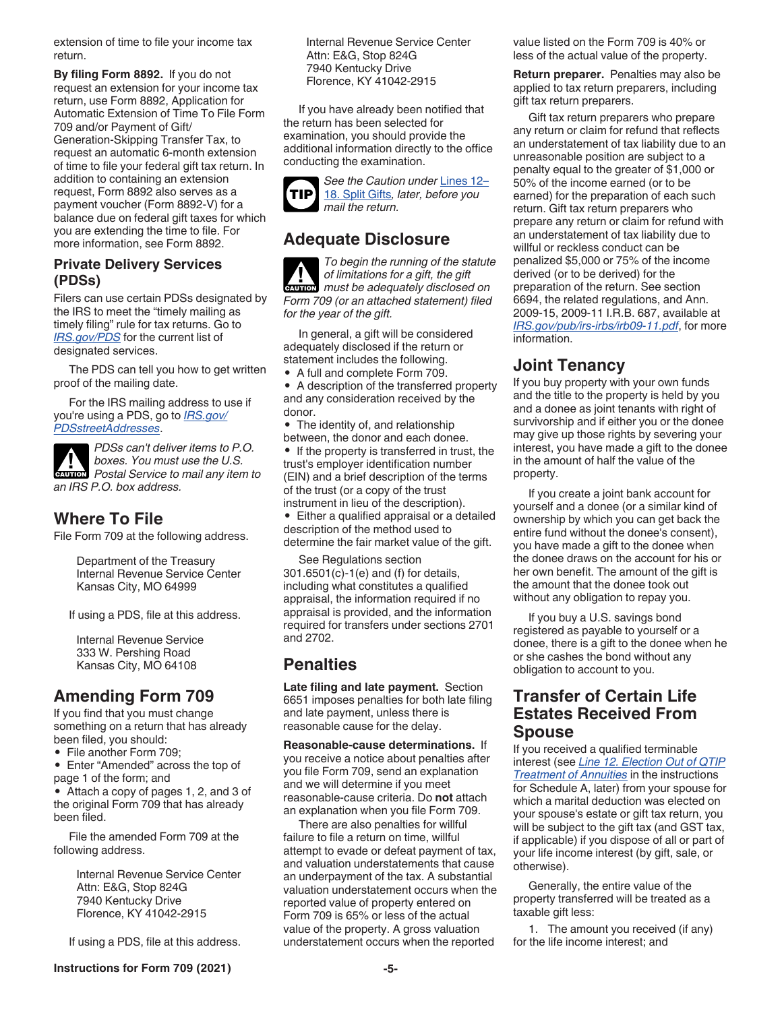extension of time to file your income tax return.

**By filing Form 8892.** If you do not request an extension for your income tax return, use Form 8892, Application for Automatic Extension of Time To File Form 709 and/or Payment of Gift/ Generation-Skipping Transfer Tax, to request an automatic 6-month extension of time to file your federal gift tax return. In addition to containing an extension request, Form 8892 also serves as a payment voucher (Form 8892-V) for a balance due on federal gift taxes for which you are extending the time to file. For more information, see Form 8892.

#### **Private Delivery Services (PDSs)**

Filers can use certain PDSs designated by the IRS to meet the "timely mailing as timely filing" rule for tax returns. Go to *[IRS.gov/PDS](https://www.irs.gov/filing/private-delivery-services-pds)* for the current list of designated services.

The PDS can tell you how to get written proof of the mailing date.

For the IRS mailing address to use if you're using a PDS, go to *[IRS.gov/](https://www.irs.gov/pdsstreetaddresses) [PDSstreetAddresses](https://www.irs.gov/pdsstreetaddresses)*.

*PDSs can't deliver items to P.O. boxes. You must use the U.S.*  **Postal Service to mail any item to** *an IRS P.O. box address.*

# **Where To File**

File Form 709 at the following address.

Department of the Treasury Internal Revenue Service Center Kansas City, MO 64999

If using a PDS, file at this address.

Internal Revenue Service 333 W. Pershing Road Kansas City, MO 64108

## **Amending Form 709**

If you find that you must change something on a return that has already been filed, you should:

• File another Form 709:

• Enter "Amended" across the top of page 1 of the form; and

• Attach a copy of pages 1, 2, and 3 of the original Form 709 that has already been filed.

File the amended Form 709 at the following address.

> Internal Revenue Service Center Attn: E&G, Stop 824G 7940 Kentucky Drive Florence, KY 41042-2915

If using a PDS, file at this address.

Internal Revenue Service Center Attn: E&G, Stop 824G 7940 Kentucky Drive Florence, KY 41042-2915

If you have already been notified that the return has been selected for examination, you should provide the additional information directly to the office conducting the examination.



## **Adequate Disclosure**

*To begin the running of the statute of limitations for a gift, the gift must be adequately disclosed on Form 709 (or an attached statement) filed for the year of the gift.* **CAUTION !**

In general, a gift will be considered adequately disclosed if the return or statement includes the following.

• A full and complete Form 709.

• A description of the transferred property and any consideration received by the donor.

• The identity of, and relationship between, the donor and each donee.

• If the property is transferred in trust, the trust's employer identification number (EIN) and a brief description of the terms of the trust (or a copy of the trust instrument in lieu of the description). • Either a qualified appraisal or a detailed description of the method used to

determine the fair market value of the gift. See Regulations section 301.6501(c)-1(e) and (f) for details, including what constitutes a qualified

appraisal, the information required if no appraisal is provided, and the information required for transfers under sections 2701 and 2702.

## **Penalties**

**Late filing and late payment.** Section 6651 imposes penalties for both late filing and late payment, unless there is reasonable cause for the delay.

**Reasonable-cause determinations.** If you receive a notice about penalties after you file Form 709, send an explanation and we will determine if you meet reasonable-cause criteria. Do **not** attach an explanation when you file Form 709.

There are also penalties for willful failure to file a return on time, willful attempt to evade or defeat payment of tax, and valuation understatements that cause an underpayment of the tax. A substantial valuation understatement occurs when the reported value of property entered on Form 709 is 65% or less of the actual value of the property. A gross valuation understatement occurs when the reported

value listed on the Form 709 is 40% or less of the actual value of the property.

**Return preparer.** Penalties may also be applied to tax return preparers, including gift tax return preparers.

Gift tax return preparers who prepare any return or claim for refund that reflects an understatement of tax liability due to an unreasonable position are subject to a penalty equal to the greater of \$1,000 or 50% of the income earned (or to be earned) for the preparation of each such return. Gift tax return preparers who prepare any return or claim for refund with an understatement of tax liability due to willful or reckless conduct can be penalized \$5,000 or 75% of the income derived (or to be derived) for the preparation of the return. See section 6694, the related regulations, and Ann. 2009-15, 2009-11 I.R.B. 687, available at *[IRS.gov/pub/irs-irbs/irb09-11.pdf](https://www.irs.gov/pub/irs-irbs/irb09-11.pdf)*, for more information.

## **Joint Tenancy**

If you buy property with your own funds and the title to the property is held by you and a donee as joint tenants with right of survivorship and if either you or the donee may give up those rights by severing your interest, you have made a gift to the donee in the amount of half the value of the property.

If you create a joint bank account for yourself and a donee (or a similar kind of ownership by which you can get back the entire fund without the donee's consent), you have made a gift to the donee when the donee draws on the account for his or her own benefit. The amount of the gift is the amount that the donee took out without any obligation to repay you.

If you buy a U.S. savings bond registered as payable to yourself or a donee, there is a gift to the donee when he or she cashes the bond without any obligation to account to you.

## **Transfer of Certain Life Estates Received From Spouse**

If you received a qualified terminable interest (see *Line 12. Election Out of QTIP Treatment of Annuities* in the instructions for Schedule A, later) from your spouse for which a marital deduction was elected on your spouse's estate or gift tax return, you will be subject to the gift tax (and GST tax, if applicable) if you dispose of all or part of your life income interest (by gift, sale, or otherwise).

Generally, the entire value of the property transferred will be treated as a taxable gift less:

1. The amount you received (if any) for the life income interest; and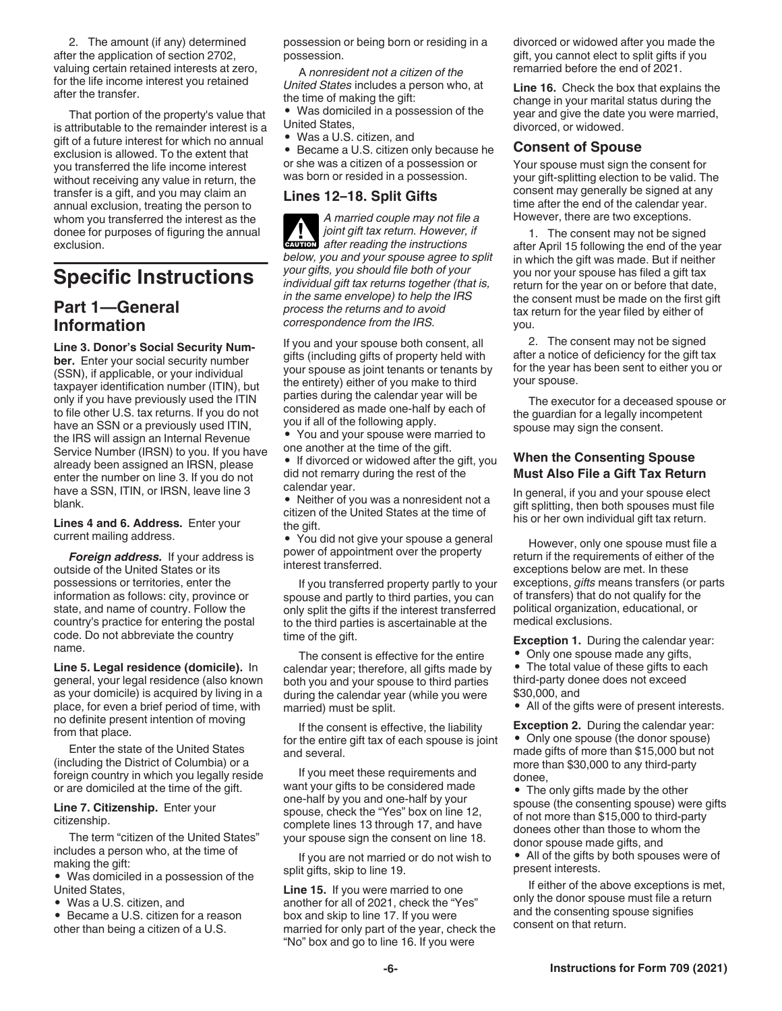2. The amount (if any) determined after the application of section 2702, valuing certain retained interests at zero, for the life income interest you retained after the transfer.

That portion of the property's value that is attributable to the remainder interest is a gift of a future interest for which no annual exclusion is allowed. To the extent that you transferred the life income interest without receiving any value in return, the transfer is a gift, and you may claim an annual exclusion, treating the person to whom you transferred the interest as the donee for purposes of figuring the annual exclusion.

# **Specific Instructions**

## **Part 1—General Information**

**Line 3. Donor's Social Security Number.** Enter your social security number (SSN), if applicable, or your individual taxpayer identification number (ITIN), but only if you have previously used the ITIN to file other U.S. tax returns. If you do not have an SSN or a previously used ITIN, the IRS will assign an Internal Revenue Service Number (IRSN) to you. If you have already been assigned an IRSN, please enter the number on line 3. If you do not have a SSN, ITIN, or IRSN, leave line 3 blank.

**Lines 4 and 6. Address.** Enter your current mailing address.

*Foreign address.* If your address is outside of the United States or its possessions or territories, enter the information as follows: city, province or state, and name of country. Follow the country's practice for entering the postal code. Do not abbreviate the country name.

**Line 5. Legal residence (domicile).** In general, your legal residence (also known as your domicile) is acquired by living in a place, for even a brief period of time, with no definite present intention of moving from that place.

Enter the state of the United States (including the District of Columbia) or a foreign country in which you legally reside or are domiciled at the time of the gift.

**Line 7. Citizenship.** Enter your citizenship.

The term "citizen of the United States" includes a person who, at the time of making the gift:

• Was domiciled in a possession of the United States,

• Was a U.S. citizen, and

• Became a U.S. citizen for a reason other than being a citizen of a U.S.

possession or being born or residing in a possession.

A *nonresident not a citizen of the United States* includes a person who, at the time of making the gift:

• Was domiciled in a possession of the United States,

• Was a U.S. citizen, and

• Became a U.S. citizen only because he or she was a citizen of a possession or was born or resided in a possession.

#### **Lines 12–18. Split Gifts**

*A married couple may not file a joint gift tax return. However, if*  **z** *joint gift tax return. However,*<br>
after reading the instructions *below, you and your spouse agree to split your gifts, you should file both of your individual gift tax returns together (that is, in the same envelope) to help the IRS process the returns and to avoid correspondence from the IRS.*

If you and your spouse both consent, all gifts (including gifts of property held with your spouse as joint tenants or tenants by the entirety) either of you make to third parties during the calendar year will be considered as made one-half by each of you if all of the following apply.

• You and your spouse were married to one another at the time of the gift.

• If divorced or widowed after the gift, you did not remarry during the rest of the calendar year.

• Neither of you was a nonresident not a citizen of the United States at the time of the gift.

• You did not give your spouse a general power of appointment over the property interest transferred.

If you transferred property partly to your spouse and partly to third parties, you can only split the gifts if the interest transferred to the third parties is ascertainable at the time of the gift.

The consent is effective for the entire calendar year; therefore, all gifts made by both you and your spouse to third parties during the calendar year (while you were married) must be split.

If the consent is effective, the liability for the entire gift tax of each spouse is joint and several.

If you meet these requirements and want your gifts to be considered made one-half by you and one-half by your spouse, check the "Yes" box on line 12, complete lines 13 through 17, and have your spouse sign the consent on line 18.

If you are not married or do not wish to split gifts, skip to line 19.

**Line 15.** If you were married to one another for all of 2021, check the "Yes" box and skip to line 17. If you were married for only part of the year, check the "No" box and go to line 16. If you were

divorced or widowed after you made the gift, you cannot elect to split gifts if you remarried before the end of 2021.

**Line 16.** Check the box that explains the change in your marital status during the year and give the date you were married, divorced, or widowed.

#### **Consent of Spouse**

Your spouse must sign the consent for your gift-splitting election to be valid. The consent may generally be signed at any time after the end of the calendar year. However, there are two exceptions.

1. The consent may not be signed after April 15 following the end of the year in which the gift was made. But if neither you nor your spouse has filed a gift tax return for the year on or before that date, the consent must be made on the first gift tax return for the year filed by either of you.

2. The consent may not be signed after a notice of deficiency for the gift tax for the year has been sent to either you or your spouse.

The executor for a deceased spouse or the guardian for a legally incompetent spouse may sign the consent.

#### **When the Consenting Spouse Must Also File a Gift Tax Return**

In general, if you and your spouse elect gift splitting, then both spouses must file his or her own individual gift tax return.

However, only one spouse must file a return if the requirements of either of the exceptions below are met. In these exceptions, *gifts* means transfers (or parts of transfers) that do not qualify for the political organization, educational, or medical exclusions.

**Exception 1.** During the calendar year:

• Only one spouse made any gifts,

• The total value of these gifts to each third-party donee does not exceed \$30,000, and

• All of the gifts were of present interests.

**Exception 2.** During the calendar year: • Only one spouse (the donor spouse) made gifts of more than \$15,000 but not more than \$30,000 to any third-party donee,

• The only gifts made by the other spouse (the consenting spouse) were gifts of not more than \$15,000 to third-party donees other than those to whom the donor spouse made gifts, and

• All of the gifts by both spouses were of present interests.

If either of the above exceptions is met, only the donor spouse must file a return and the consenting spouse signifies consent on that return.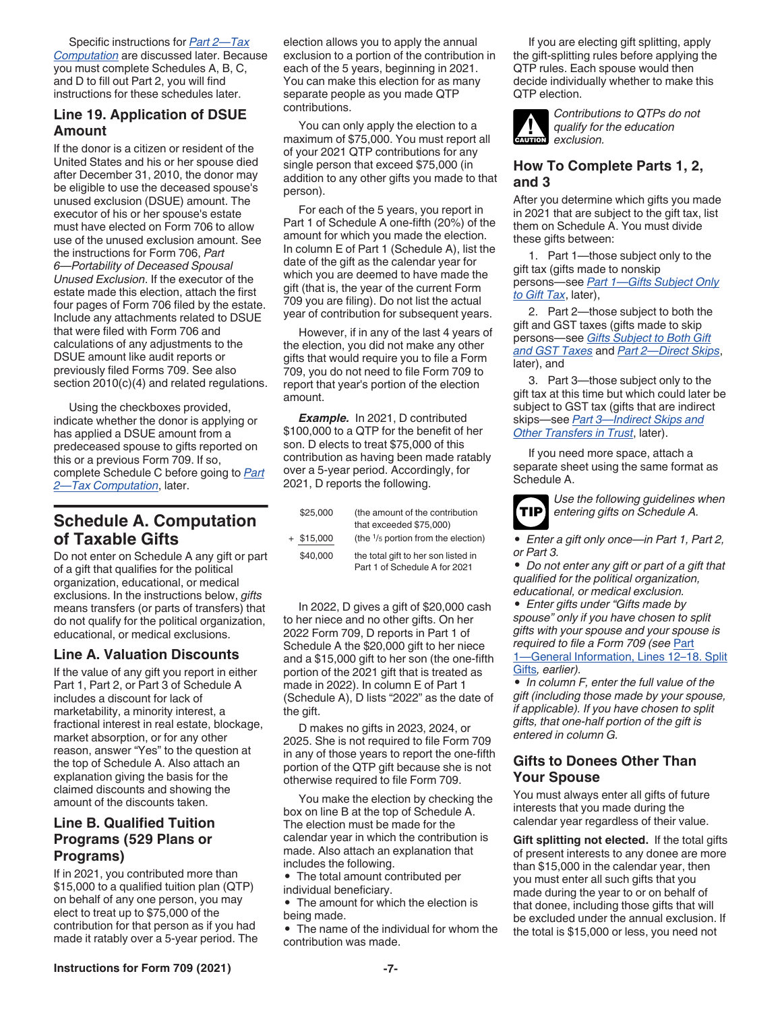Specific instructions for *Part 2—Tax Computation* are discussed later. Because you must complete Schedules A, B, C, and D to fill out Part 2, you will find instructions for these schedules later.

## **Line 19. Application of DSUE Amount**

If the donor is a citizen or resident of the United States and his or her spouse died after December 31, 2010, the donor may be eligible to use the deceased spouse's unused exclusion (DSUE) amount. The executor of his or her spouse's estate must have elected on Form 706 to allow use of the unused exclusion amount. See the instructions for Form 706, *Part 6—Portability of Deceased Spousal Unused Exclusion*. If the executor of the estate made this election, attach the first four pages of Form 706 filed by the estate. Include any attachments related to DSUE that were filed with Form 706 and calculations of any adjustments to the DSUE amount like audit reports or previously filed Forms 709. See also section 2010(c)(4) and related regulations.

Using the checkboxes provided, indicate whether the donor is applying or has applied a DSUE amount from a predeceased spouse to gifts reported on this or a previous Form 709. If so, complete Schedule C before going to *Part 2—Tax Computation*, later.

# **Schedule A. Computation of Taxable Gifts**

Do not enter on Schedule A any gift or part of a gift that qualifies for the political organization, educational, or medical exclusions. In the instructions below, *gifts*  means transfers (or parts of transfers) that do not qualify for the political organization, educational, or medical exclusions.

## **Line A. Valuation Discounts**

If the value of any gift you report in either Part 1, Part 2, or Part 3 of Schedule A includes a discount for lack of marketability, a minority interest, a fractional interest in real estate, blockage, market absorption, or for any other reason, answer "Yes" to the question at the top of Schedule A. Also attach an explanation giving the basis for the claimed discounts and showing the amount of the discounts taken.

## **Line B. Qualified Tuition Programs (529 Plans or Programs)**

If in 2021, you contributed more than \$15,000 to a qualified tuition plan (QTP) on behalf of any one person, you may elect to treat up to \$75,000 of the contribution for that person as if you had made it ratably over a 5-year period. The election allows you to apply the annual exclusion to a portion of the contribution in each of the 5 years, beginning in 2021. You can make this election for as many separate people as you made QTP contributions.

You can only apply the election to a maximum of \$75,000. You must report all of your 2021 QTP contributions for any single person that exceed \$75,000 (in addition to any other gifts you made to that person).

For each of the 5 years, you report in Part 1 of Schedule A one-fifth (20%) of the amount for which you made the election. In column E of Part 1 (Schedule A), list the date of the gift as the calendar year for which you are deemed to have made the gift (that is, the year of the current Form 709 you are filing). Do not list the actual year of contribution for subsequent years.

However, if in any of the last 4 years of the election, you did not make any other gifts that would require you to file a Form 709, you do not need to file Form 709 to report that year's portion of the election amount.

*Example.* In 2021, D contributed \$100,000 to a QTP for the benefit of her son. D elects to treat \$75,000 of this contribution as having been made ratably over a 5-year period. Accordingly, for 2021, D reports the following.

| \$25,000     | (the amount of the contribution<br>that exceeded \$75,000)           |
|--------------|----------------------------------------------------------------------|
| $+$ \$15,000 | (the 1/5 portion from the election)                                  |
| \$40,000     | the total gift to her son listed in<br>Part 1 of Schedule A for 2021 |

In 2022, D gives a gift of \$20,000 cash to her niece and no other gifts. On her 2022 Form 709, D reports in Part 1 of Schedule A the \$20,000 gift to her niece and a \$15,000 gift to her son (the one-fifth portion of the 2021 gift that is treated as made in 2022). In column E of Part 1 (Schedule A), D lists "2022" as the date of the gift.

D makes no gifts in 2023, 2024, or 2025. She is not required to file Form 709 in any of those years to report the one-fifth portion of the QTP gift because she is not otherwise required to file Form 709.

You make the election by checking the box on line B at the top of Schedule A. The election must be made for the calendar year in which the contribution is made. Also attach an explanation that includes the following.

• The total amount contributed per individual beneficiary.

• The amount for which the election is being made.

• The name of the individual for whom the contribution was made.

If you are electing gift splitting, apply the gift-splitting rules before applying the QTP rules. Each spouse would then decide individually whether to make this QTP election.



*Contributions to QTPs do not qualify for the education exclusion.*

#### **How To Complete Parts 1, 2, and 3**

After you determine which gifts you made in 2021 that are subject to the gift tax, list them on Schedule A. You must divide these gifts between:

1. Part 1—those subject only to the gift tax (gifts made to nonskip persons—see *Part 1—Gifts Subject Only to Gift Tax*, later),

2. Part 2—those subject to both the gift and GST taxes (gifts made to skip persons—see *Gifts Subject to Both Gift and GST Taxes* and *Part 2—Direct Skips*, later), and

3. Part 3—those subject only to the gift tax at this time but which could later be subject to GST tax (gifts that are indirect skips—see *Part 3—Indirect Skips and Other Transfers in Trust*, later).

If you need more space, attach a separate sheet using the same format as Schedule A.

*Use the following guidelines when entering gifts on Schedule A.* **TIP**

*• Enter a gift only once—in Part 1, Part 2, or Part 3.*

*• Do not enter any gift or part of a gift that qualified for the political organization, educational, or medical exclusion.*

*• Enter gifts under "Gifts made by spouse" only if you have chosen to split gifts with your spouse and your spouse is required to file a Form 709 (see* Part 1—General Information, Lines 12–18. Split Gifts*, earlier).*

*• In column F, enter the full value of the gift (including those made by your spouse, if applicable). If you have chosen to split gifts, that one-half portion of the gift is entered in column G.*

#### **Gifts to Donees Other Than Your Spouse**

You must always enter all gifts of future interests that you made during the calendar year regardless of their value.

**Gift splitting not elected.** If the total gifts of present interests to any donee are more than \$15,000 in the calendar year, then you must enter all such gifts that you made during the year to or on behalf of that donee, including those gifts that will be excluded under the annual exclusion. If the total is \$15,000 or less, you need not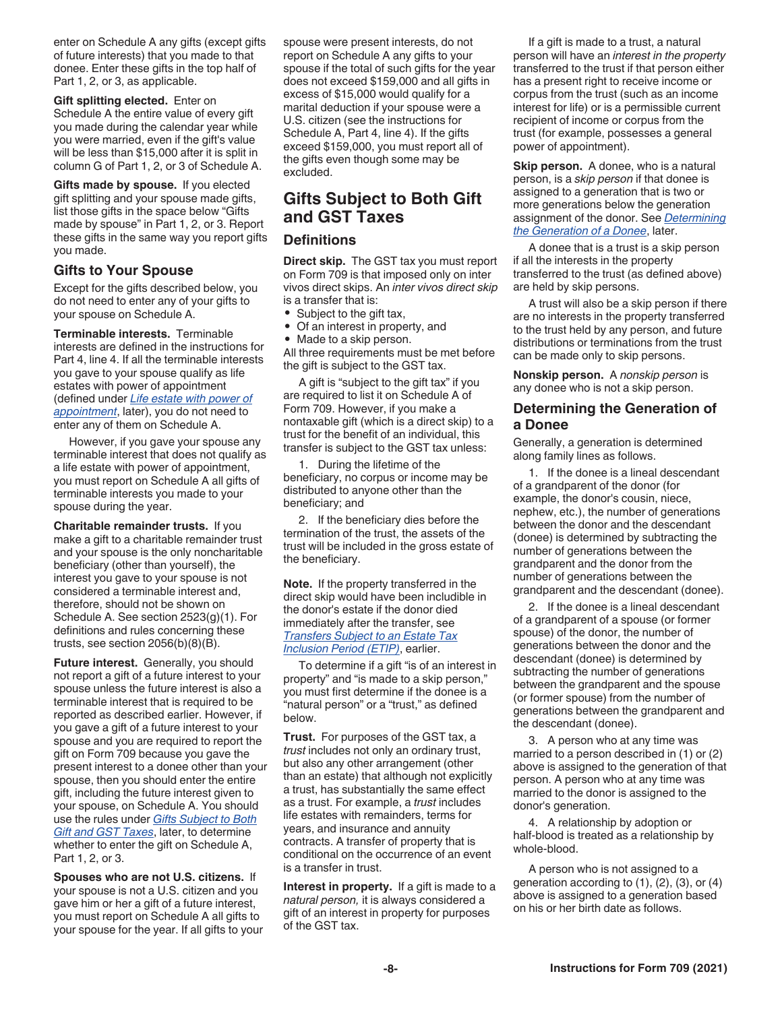enter on Schedule A any gifts (except gifts of future interests) that you made to that donee. Enter these gifts in the top half of Part 1, 2, or 3, as applicable.

**Gift splitting elected.** Enter on Schedule A the entire value of every gift you made during the calendar year while you were married, even if the gift's value will be less than \$15,000 after it is split in column G of Part 1, 2, or 3 of Schedule A.

**Gifts made by spouse.** If you elected gift splitting and your spouse made gifts, list those gifts in the space below "Gifts made by spouse" in Part 1, 2, or 3. Report these gifts in the same way you report gifts you made.

#### **Gifts to Your Spouse**

Except for the gifts described below, you do not need to enter any of your gifts to your spouse on Schedule A.

**Terminable interests.** Terminable interests are defined in the instructions for Part 4, line 4. If all the terminable interests you gave to your spouse qualify as life estates with power of appointment (defined under *Life estate with power of appointment*, later), you do not need to enter any of them on Schedule A.

However, if you gave your spouse any terminable interest that does not qualify as a life estate with power of appointment, you must report on Schedule A all gifts of terminable interests you made to your spouse during the year.

**Charitable remainder trusts.** If you make a gift to a charitable remainder trust and your spouse is the only noncharitable beneficiary (other than yourself), the interest you gave to your spouse is not considered a terminable interest and, therefore, should not be shown on Schedule A. See section 2523(g)(1). For definitions and rules concerning these trusts, see section 2056(b)(8)(B).

**Future interest.** Generally, you should not report a gift of a future interest to your spouse unless the future interest is also a terminable interest that is required to be reported as described earlier. However, if you gave a gift of a future interest to your spouse and you are required to report the gift on Form 709 because you gave the present interest to a donee other than your spouse, then you should enter the entire gift, including the future interest given to your spouse, on Schedule A. You should use the rules under *Gifts Subject to Both Gift and GST Taxes*, later, to determine whether to enter the gift on Schedule A, Part 1, 2, or 3.

**Spouses who are not U.S. citizens.** If your spouse is not a U.S. citizen and you gave him or her a gift of a future interest, you must report on Schedule A all gifts to your spouse for the year. If all gifts to your spouse were present interests, do not report on Schedule A any gifts to your spouse if the total of such gifts for the year does not exceed \$159,000 and all gifts in excess of \$15,000 would qualify for a marital deduction if your spouse were a U.S. citizen (see the instructions for Schedule A, Part 4, line 4). If the gifts exceed \$159,000, you must report all of the gifts even though some may be excluded.

## **Gifts Subject to Both Gift and GST Taxes**

#### **Definitions**

**Direct skip.** The GST tax you must report on Form 709 is that imposed only on inter vivos direct skips. An *inter vivos direct skip*  is a transfer that is:

- Subject to the gift tax,
- Of an interest in property, and
- Made to a skip person.

All three requirements must be met before the gift is subject to the GST tax.

A gift is "subject to the gift tax" if you are required to list it on Schedule A of Form 709. However, if you make a nontaxable gift (which is a direct skip) to a trust for the benefit of an individual, this transfer is subject to the GST tax unless:

1. During the lifetime of the beneficiary, no corpus or income may be distributed to anyone other than the beneficiary; and

2. If the beneficiary dies before the termination of the trust, the assets of the trust will be included in the gross estate of the beneficiary.

**Note.** If the property transferred in the direct skip would have been includible in the donor's estate if the donor died immediately after the transfer, see *Transfers Subject to an Estate Tax Inclusion Period (ETIP)*, earlier.

To determine if a gift "is of an interest in property" and "is made to a skip person," you must first determine if the donee is a "natural person" or a "trust," as defined below.

**Trust.** For purposes of the GST tax, a *trust* includes not only an ordinary trust, but also any other arrangement (other than an estate) that although not explicitly a trust, has substantially the same effect as a trust. For example, a *trust* includes life estates with remainders, terms for years, and insurance and annuity contracts. A transfer of property that is conditional on the occurrence of an event is a transfer in trust.

**Interest in property.** If a gift is made to a *natural person,* it is always considered a gift of an interest in property for purposes of the GST tax.

If a gift is made to a trust, a natural person will have an *interest in the property*  transferred to the trust if that person either has a present right to receive income or corpus from the trust (such as an income interest for life) or is a permissible current recipient of income or corpus from the trust (for example, possesses a general power of appointment).

**Skip person.** A donee, who is a natural person, is a *skip person* if that donee is assigned to a generation that is two or more generations below the generation assignment of the donor. See *Determining the Generation of a Donee*, later.

A donee that is a trust is a skip person if all the interests in the property transferred to the trust (as defined above) are held by skip persons.

A trust will also be a skip person if there are no interests in the property transferred to the trust held by any person, and future distributions or terminations from the trust can be made only to skip persons.

**Nonskip person.** A *nonskip person* is any donee who is not a skip person.

#### **Determining the Generation of a Donee**

Generally, a generation is determined along family lines as follows.

1. If the donee is a lineal descendant of a grandparent of the donor (for example, the donor's cousin, niece, nephew, etc.), the number of generations between the donor and the descendant (donee) is determined by subtracting the number of generations between the grandparent and the donor from the number of generations between the grandparent and the descendant (donee).

2. If the donee is a lineal descendant of a grandparent of a spouse (or former spouse) of the donor, the number of generations between the donor and the descendant (donee) is determined by subtracting the number of generations between the grandparent and the spouse (or former spouse) from the number of generations between the grandparent and the descendant (donee).

3. A person who at any time was married to a person described in (1) or (2) above is assigned to the generation of that person. A person who at any time was married to the donor is assigned to the donor's generation.

4. A relationship by adoption or half-blood is treated as a relationship by whole-blood.

A person who is not assigned to a generation according to (1), (2), (3), or (4) above is assigned to a generation based on his or her birth date as follows.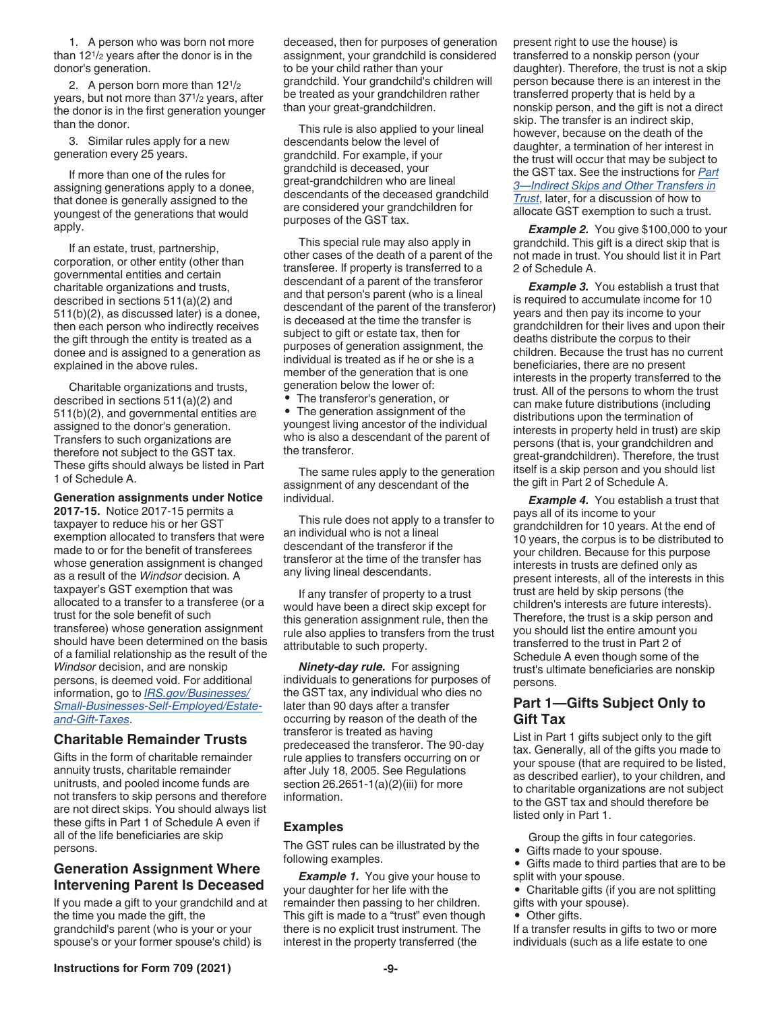1. A person who was born not more than 121/2 years after the donor is in the donor's generation.

2. A person born more than 121/<sup>2</sup> years, but not more than 371/2 years, after the donor is in the first generation younger than the donor.

3. Similar rules apply for a new generation every 25 years.

If more than one of the rules for assigning generations apply to a donee, that donee is generally assigned to the youngest of the generations that would apply.

If an estate, trust, partnership, corporation, or other entity (other than governmental entities and certain charitable organizations and trusts, described in sections 511(a)(2) and 511(b)(2), as discussed later) is a donee, then each person who indirectly receives the gift through the entity is treated as a donee and is assigned to a generation as explained in the above rules.

Charitable organizations and trusts, described in sections 511(a)(2) and 511(b)(2), and governmental entities are assigned to the donor's generation. Transfers to such organizations are therefore not subject to the GST tax. These gifts should always be listed in Part 1 of Schedule A.

**Generation assignments under Notice 2017-15.** Notice 2017-15 permits a taxpayer to reduce his or her GST exemption allocated to transfers that were made to or for the benefit of transferees whose generation assignment is changed as a result of the *Windsor* decision. A taxpayer's GST exemption that was allocated to a transfer to a transferee (or a trust for the sole benefit of such transferee) whose generation assignment should have been determined on the basis of a familial relationship as the result of the *Windsor* decision, and are nonskip persons, is deemed void. For additional information, go to *[IRS.gov/Businesses/](https://www.irs.gov/businesses/small-businesses-self-employed/estate-and-gift-taxes) [Small-Businesses-Self-Employed/Estate](https://www.irs.gov/businesses/small-businesses-self-employed/estate-and-gift-taxes)[and-Gift-Taxes](https://www.irs.gov/businesses/small-businesses-self-employed/estate-and-gift-taxes)*.

#### **Charitable Remainder Trusts**

Gifts in the form of charitable remainder annuity trusts, charitable remainder unitrusts, and pooled income funds are not transfers to skip persons and therefore are not direct skips. You should always list these gifts in Part 1 of Schedule A even if all of the life beneficiaries are skip persons.

## **Generation Assignment Where Intervening Parent Is Deceased**

If you made a gift to your grandchild and at the time you made the gift, the grandchild's parent (who is your or your spouse's or your former spouse's child) is

deceased, then for purposes of generation assignment, your grandchild is considered to be your child rather than your grandchild. Your grandchild's children will be treated as your grandchildren rather than your great-grandchildren.

This rule is also applied to your lineal descendants below the level of grandchild. For example, if your grandchild is deceased, your great-grandchildren who are lineal descendants of the deceased grandchild are considered your grandchildren for purposes of the GST tax.

This special rule may also apply in other cases of the death of a parent of the transferee. If property is transferred to a descendant of a parent of the transferor and that person's parent (who is a lineal descendant of the parent of the transferor) is deceased at the time the transfer is subject to gift or estate tax, then for purposes of generation assignment, the individual is treated as if he or she is a member of the generation that is one generation below the lower of:

• The transferor's generation, or

• The generation assignment of the youngest living ancestor of the individual who is also a descendant of the parent of the transferor.

The same rules apply to the generation assignment of any descendant of the individual.

This rule does not apply to a transfer to an individual who is not a lineal descendant of the transferor if the transferor at the time of the transfer has any living lineal descendants.

If any transfer of property to a trust would have been a direct skip except for this generation assignment rule, then the rule also applies to transfers from the trust attributable to such property.

*Ninety-day rule.* For assigning individuals to generations for purposes of the GST tax, any individual who dies no later than 90 days after a transfer occurring by reason of the death of the transferor is treated as having predeceased the transferor. The 90-day rule applies to transfers occurring on or after July 18, 2005. See Regulations section 26.2651-1(a)(2)(iii) for more information.

#### **Examples**

The GST rules can be illustrated by the following examples.

**Example 1.** You give your house to your daughter for her life with the remainder then passing to her children. This gift is made to a "trust" even though there is no explicit trust instrument. The interest in the property transferred (the

present right to use the house) is transferred to a nonskip person (your daughter). Therefore, the trust is not a skip person because there is an interest in the transferred property that is held by a nonskip person, and the gift is not a direct skip. The transfer is an indirect skip, however, because on the death of the daughter, a termination of her interest in the trust will occur that may be subject to the GST tax. See the instructions for *Part 3—Indirect Skips and Other Transfers in Trust*, later, for a discussion of how to allocate GST exemption to such a trust.

**Example 2.** You give \$100,000 to your grandchild. This gift is a direct skip that is not made in trust. You should list it in Part 2 of Schedule A.

**Example 3.** You establish a trust that is required to accumulate income for 10 years and then pay its income to your grandchildren for their lives and upon their deaths distribute the corpus to their children. Because the trust has no current beneficiaries, there are no present interests in the property transferred to the trust. All of the persons to whom the trust can make future distributions (including distributions upon the termination of interests in property held in trust) are skip persons (that is, your grandchildren and great-grandchildren). Therefore, the trust itself is a skip person and you should list the gift in Part 2 of Schedule A.

**Example 4.** You establish a trust that pays all of its income to your grandchildren for 10 years. At the end of 10 years, the corpus is to be distributed to your children. Because for this purpose interests in trusts are defined only as present interests, all of the interests in this trust are held by skip persons (the children's interests are future interests). Therefore, the trust is a skip person and you should list the entire amount you transferred to the trust in Part 2 of Schedule A even though some of the trust's ultimate beneficiaries are nonskip persons.

## **Part 1—Gifts Subject Only to Gift Tax**

List in Part 1 gifts subject only to the gift tax. Generally, all of the gifts you made to your spouse (that are required to be listed, as described earlier), to your children, and to charitable organizations are not subject to the GST tax and should therefore be listed only in Part 1.

Group the gifts in four categories.

- Gifts made to your spouse.
- Gifts made to third parties that are to be split with your spouse.
- Charitable gifts (if you are not splitting
- gifts with your spouse).
- Other gifts.

If a transfer results in gifts to two or more individuals (such as a life estate to one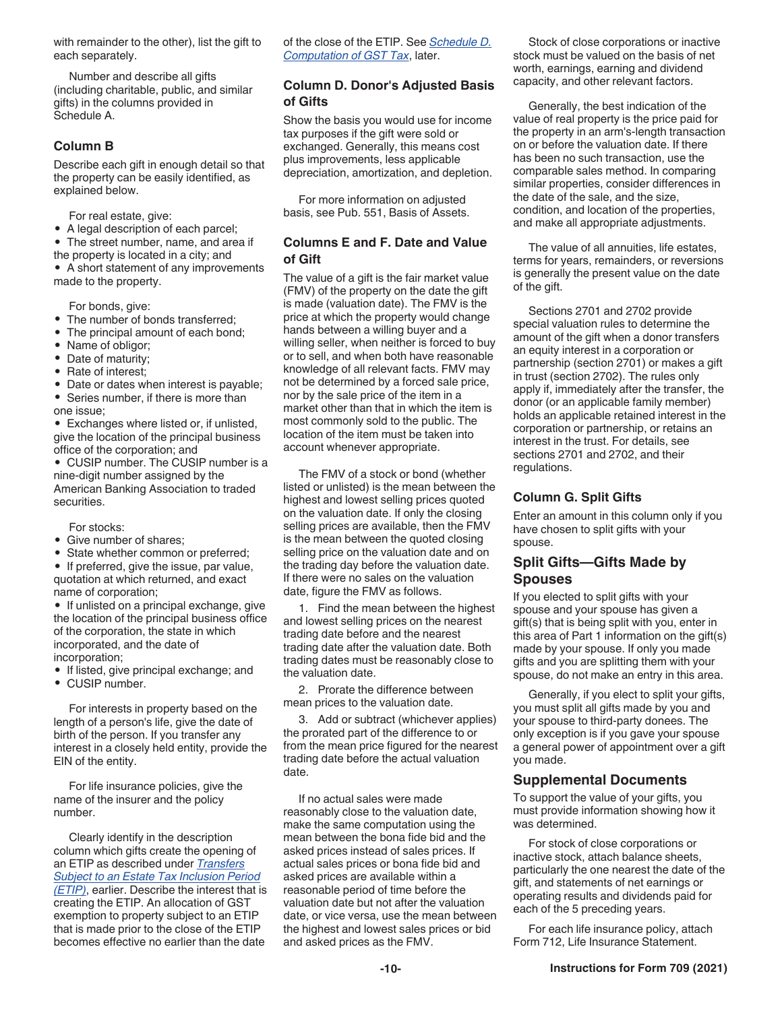with remainder to the other), list the gift to each separately.

Number and describe all gifts (including charitable, public, and similar gifts) in the columns provided in Schedule A.

#### **Column B**

Describe each gift in enough detail so that the property can be easily identified, as explained below.

For real estate, give:

• A legal description of each parcel;

• The street number, name, and area if

the property is located in a city; and • A short statement of any improvements made to the property.

For bonds, give:

- The number of bonds transferred;
- The principal amount of each bond;
- Name of obligor;
- Date of maturity;
- Rate of interest;

• Date or dates when interest is payable;<br>• Series number if there is more than

Series number, if there is more than one issue;

• Exchanges where listed or, if unlisted, give the location of the principal business office of the corporation; and

• CUSIP number. The CUSIP number is a nine-digit number assigned by the American Banking Association to traded securities.

For stocks:

- Give number of shares;
- State whether common or preferred;

• If preferred, give the issue, par value, quotation at which returned, and exact name of corporation;

• If unlisted on a principal exchange, give the location of the principal business office of the corporation, the state in which incorporated, and the date of incorporation;

- If listed, give principal exchange; and
- CUSIP number.

For interests in property based on the length of a person's life, give the date of birth of the person. If you transfer any interest in a closely held entity, provide the EIN of the entity.

For life insurance policies, give the name of the insurer and the policy number.

Clearly identify in the description column which gifts create the opening of an ETIP as described under *Transfers Subject to an Estate Tax Inclusion Period (ETIP)*, earlier. Describe the interest that is creating the ETIP. An allocation of GST exemption to property subject to an ETIP that is made prior to the close of the ETIP becomes effective no earlier than the date

of the close of the ETIP. See *Schedule D. Computation of GST Tax*, later.

#### **Column D. Donor's Adjusted Basis of Gifts**

Show the basis you would use for income tax purposes if the gift were sold or exchanged. Generally, this means cost plus improvements, less applicable depreciation, amortization, and depletion.

For more information on adjusted basis, see Pub. 551, Basis of Assets.

#### **Columns E and F. Date and Value of Gift**

The value of a gift is the fair market value (FMV) of the property on the date the gift is made (valuation date). The FMV is the price at which the property would change hands between a willing buyer and a willing seller, when neither is forced to buy or to sell, and when both have reasonable knowledge of all relevant facts. FMV may not be determined by a forced sale price, nor by the sale price of the item in a market other than that in which the item is most commonly sold to the public. The location of the item must be taken into account whenever appropriate.

The FMV of a stock or bond (whether listed or unlisted) is the mean between the highest and lowest selling prices quoted on the valuation date. If only the closing selling prices are available, then the FMV is the mean between the quoted closing selling price on the valuation date and on the trading day before the valuation date. If there were no sales on the valuation date, figure the FMV as follows.

1. Find the mean between the highest and lowest selling prices on the nearest trading date before and the nearest trading date after the valuation date. Both trading dates must be reasonably close to the valuation date.

2. Prorate the difference between mean prices to the valuation date.

3. Add or subtract (whichever applies) the prorated part of the difference to or from the mean price figured for the nearest trading date before the actual valuation date.

If no actual sales were made reasonably close to the valuation date, make the same computation using the mean between the bona fide bid and the asked prices instead of sales prices. If actual sales prices or bona fide bid and asked prices are available within a reasonable period of time before the valuation date but not after the valuation date, or vice versa, use the mean between the highest and lowest sales prices or bid and asked prices as the FMV.

Stock of close corporations or inactive stock must be valued on the basis of net worth, earnings, earning and dividend capacity, and other relevant factors.

Generally, the best indication of the value of real property is the price paid for the property in an arm's-length transaction on or before the valuation date. If there has been no such transaction, use the comparable sales method. In comparing similar properties, consider differences in the date of the sale, and the size, condition, and location of the properties, and make all appropriate adjustments.

The value of all annuities, life estates, terms for years, remainders, or reversions is generally the present value on the date of the gift.

Sections 2701 and 2702 provide special valuation rules to determine the amount of the gift when a donor transfers an equity interest in a corporation or partnership (section 2701) or makes a gift in trust (section 2702). The rules only apply if, immediately after the transfer, the donor (or an applicable family member) holds an applicable retained interest in the corporation or partnership, or retains an interest in the trust. For details, see sections 2701 and 2702, and their regulations.

#### **Column G. Split Gifts**

Enter an amount in this column only if you have chosen to split gifts with your spouse.

#### **Split Gifts—Gifts Made by Spouses**

If you elected to split gifts with your spouse and your spouse has given a gift(s) that is being split with you, enter in this area of Part 1 information on the gift(s) made by your spouse. If only you made gifts and you are splitting them with your spouse, do not make an entry in this area.

Generally, if you elect to split your gifts, you must split all gifts made by you and your spouse to third-party donees. The only exception is if you gave your spouse a general power of appointment over a gift you made.

#### **Supplemental Documents**

To support the value of your gifts, you must provide information showing how it was determined.

For stock of close corporations or inactive stock, attach balance sheets, particularly the one nearest the date of the gift, and statements of net earnings or operating results and dividends paid for each of the 5 preceding years.

For each life insurance policy, attach Form 712, Life Insurance Statement.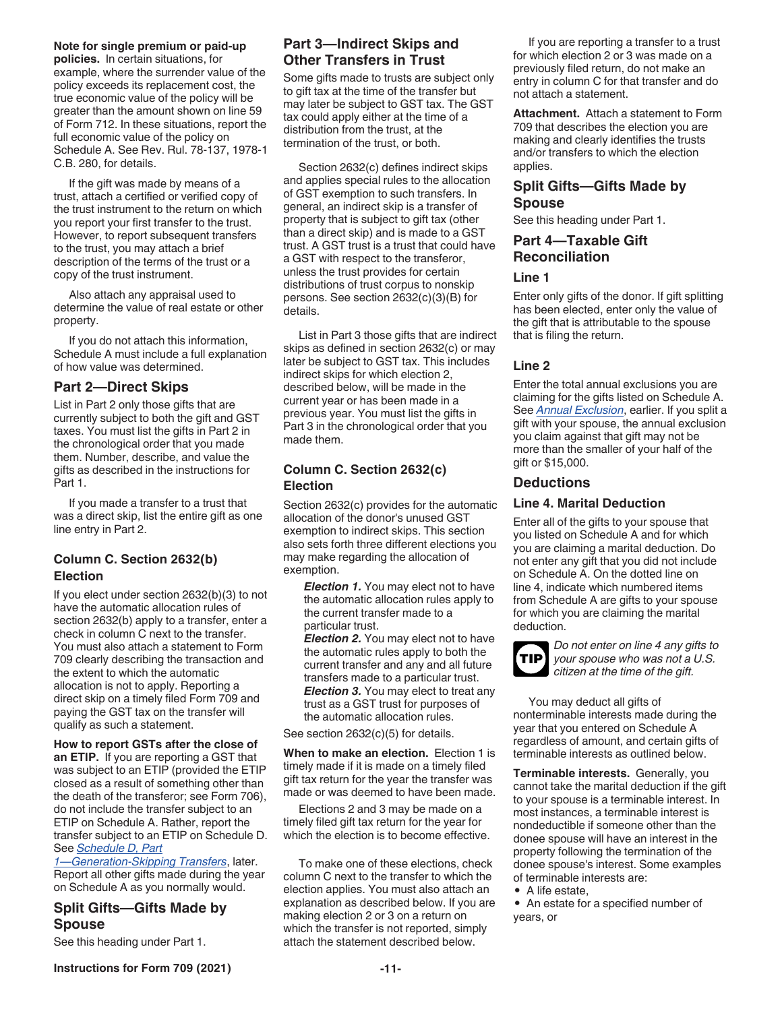#### **Note for single premium or paid-up**

**policies.** In certain situations, for example, where the surrender value of the policy exceeds its replacement cost, the true economic value of the policy will be greater than the amount shown on line 59 of Form 712. In these situations, report the full economic value of the policy on Schedule A. See Rev. Rul. 78-137, 1978-1 C.B. 280, for details.

If the gift was made by means of a trust, attach a certified or verified copy of the trust instrument to the return on which you report your first transfer to the trust. However, to report subsequent transfers to the trust, you may attach a brief description of the terms of the trust or a copy of the trust instrument.

Also attach any appraisal used to determine the value of real estate or other property.

If you do not attach this information, Schedule A must include a full explanation of how value was determined.

#### **Part 2—Direct Skips**

List in Part 2 only those gifts that are currently subject to both the gift and GST taxes. You must list the gifts in Part 2 in the chronological order that you made them. Number, describe, and value the gifts as described in the instructions for Part 1.

If you made a transfer to a trust that was a direct skip, list the entire gift as one line entry in Part 2.

#### **Column C. Section 2632(b) Election**

If you elect under section 2632(b)(3) to not have the automatic allocation rules of section 2632(b) apply to a transfer, enter a check in column C next to the transfer. You must also attach a statement to Form 709 clearly describing the transaction and the extent to which the automatic allocation is not to apply. Reporting a direct skip on a timely filed Form 709 and paying the GST tax on the transfer will qualify as such a statement.

**How to report GSTs after the close of an ETIP.** If you are reporting a GST that was subject to an ETIP (provided the ETIP closed as a result of something other than the death of the transferor; see Form 706), do not include the transfer subject to an ETIP on Schedule A. Rather, report the transfer subject to an ETIP on Schedule D. See *Schedule D, Part* 

*1—Generation-Skipping Transfers*, later. Report all other gifts made during the year on Schedule A as you normally would.

#### **Split Gifts—Gifts Made by Spouse**

See this heading under Part 1.

## **Part 3—Indirect Skips and Other Transfers in Trust**

Some gifts made to trusts are subject only to gift tax at the time of the transfer but may later be subject to GST tax. The GST tax could apply either at the time of a distribution from the trust, at the termination of the trust, or both.

Section 2632(c) defines indirect skips and applies special rules to the allocation of GST exemption to such transfers. In general, an indirect skip is a transfer of property that is subject to gift tax (other than a direct skip) and is made to a GST trust. A GST trust is a trust that could have a GST with respect to the transferor, unless the trust provides for certain distributions of trust corpus to nonskip persons. See section 2632(c)(3)(B) for details.

List in Part 3 those gifts that are indirect skips as defined in section 2632(c) or may later be subject to GST tax. This includes indirect skips for which election 2, described below, will be made in the current year or has been made in a previous year. You must list the gifts in Part 3 in the chronological order that you made them.

#### **Column C. Section 2632(c) Election**

Section 2632(c) provides for the automatic allocation of the donor's unused GST exemption to indirect skips. This section also sets forth three different elections you may make regarding the allocation of exemption.

*Election 1.* You may elect not to have the automatic allocation rules apply to the current transfer made to a particular trust.

*Election 2.* You may elect not to have the automatic rules apply to both the current transfer and any and all future transfers made to a particular trust. *Election 3.* You may elect to treat any trust as a GST trust for purposes of the automatic allocation rules.

See section 2632(c)(5) for details.

**When to make an election.** Election 1 is timely made if it is made on a timely filed gift tax return for the year the transfer was made or was deemed to have been made.

Elections 2 and 3 may be made on a timely filed gift tax return for the year for which the election is to become effective.

To make one of these elections, check column C next to the transfer to which the election applies. You must also attach an explanation as described below. If you are making election 2 or 3 on a return on which the transfer is not reported, simply attach the statement described below.

If you are reporting a transfer to a trust for which election 2 or 3 was made on a previously filed return, do not make an entry in column C for that transfer and do not attach a statement.

**Attachment.** Attach a statement to Form 709 that describes the election you are making and clearly identifies the trusts and/or transfers to which the election applies.

#### **Split Gifts—Gifts Made by Spouse**

See this heading under Part 1.

#### **Part 4—Taxable Gift Reconciliation**

#### **Line 1**

Enter only gifts of the donor. If gift splitting has been elected, enter only the value of the gift that is attributable to the spouse that is filing the return.

#### **Line 2**

Enter the total annual exclusions you are claiming for the gifts listed on Schedule A. See *Annual Exclusion*, earlier. If you split a gift with your spouse, the annual exclusion you claim against that gift may not be more than the smaller of your half of the gift or \$15,000.

#### **Deductions**

#### **Line 4. Marital Deduction**

Enter all of the gifts to your spouse that you listed on Schedule A and for which you are claiming a marital deduction. Do not enter any gift that you did not include on Schedule A. On the dotted line on line 4, indicate which numbered items from Schedule A are gifts to your spouse for which you are claiming the marital deduction.



*Do not enter on line 4 any gifts to your spouse who was not a U.S. citizen at the time of the gift.*

You may deduct all gifts of nonterminable interests made during the year that you entered on Schedule A regardless of amount, and certain gifts of terminable interests as outlined below.

**Terminable interests.** Generally, you cannot take the marital deduction if the gift to your spouse is a terminable interest. In most instances, a terminable interest is nondeductible if someone other than the donee spouse will have an interest in the property following the termination of the donee spouse's interest. Some examples of terminable interests are:

• A life estate,

• An estate for a specified number of years, or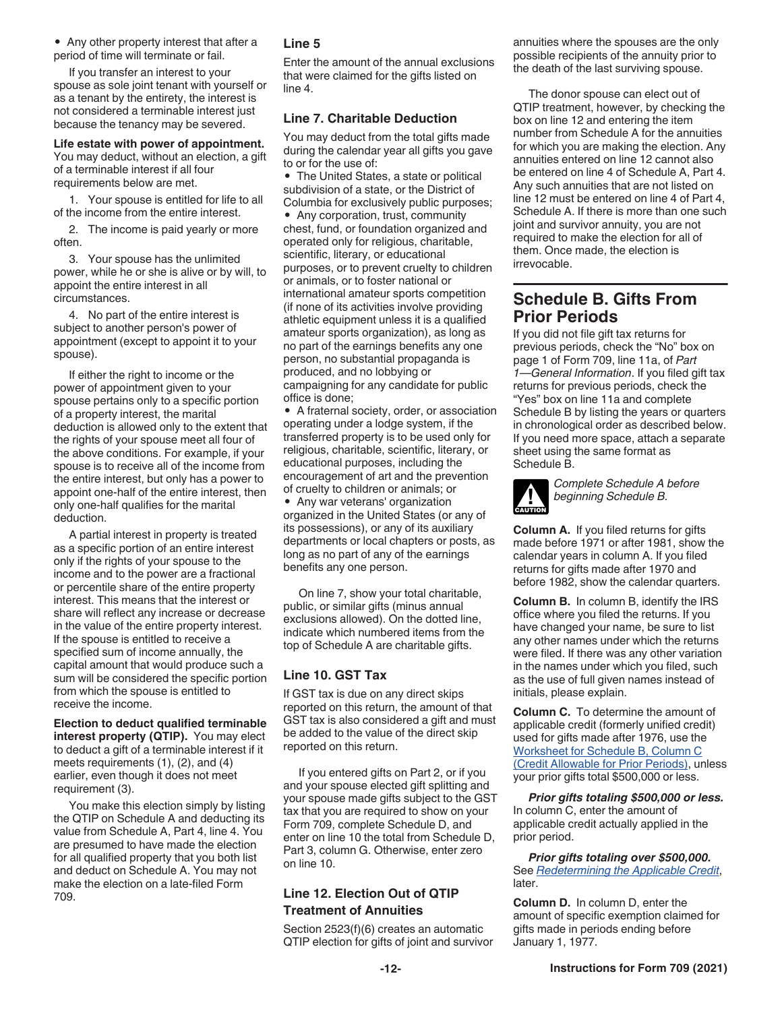• Any other property interest that after a period of time will terminate or fail.

If you transfer an interest to your spouse as sole joint tenant with yourself or as a tenant by the entirety, the interest is not considered a terminable interest just because the tenancy may be severed.

**Life estate with power of appointment.**  You may deduct, without an election, a gift of a terminable interest if all four requirements below are met.

1. Your spouse is entitled for life to all of the income from the entire interest.

2. The income is paid yearly or more often.

3. Your spouse has the unlimited power, while he or she is alive or by will, to appoint the entire interest in all circumstances.

4. No part of the entire interest is subject to another person's power of appointment (except to appoint it to your spouse).

If either the right to income or the power of appointment given to your spouse pertains only to a specific portion of a property interest, the marital deduction is allowed only to the extent that the rights of your spouse meet all four of the above conditions. For example, if your spouse is to receive all of the income from the entire interest, but only has a power to appoint one-half of the entire interest, then only one-half qualifies for the marital deduction.

A partial interest in property is treated as a specific portion of an entire interest only if the rights of your spouse to the income and to the power are a fractional or percentile share of the entire property interest. This means that the interest or share will reflect any increase or decrease in the value of the entire property interest. If the spouse is entitled to receive a specified sum of income annually, the capital amount that would produce such a sum will be considered the specific portion from which the spouse is entitled to receive the income.

**Election to deduct qualified terminable interest property (QTIP).** You may elect to deduct a gift of a terminable interest if it meets requirements (1), (2), and (4) earlier, even though it does not meet requirement (3).

You make this election simply by listing the QTIP on Schedule A and deducting its value from Schedule A, Part 4, line 4. You are presumed to have made the election for all qualified property that you both list and deduct on Schedule A. You may not make the election on a late-filed Form 709.

#### **Line 5**

Enter the amount of the annual exclusions that were claimed for the gifts listed on line 4.

#### **Line 7. Charitable Deduction**

You may deduct from the total gifts made during the calendar year all gifts you gave to or for the use of:

• The United States, a state or political subdivision of a state, or the District of Columbia for exclusively public purposes; • Any corporation, trust, community chest, fund, or foundation organized and operated only for religious, charitable, scientific, literary, or educational purposes, or to prevent cruelty to children or animals, or to foster national or international amateur sports competition (if none of its activities involve providing athletic equipment unless it is a qualified amateur sports organization), as long as no part of the earnings benefits any one person, no substantial propaganda is produced, and no lobbying or campaigning for any candidate for public office is done;

• A fraternal society, order, or association operating under a lodge system, if the transferred property is to be used only for religious, charitable, scientific, literary, or educational purposes, including the encouragement of art and the prevention of cruelty to children or animals; or

• Any war veterans' organization organized in the United States (or any of its possessions), or any of its auxiliary departments or local chapters or posts, as long as no part of any of the earnings benefits any one person.

On line 7, show your total charitable, public, or similar gifts (minus annual exclusions allowed). On the dotted line, indicate which numbered items from the top of Schedule A are charitable gifts.

#### **Line 10. GST Tax**

If GST tax is due on any direct skips reported on this return, the amount of that GST tax is also considered a gift and must be added to the value of the direct skip reported on this return.

If you entered gifts on Part 2, or if you and your spouse elected gift splitting and your spouse made gifts subject to the GST tax that you are required to show on your Form 709, complete Schedule D, and enter on line 10 the total from Schedule D, Part 3, column G. Otherwise, enter zero on line 10.

#### **Line 12. Election Out of QTIP Treatment of Annuities**

Section 2523(f)(6) creates an automatic QTIP election for gifts of joint and survivor annuities where the spouses are the only possible recipients of the annuity prior to the death of the last surviving spouse.

The donor spouse can elect out of QTIP treatment, however, by checking the box on line 12 and entering the item number from Schedule A for the annuities for which you are making the election. Any annuities entered on line 12 cannot also be entered on line 4 of Schedule A, Part 4. Any such annuities that are not listed on line 12 must be entered on line 4 of Part 4, Schedule A. If there is more than one such joint and survivor annuity, you are not required to make the election for all of them. Once made, the election is irrevocable.

## **Schedule B. Gifts From Prior Periods**

If you did not file gift tax returns for previous periods, check the "No" box on page 1 of Form 709, line 11a, of *Part 1—General Information*. If you filed gift tax returns for previous periods, check the "Yes" box on line 11a and complete Schedule B by listing the years or quarters in chronological order as described below. If you need more space, attach a separate sheet using the same format as Schedule B.



*Complete Schedule A before beginning Schedule B.*

**Column A.** If you filed returns for gifts made before 1971 or after 1981, show the calendar years in column A. If you filed returns for gifts made after 1970 and before 1982, show the calendar quarters.

**Column B.** In column B, identify the IRS office where you filed the returns. If you have changed your name, be sure to list any other names under which the returns were filed. If there was any other variation in the names under which you filed, such as the use of full given names instead of initials, please explain.

**Column C.** To determine the amount of applicable credit (formerly unified credit) used for gifts made after 1976, use the Worksheet for Schedule B, Column C (Credit Allowable for Prior Periods), unless your prior gifts total \$500,000 or less.

*Prior gifts totaling \$500,000 or less.*  In column C, enter the amount of applicable credit actually applied in the prior period.

*Prior gifts totaling over \$500,000.*  See *Redetermining the Applicable Credit*, later.

**Column D.** In column D, enter the amount of specific exemption claimed for gifts made in periods ending before January 1, 1977.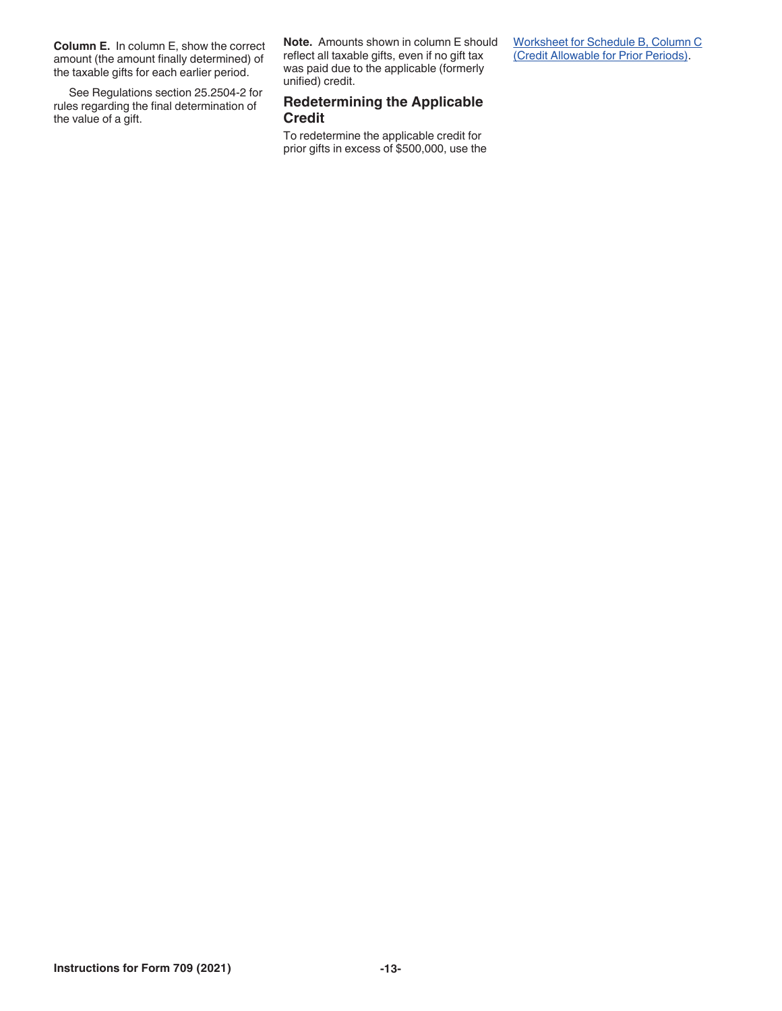**Column E.** In column E, show the correct amount (the amount finally determined) of the taxable gifts for each earlier period.

See Regulations section 25.2504-2 for rules regarding the final determination of the value of a gift.

**Note.** Amounts shown in column E should reflect all taxable gifts, even if no gift tax was paid due to the applicable (formerly unified) credit.

#### **Redetermining the Applicable Credit**

To redetermine the applicable credit for prior gifts in excess of \$500,000, use the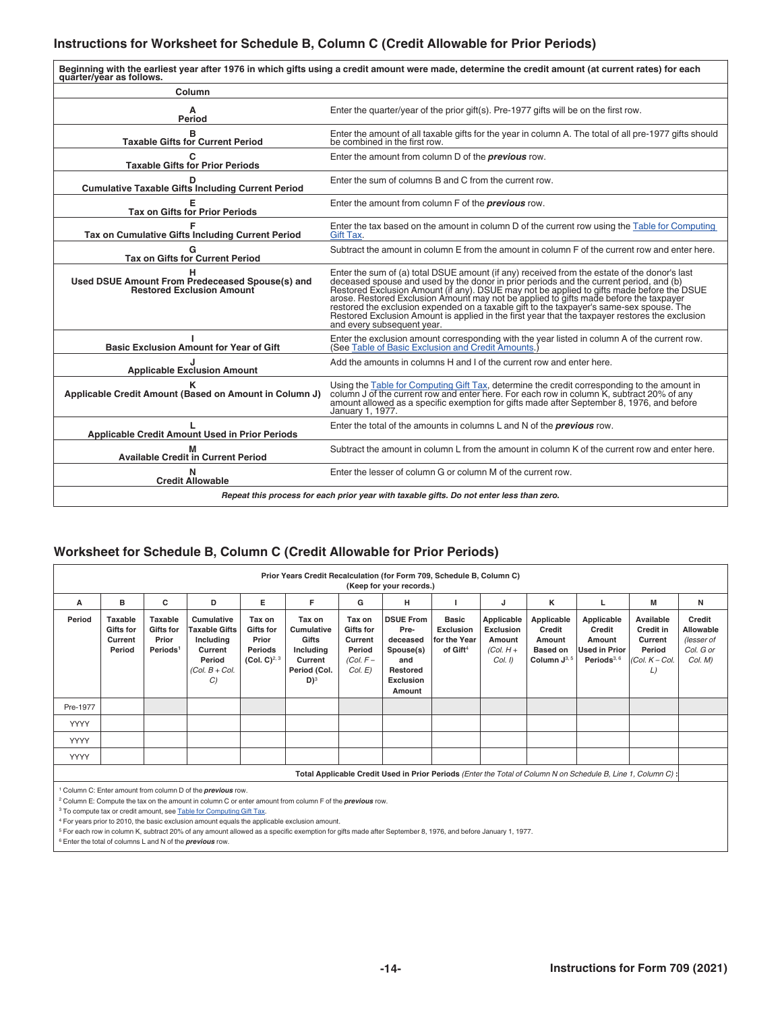#### **Instructions for Worksheet for Schedule B, Column C (Credit Allowable for Prior Periods)**

| quarter/year as follows.                                                                 | Beginning with the earliest year after 1976 in which gifts using a credit amount were made, determine the credit amount (at current rates) for each                                                                                                                                                                                                                |  |  |  |  |  |
|------------------------------------------------------------------------------------------|--------------------------------------------------------------------------------------------------------------------------------------------------------------------------------------------------------------------------------------------------------------------------------------------------------------------------------------------------------------------|--|--|--|--|--|
| Column                                                                                   |                                                                                                                                                                                                                                                                                                                                                                    |  |  |  |  |  |
| A<br>Period                                                                              | Enter the quarter/year of the prior gift(s). Pre-1977 gifts will be on the first row.                                                                                                                                                                                                                                                                              |  |  |  |  |  |
| в<br><b>Taxable Gifts for Current Period</b>                                             | Enter the amount of all taxable gifts for the year in column A. The total of all pre-1977 gifts should<br>be combined in the first row.                                                                                                                                                                                                                            |  |  |  |  |  |
| c<br><b>Taxable Gifts for Prior Periods</b>                                              | Enter the amount from column D of the <i>previous</i> row.                                                                                                                                                                                                                                                                                                         |  |  |  |  |  |
| D<br><b>Cumulative Taxable Gifts Including Current Period</b>                            | Enter the sum of columns B and C from the current row.                                                                                                                                                                                                                                                                                                             |  |  |  |  |  |
| Е<br><b>Tax on Gifts for Prior Periods</b>                                               | Enter the amount from column F of the <i>previous</i> row.                                                                                                                                                                                                                                                                                                         |  |  |  |  |  |
| Tax on Cumulative Gifts Including Current Period                                         | Enter the tax based on the amount in column D of the current row using the Table for Computing<br>Gift Tax.                                                                                                                                                                                                                                                        |  |  |  |  |  |
| G<br><b>Tax on Gifts for Current Period</b>                                              | Subtract the amount in column E from the amount in column F of the current row and enter here.                                                                                                                                                                                                                                                                     |  |  |  |  |  |
| н<br>Used DSUE Amount From Predeceased Spouse(s) and<br>Restored Exclusion Amount        | Enter the sum of (a) total DSUE amount (if any) received from the estate of the donor's last<br>Line start of the donor in prior periods and the current period, and (b)<br>deceased spouse and used by the donor in prior periods and the current period, and (b)<br>Restored Exclusion Amount (if any). DSUE may not be applied to<br>and every subsequent year. |  |  |  |  |  |
| <b>Basic Exclusion Amount for Year of Gift</b>                                           | Enter the exclusion amount corresponding with the year listed in column A of the current row.<br>(See Table of Basic Exclusion and Credit Amounts.)                                                                                                                                                                                                                |  |  |  |  |  |
| <b>Applicable Exclusion Amount</b>                                                       | Add the amounts in columns H and I of the current row and enter here.                                                                                                                                                                                                                                                                                              |  |  |  |  |  |
| Applicable Credit Amount (Based on Amount in Column J)                                   | Using the Table for Computing Gift Tax, determine the credit corresponding to the amount in column J of the current row and enter here. For each row in column K, subtract 20% of any<br>amount allowed as a specific exemption for gifts made after September 8, 1976, and before<br>January 1, 1977.                                                             |  |  |  |  |  |
| Applicable Credit Amount Used in Prior Periods                                           | Enter the total of the amounts in columns L and N of the <i>previous</i> row.                                                                                                                                                                                                                                                                                      |  |  |  |  |  |
| M<br><b>Available Credit in Current Period</b>                                           | Subtract the amount in column L from the amount in column K of the current row and enter here.                                                                                                                                                                                                                                                                     |  |  |  |  |  |
| N<br><b>Credit Allowable</b>                                                             | Enter the lesser of column G or column M of the current row.                                                                                                                                                                                                                                                                                                       |  |  |  |  |  |
| Repeat this process for each prior year with taxable gifts. Do not enter less than zero. |                                                                                                                                                                                                                                                                                                                                                                    |  |  |  |  |  |

#### **Worksheet for Schedule B, Column C (Credit Allowable for Prior Periods)**

|             | Prior Years Credit Recalculation (for Form 709, Schedule B, Column C)<br>(Keep for your records.)                                                                                                                                                                                              |                                                       |                                                                                                |                                                                     |                                                                                           |                                                                    |                                                                                                    |                                                                      |                                                                      |                                                                   |                                                                            |                                                                             |                                                           |
|-------------|------------------------------------------------------------------------------------------------------------------------------------------------------------------------------------------------------------------------------------------------------------------------------------------------|-------------------------------------------------------|------------------------------------------------------------------------------------------------|---------------------------------------------------------------------|-------------------------------------------------------------------------------------------|--------------------------------------------------------------------|----------------------------------------------------------------------------------------------------|----------------------------------------------------------------------|----------------------------------------------------------------------|-------------------------------------------------------------------|----------------------------------------------------------------------------|-----------------------------------------------------------------------------|-----------------------------------------------------------|
| A           | в                                                                                                                                                                                                                                                                                              | c                                                     | D                                                                                              | Е                                                                   | Е                                                                                         | G                                                                  | н                                                                                                  |                                                                      | u                                                                    | κ                                                                 |                                                                            | M                                                                           | N                                                         |
| Period      | Taxable<br><b>Gifts for</b><br>Current<br>Period                                                                                                                                                                                                                                               | Taxable<br>Gifts for<br>Prior<br>Periods <sup>1</sup> | Cumulative<br><b>Taxable Gifts</b><br>Including<br>Current<br>Period<br>$(Col. B + Col.$<br>C) | Tax on<br><b>Gifts for</b><br>Prior<br>Periods<br>$(Col. C)^{2, 3}$ | Tax on<br>Cumulative<br>Gifts<br>Including<br>Current<br>Period (Col.<br>$D$ <sup>3</sup> | Tax on<br>Gifts for<br>Current<br>Period<br>$(Col. F -$<br>Col. E) | <b>DSUE From</b><br>Pre-<br>deceased<br>Spouse(s)<br>and<br>Restored<br><b>Exclusion</b><br>Amount | <b>Basic</b><br>Exclusion<br>for the Year<br>of $G$ ift <sup>4</sup> | Applicable<br><b>Exclusion</b><br>Amount<br>$(Col. H +$<br>$Col.$ I) | Applicable<br>Credit<br>Amount<br><b>Based on</b><br>Column J3, 5 | Applicable<br>Credit<br>Amount<br>Used in Prior<br>Periods <sup>3, 6</sup> | Available<br><b>Credit in</b><br>Current<br>Period<br>$ COL K - Col.$<br>L) | Credit<br>Allowable<br>(lesser of<br>Col. G or<br>Col. M) |
| Pre-1977    |                                                                                                                                                                                                                                                                                                |                                                       |                                                                                                |                                                                     |                                                                                           |                                                                    |                                                                                                    |                                                                      |                                                                      |                                                                   |                                                                            |                                                                             |                                                           |
| <b>YYYY</b> |                                                                                                                                                                                                                                                                                                |                                                       |                                                                                                |                                                                     |                                                                                           |                                                                    |                                                                                                    |                                                                      |                                                                      |                                                                   |                                                                            |                                                                             |                                                           |
| <b>YYYY</b> |                                                                                                                                                                                                                                                                                                |                                                       |                                                                                                |                                                                     |                                                                                           |                                                                    |                                                                                                    |                                                                      |                                                                      |                                                                   |                                                                            |                                                                             |                                                           |
| <b>YYYY</b> |                                                                                                                                                                                                                                                                                                |                                                       |                                                                                                |                                                                     |                                                                                           |                                                                    |                                                                                                    |                                                                      |                                                                      |                                                                   |                                                                            |                                                                             |                                                           |
|             | Total Applicable Credit Used in Prior Periods (Enter the Total of Column N on Schedule B, Line 1, Column C):                                                                                                                                                                                   |                                                       |                                                                                                |                                                                     |                                                                                           |                                                                    |                                                                                                    |                                                                      |                                                                      |                                                                   |                                                                            |                                                                             |                                                           |
|             | <sup>1</sup> Column C: Enter amount from column D of the <i>previous</i> row.<br><sup>2</sup> Column E: Compute the tax on the amount in column C or enter amount from column F of the <i>previous</i> row.<br><sup>3</sup> To compute tax or credit amount, see Table for Computing Gift Tax. |                                                       |                                                                                                |                                                                     |                                                                                           |                                                                    |                                                                                                    |                                                                      |                                                                      |                                                                   |                                                                            |                                                                             |                                                           |

4 For years prior to 2010, the basic exclusion amount equals the applicable exclusion amount.

5 For each row in column K, subtract 20% of any amount allowed as a specific exemption for gifts made after September 8, 1976, and before January 1, 1977.

6 Enter the total of columns L and N of the *previous* row.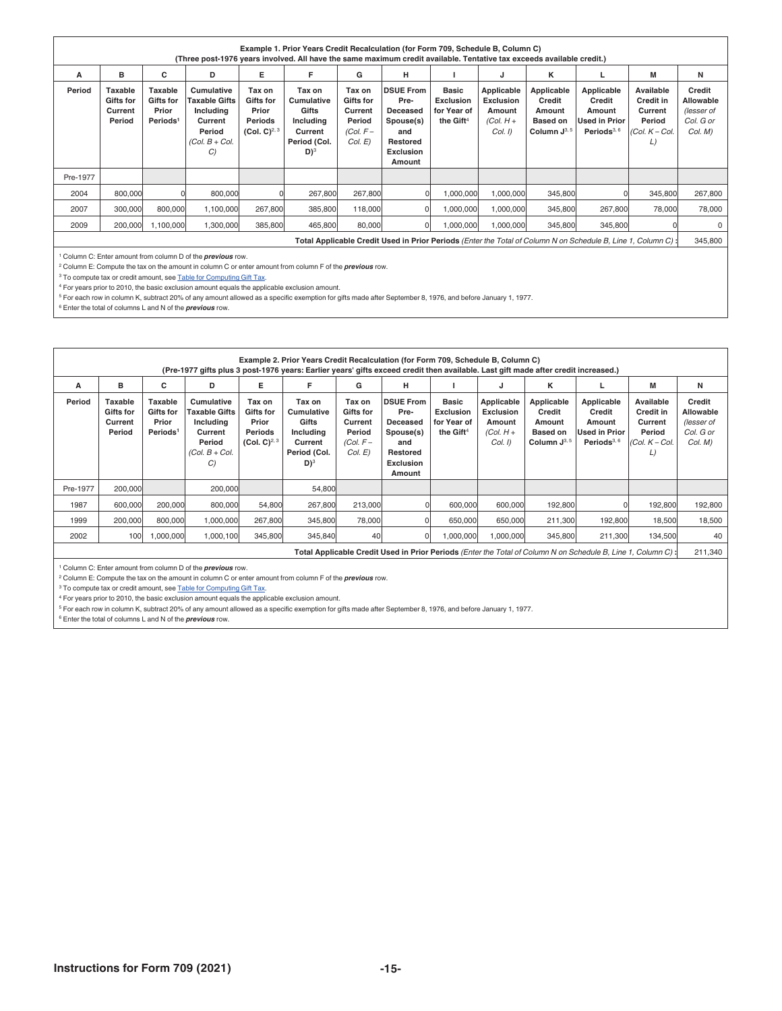| Example 1. Prior Years Credit Recalculation (for Form 709, Schedule B, Column C)<br>(Three post-1976 years involved. All have the same maximum credit available. Tentative tax exceeds available credit.)                                                                                                                                                                                                                                                                                                                                                                                                                                                                                                                                                                          |                                           |                                                                     |                                                                                                |                                                              |                                                                                           |                                                                    |                                                                                                    |                                                                 |                                                                      |                                                                   |                                                                            |                                                                              |                                                           |
|------------------------------------------------------------------------------------------------------------------------------------------------------------------------------------------------------------------------------------------------------------------------------------------------------------------------------------------------------------------------------------------------------------------------------------------------------------------------------------------------------------------------------------------------------------------------------------------------------------------------------------------------------------------------------------------------------------------------------------------------------------------------------------|-------------------------------------------|---------------------------------------------------------------------|------------------------------------------------------------------------------------------------|--------------------------------------------------------------|-------------------------------------------------------------------------------------------|--------------------------------------------------------------------|----------------------------------------------------------------------------------------------------|-----------------------------------------------------------------|----------------------------------------------------------------------|-------------------------------------------------------------------|----------------------------------------------------------------------------|------------------------------------------------------------------------------|-----------------------------------------------------------|
| А                                                                                                                                                                                                                                                                                                                                                                                                                                                                                                                                                                                                                                                                                                                                                                                  | в                                         | С                                                                   | D                                                                                              | Е                                                            | F                                                                                         | G                                                                  | н                                                                                                  |                                                                 |                                                                      | κ                                                                 |                                                                            | M                                                                            | N                                                         |
| Period                                                                                                                                                                                                                                                                                                                                                                                                                                                                                                                                                                                                                                                                                                                                                                             | Taxable<br>Gifts for<br>Current<br>Period | <b>Taxable</b><br><b>Gifts for</b><br>Prior<br>Periods <sup>1</sup> | <b>Cumulative</b><br>Taxable Gifts<br>Includina<br>Current<br>Period<br>$(Col. B + Col.$<br>C) | Tax on<br>Gifts for<br>Prior<br>Periods<br>$(Col. C)^{2, 3}$ | Tax on<br>Cumulative<br>Gifts<br>Including<br>Current<br>Period (Col.<br>$D$ <sup>3</sup> | Tax on<br>Gifts for<br>Current<br>Period<br>$(Col. F -$<br>Col. E) | <b>DSUE From</b><br>Pre-<br>Deceased<br>Spouse(s)<br>and<br>Restored<br><b>Exclusion</b><br>Amount | <b>Basic</b><br><b>Exclusion</b><br>for Year of<br>the Gift $4$ | Applicable<br><b>Exclusion</b><br>Amount<br>$(Col. H +$<br>$Col.$ I) | Applicable<br>Credit<br>Amount<br><b>Based on</b><br>Column J3, 5 | Applicable<br>Credit<br>Amount<br>Used in Prior<br>Periods <sup>3, 6</sup> | Available<br><b>Credit in</b><br>Current<br>Period<br>$(Col. K - Col.$<br>L) | Credit<br>Allowable<br>(lesser of<br>Col. G or<br>Col. M) |
| Pre-1977                                                                                                                                                                                                                                                                                                                                                                                                                                                                                                                                                                                                                                                                                                                                                                           |                                           |                                                                     |                                                                                                |                                                              |                                                                                           |                                                                    |                                                                                                    |                                                                 |                                                                      |                                                                   |                                                                            |                                                                              |                                                           |
| 2004                                                                                                                                                                                                                                                                                                                                                                                                                                                                                                                                                                                                                                                                                                                                                                               | 800,000                                   |                                                                     | 800,000                                                                                        |                                                              | 267,800                                                                                   | 267,800                                                            | $\Omega$                                                                                           | 1,000,000                                                       | 1,000,000                                                            | 345.800                                                           |                                                                            | 345,800                                                                      | 267,800                                                   |
| 2007                                                                                                                                                                                                                                                                                                                                                                                                                                                                                                                                                                                                                                                                                                                                                                               | 300,000                                   | 800,000                                                             | 1,100,000                                                                                      | 267,800                                                      | 385,800                                                                                   | 118,000                                                            |                                                                                                    | 1,000,000                                                       | 1,000,000                                                            | 345,800                                                           | 267,800                                                                    | 78,000                                                                       | 78,000                                                    |
| 2009                                                                                                                                                                                                                                                                                                                                                                                                                                                                                                                                                                                                                                                                                                                                                                               | 200,000                                   | 1.100.000                                                           | 1,300,000                                                                                      | 385,800                                                      | 465,800                                                                                   | 80,000                                                             | 0                                                                                                  | 1,000,000                                                       | 1,000,000                                                            | 345,800                                                           | 345,800                                                                    |                                                                              | 0                                                         |
|                                                                                                                                                                                                                                                                                                                                                                                                                                                                                                                                                                                                                                                                                                                                                                                    |                                           |                                                                     |                                                                                                |                                                              |                                                                                           |                                                                    |                                                                                                    |                                                                 |                                                                      |                                                                   |                                                                            |                                                                              | 345,800                                                   |
| Total Applicable Credit Used in Prior Periods (Enter the Total of Column N on Schedule B, Line 1, Column C):<br><sup>1</sup> Column C: Enter amount from column D of the <i>previous</i> row.<br><sup>2</sup> Column E: Compute the tax on the amount in column C or enter amount from column F of the <b>previous</b> row.<br><sup>3</sup> To compute tax or credit amount, see Table for Computing Gift Tax.<br><sup>4</sup> For years prior to 2010, the basic exclusion amount equals the applicable exclusion amount.<br><sup>5</sup> For each row in column K, subtract 20% of any amount allowed as a specific exemption for gifts made after September 8, 1976, and before January 1, 1977.<br><sup>6</sup> Enter the total of columns L and N of the <i>previous</i> row. |                                           |                                                                     |                                                                                                |                                                              |                                                                                           |                                                                    |                                                                                                    |                                                                 |                                                                      |                                                                   |                                                                            |                                                                              |                                                           |

| Example 2. Prior Years Credit Recalculation (for Form 709, Schedule B, Column C)                                                   |                                           |                                                       |                                                                                                |                                                                     |                                                                                          |                                                                           |                                                                                                    |                                                                      |                                                                      |                                                                   |                                                                   |                                                                             |                                                           |
|------------------------------------------------------------------------------------------------------------------------------------|-------------------------------------------|-------------------------------------------------------|------------------------------------------------------------------------------------------------|---------------------------------------------------------------------|------------------------------------------------------------------------------------------|---------------------------------------------------------------------------|----------------------------------------------------------------------------------------------------|----------------------------------------------------------------------|----------------------------------------------------------------------|-------------------------------------------------------------------|-------------------------------------------------------------------|-----------------------------------------------------------------------------|-----------------------------------------------------------|
| (Pre-1977 gifts plus 3 post-1976 years: Earlier years' gifts exceed credit then available. Last gift made after credit increased.) |                                           |                                                       |                                                                                                |                                                                     |                                                                                          |                                                                           |                                                                                                    |                                                                      |                                                                      |                                                                   |                                                                   |                                                                             |                                                           |
| A                                                                                                                                  | в                                         | С                                                     | D                                                                                              | Е                                                                   | F                                                                                        | G                                                                         | н                                                                                                  |                                                                      | J                                                                    | Κ                                                                 |                                                                   | M                                                                           | N                                                         |
| Period                                                                                                                             | Taxable<br>Gifts for<br>Current<br>Period | Taxable<br>Gifts for<br>Prior<br>Periods <sup>1</sup> | Cumulative<br><b>Taxable Gifts</b><br>Including<br>Current<br>Period<br>$(Col. B + Col.$<br>C) | Tax on<br>Gifts for<br>Prior<br><b>Periods</b><br>$(Col. C)^{2, 3}$ | Tax on<br>Cumulative<br>Gifts<br>Including<br>Current<br>Period (Col.<br>D) <sup>3</sup> | Tax on<br><b>Gifts for</b><br>Current<br>Period<br>$(Col. F -$<br>Col. E) | <b>DSUE From</b><br>Pre-<br>Deceased<br>Spouse(s)<br>and<br>Restored<br><b>Exclusion</b><br>Amount | Basic<br><b>Exclusion</b><br>for Year of<br>the $G$ ift <sup>4</sup> | Applicable<br><b>Exclusion</b><br>Amount<br>$(Col. H +$<br>$Col.$ I) | Applicable<br>Credit<br>Amount<br><b>Based on</b><br>Column J3, 5 | Applicable<br>Credit<br>Amount<br>Used in Prior<br>Periods $3, 6$ | Available<br><b>Credit in</b><br>Current<br>Period<br> (Col. K – Col.<br>L) | Credit<br>Allowable<br>(lesser of<br>Col. G or<br>Col. M) |
| Pre-1977                                                                                                                           | 200,000                                   |                                                       | 200,000                                                                                        |                                                                     | 54,800                                                                                   |                                                                           |                                                                                                    |                                                                      |                                                                      |                                                                   |                                                                   |                                                                             |                                                           |
| 1987                                                                                                                               | 600,000                                   | 200,000                                               | 800,000                                                                                        | 54,800                                                              | 267,800                                                                                  | 213,000                                                                   |                                                                                                    | 600,000                                                              | 600,000                                                              | 192,800                                                           |                                                                   | 192,800                                                                     | 192,800                                                   |
| 1999                                                                                                                               | 200,000                                   | 800,000                                               | 1,000,000                                                                                      | 267,800                                                             | 345,800                                                                                  | 78,000                                                                    |                                                                                                    | 650,000                                                              | 650,000                                                              | 211,300                                                           | 192,800                                                           | 18,500                                                                      | 18,500                                                    |
| 2002                                                                                                                               | 100 <sup>1</sup>                          | 1,000,000                                             | 1,000,100                                                                                      | 345,800                                                             | 345,840                                                                                  | 40                                                                        | O                                                                                                  | 1,000,000                                                            | 1,000,000                                                            | 345,800                                                           | 211.300                                                           | 134.500                                                                     | 40                                                        |
| Total Applicable Credit Used in Prior Periods (Enter the Total of Column N on Schedule B, Line 1, Column C):                       |                                           |                                                       |                                                                                                |                                                                     |                                                                                          |                                                                           |                                                                                                    |                                                                      |                                                                      | 211,340                                                           |                                                                   |                                                                             |                                                           |
|                                                                                                                                    |                                           |                                                       | <sup>1</sup> Column C: Enter amount from column $\overline{D}$ of the <b>previous</b> row      |                                                                     |                                                                                          |                                                                           |                                                                                                    |                                                                      |                                                                      |                                                                   |                                                                   |                                                                             |                                                           |

<sup>1</sup> Column C: Enter amount from column D of the *previous* row.<br><sup>2</sup> Column E: Compute the tax on the amount in column C or enter amount from column F of the *previous* row.<br><sup>3 T</sup>o compute tax or credit amount, see <u>Table f</u>

<sup>5</sup> For each row in column K, subtract 20% of any amount allowed as a specific exemption for gifts made after September 8, 1976, and before January 1, 1977.<br><sup>6</sup> Enter the total of columns L and N of the *previous* row.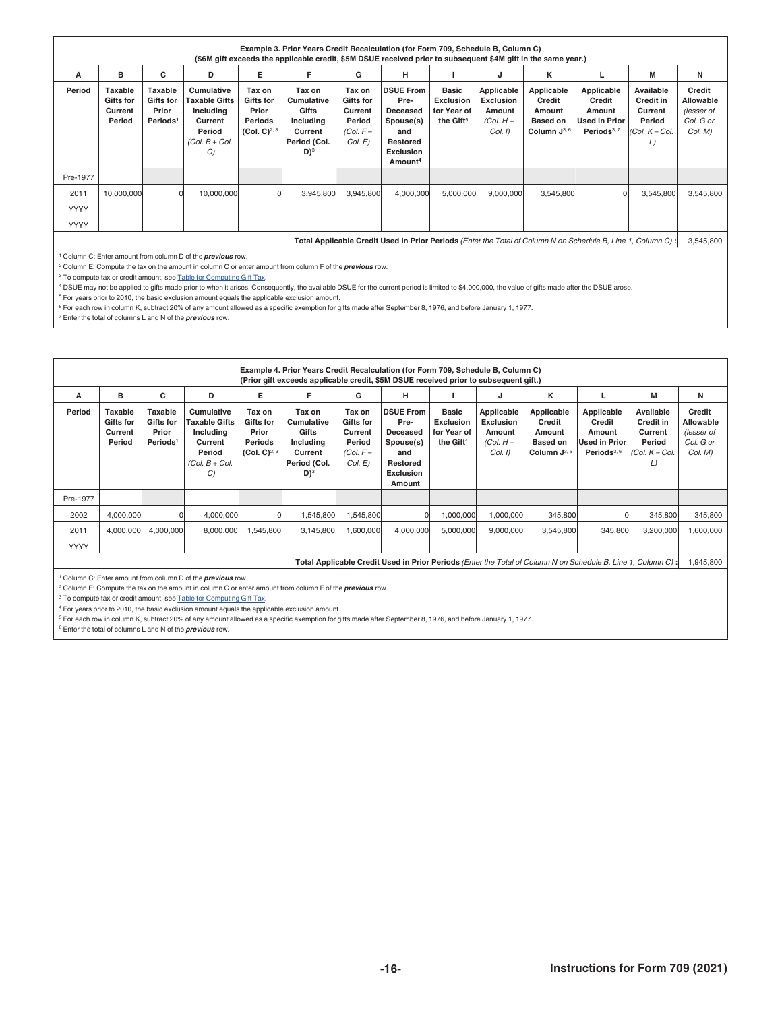| Example 3. Prior Years Credit Recalculation (for Form 709, Schedule B, Column C)<br>(\$6M gift exceeds the applicable credit, \$5M DSUE received prior to subsequent \$4M gift in the same year.) |                                                                                                                                                                                                                                                                                                                                                                                                                                                                                                                                                                                                                     |                                                       |                                                                                         |                                                              |                                                                                          |                                                                           |                                                                                                                 |                                                                   |                                                                      |                                                                   |                                                                            |                                                                                  |                                                           |
|---------------------------------------------------------------------------------------------------------------------------------------------------------------------------------------------------|---------------------------------------------------------------------------------------------------------------------------------------------------------------------------------------------------------------------------------------------------------------------------------------------------------------------------------------------------------------------------------------------------------------------------------------------------------------------------------------------------------------------------------------------------------------------------------------------------------------------|-------------------------------------------------------|-----------------------------------------------------------------------------------------|--------------------------------------------------------------|------------------------------------------------------------------------------------------|---------------------------------------------------------------------------|-----------------------------------------------------------------------------------------------------------------|-------------------------------------------------------------------|----------------------------------------------------------------------|-------------------------------------------------------------------|----------------------------------------------------------------------------|----------------------------------------------------------------------------------|-----------------------------------------------------------|
| А                                                                                                                                                                                                 | в                                                                                                                                                                                                                                                                                                                                                                                                                                                                                                                                                                                                                   | C                                                     | D                                                                                       | Е                                                            | F                                                                                        | G                                                                         | н                                                                                                               |                                                                   | J                                                                    | κ                                                                 |                                                                            | M                                                                                | N                                                         |
| Period                                                                                                                                                                                            | Taxable<br><b>Gifts for</b><br>Current<br>Period                                                                                                                                                                                                                                                                                                                                                                                                                                                                                                                                                                    | Taxable<br>Gifts for<br>Prior<br>Periods <sup>1</sup> | Cumulative<br>Taxable Gifts<br>Including<br>Current<br>Period<br>$(Col. B + Col.$<br>C) | Tax on<br>Gifts for<br>Prior<br>Periods<br>$(Col. C)^{2, 3}$ | Tax on<br>Cumulative<br>Gifts<br>Including<br>Current<br>Period (Col.<br>D) <sup>3</sup> | Tax on<br><b>Gifts for</b><br>Current<br>Period<br>$(Col. F -$<br>Col. E) | <b>DSUE From</b><br>Pre-<br>Deceased<br>Spouse(s)<br>and<br>Restored<br><b>Exclusion</b><br>Amount <sup>4</sup> | <b>Basic</b><br>Exclusion<br>for Year of<br>the Gift <sup>5</sup> | Applicable<br><b>Exclusion</b><br>Amount<br>$(Col. H +$<br>$Col.$ I) | Applicable<br>Credit<br>Amount<br><b>Based on</b><br>Column J3, 6 | Applicable<br>Credit<br>Amount<br>Used in Prior<br>Periods <sup>3, 7</sup> | Available<br>Credit in<br>Current<br>Period<br>$ COL, K - Col.$<br>$\mathcal{L}$ | Credit<br>Allowable<br>(lesser of<br>Col. G or<br>Col. M) |
| Pre-1977                                                                                                                                                                                          |                                                                                                                                                                                                                                                                                                                                                                                                                                                                                                                                                                                                                     |                                                       |                                                                                         |                                                              |                                                                                          |                                                                           |                                                                                                                 |                                                                   |                                                                      |                                                                   |                                                                            |                                                                                  |                                                           |
| 2011                                                                                                                                                                                              | 10,000,000                                                                                                                                                                                                                                                                                                                                                                                                                                                                                                                                                                                                          |                                                       | 10,000,000                                                                              |                                                              | 3,945,800                                                                                | 3,945,800                                                                 | 4,000,000                                                                                                       | 5,000,000                                                         | 9,000,000                                                            | 3,545,800                                                         |                                                                            | 3,545,800                                                                        | 3,545,800                                                 |
| <b>YYYY</b>                                                                                                                                                                                       |                                                                                                                                                                                                                                                                                                                                                                                                                                                                                                                                                                                                                     |                                                       |                                                                                         |                                                              |                                                                                          |                                                                           |                                                                                                                 |                                                                   |                                                                      |                                                                   |                                                                            |                                                                                  |                                                           |
| <b>YYYY</b>                                                                                                                                                                                       |                                                                                                                                                                                                                                                                                                                                                                                                                                                                                                                                                                                                                     |                                                       |                                                                                         |                                                              |                                                                                          |                                                                           |                                                                                                                 |                                                                   |                                                                      |                                                                   |                                                                            |                                                                                  |                                                           |
|                                                                                                                                                                                                   |                                                                                                                                                                                                                                                                                                                                                                                                                                                                                                                                                                                                                     |                                                       |                                                                                         |                                                              |                                                                                          |                                                                           |                                                                                                                 |                                                                   |                                                                      |                                                                   |                                                                            |                                                                                  | 3,545,800                                                 |
|                                                                                                                                                                                                   | Total Applicable Credit Used in Prior Periods (Enter the Total of Column N on Schedule B, Line 1, Column C):<br><sup>1</sup> Column C: Enter amount from column D of the <i>previous</i> row.<br><sup>2</sup> Column E: Compute the tax on the amount in column C or enter amount from column F of the <i>previous</i> row.<br><sup>3</sup> To compute tax or credit amount, see Table for Computing Gift Tax.<br>4 DSUE may not be applied to gifts made prior to when it arises. Consequently, the available DSUE for the current period is limited to \$4,000,000, the value of gifts made after the DSUE arose. |                                                       |                                                                                         |                                                              |                                                                                          |                                                                           |                                                                                                                 |                                                                   |                                                                      |                                                                   |                                                                            |                                                                                  |                                                           |

<sup>s</sup> For years prior to 2010, the basic exclusion amount equals the applicable exclusion amount.<br><sup>6</sup> For each row in column K, subtract 20% of any amount allowed as a specific exemption for gifts made after September 8, 197

7 Enter the total of columns L and N of the *previous* row.

| Example 4. Prior Years Credit Recalculation (for Form 709, Schedule B, Column C)<br>(Prior gift exceeds applicable credit, \$5M DSUE received prior to subsequent gift.) |                                                  |                                                       |                                                                                         |                                                              |                                                                                             |                                                                           |                                                                                                    |                                                                             |                                                                      |                                                                       |                                                                                                              |                                                                            |                                                           |
|--------------------------------------------------------------------------------------------------------------------------------------------------------------------------|--------------------------------------------------|-------------------------------------------------------|-----------------------------------------------------------------------------------------|--------------------------------------------------------------|---------------------------------------------------------------------------------------------|---------------------------------------------------------------------------|----------------------------------------------------------------------------------------------------|-----------------------------------------------------------------------------|----------------------------------------------------------------------|-----------------------------------------------------------------------|--------------------------------------------------------------------------------------------------------------|----------------------------------------------------------------------------|-----------------------------------------------------------|
| A                                                                                                                                                                        | в                                                | C                                                     | D                                                                                       | Е                                                            | F                                                                                           | G                                                                         | н                                                                                                  |                                                                             | J                                                                    | κ                                                                     |                                                                                                              | M                                                                          | N                                                         |
| Period                                                                                                                                                                   | Taxable<br><b>Gifts for</b><br>Current<br>Period | Taxable<br>Gifts for<br>Prior<br>Periods <sup>1</sup> | Cumulative<br>Taxable Gifts<br>Includina<br>Current<br>Period<br>$(Col. B + Col.$<br>C) | Tax on<br>Gifts for<br>Prior<br>Periods<br>$(Col. C)^{2, 3}$ | Tax on<br>Cumulative<br>Gifts<br>Including<br>Current<br>Period (Col.<br>$D$ ) <sup>3</sup> | Tax on<br><b>Gifts for</b><br>Current<br>Period<br>$(Col. F -$<br>Col. E) | <b>DSUE From</b><br>Pre-<br>Deceased<br>Spouse(s)<br>and<br>Restored<br><b>Exclusion</b><br>Amount | <b>Basic</b><br><b>Exclusion</b><br>for Year of<br>the $G$ ift <sup>4</sup> | Applicable<br><b>Exclusion</b><br>Amount<br>$(Col. H +$<br>$Col.$ I) | Applicable<br>Credit<br>Amount<br><b>Based on</b><br>Column $J^{3,5}$ | Applicable<br>Credit<br>Amount<br>Used in Prior<br>Periods $3,6$                                             | Available<br><b>Credit in</b><br>Current<br>Period<br>ICol. K – Col.<br>L) | Credit<br>Allowable<br>(lesser of<br>Col. G or<br>Col. M) |
| Pre-1977                                                                                                                                                                 |                                                  |                                                       |                                                                                         |                                                              |                                                                                             |                                                                           |                                                                                                    |                                                                             |                                                                      |                                                                       |                                                                                                              |                                                                            |                                                           |
| 2002                                                                                                                                                                     | 4,000,000                                        |                                                       | 4,000,000                                                                               |                                                              | 1,545,800                                                                                   | 1,545,800                                                                 |                                                                                                    | 1,000,000                                                                   | 1,000,000                                                            | 345,800                                                               |                                                                                                              | 345,800                                                                    | 345,800                                                   |
| 2011                                                                                                                                                                     | 4,000,000                                        | 4,000,000                                             | 8,000,000                                                                               | 1,545,800                                                    | 3,145,800                                                                                   | 1,600,000                                                                 | 4,000,000                                                                                          | 5,000,000                                                                   | 9,000,000                                                            | 3,545,800                                                             | 345,800                                                                                                      | 3,200,000                                                                  | 1,600,000                                                 |
| <b>YYYY</b>                                                                                                                                                              |                                                  |                                                       |                                                                                         |                                                              |                                                                                             |                                                                           |                                                                                                    |                                                                             |                                                                      |                                                                       |                                                                                                              |                                                                            |                                                           |
|                                                                                                                                                                          |                                                  |                                                       |                                                                                         |                                                              |                                                                                             |                                                                           |                                                                                                    |                                                                             |                                                                      |                                                                       | Total Applicable Credit Used in Prior Periods (Enter the Total of Column N on Schedule B, Line 1, Column C): |                                                                            | 1,945,800                                                 |

1 Column C: Enter amount from column D of the *previous* row.

2 Column E: Compute the tax on the amount in column C or enter amount from column F of the *previous* row.

<sup>3</sup> To compute tax or credit amount, see Table for Computing Gift Tax.

<sup>4</sup> For years prior to 2010, the basic exclusion amount equals the applicable exclusion amount.<br><sup>5</sup> For each row in column K, subtract 20% of any amount allowed as a specific exemption for gifts made after September 8, 19

6 Enter the total of columns L and N of the *previous* row.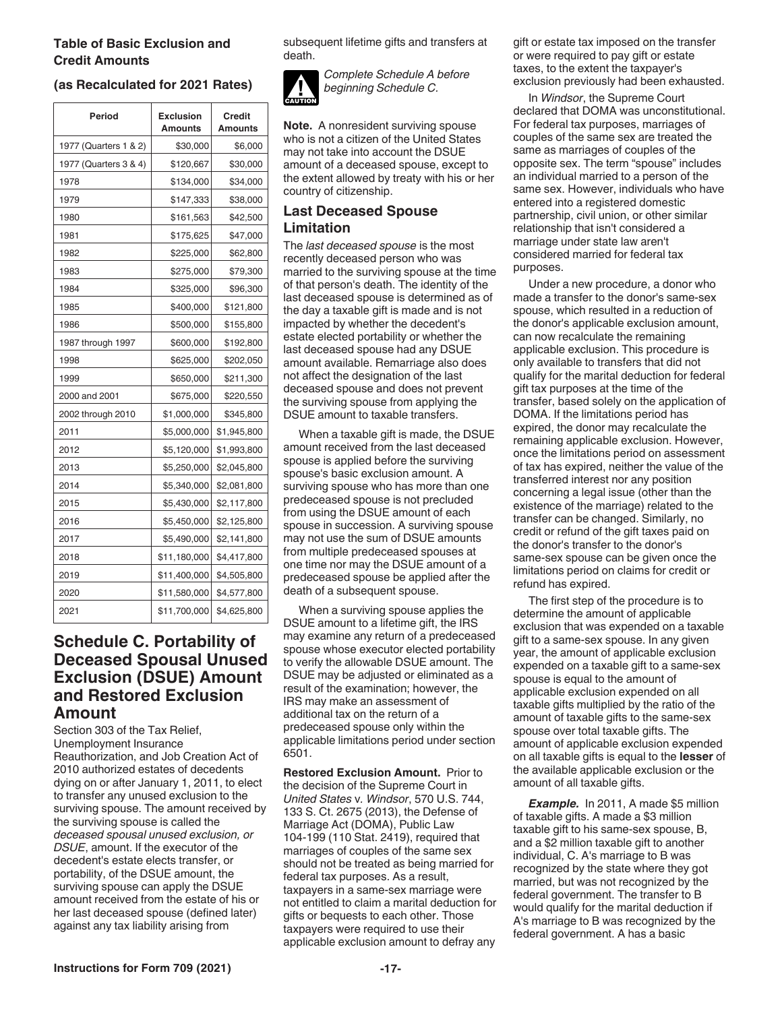#### **Table of Basic Exclusion and Credit Amounts**

#### **(as Recalculated for 2021 Rates)**

| Period                | <b>Exclusion</b><br><b>Amounts</b> | Credit<br>Amounts |
|-----------------------|------------------------------------|-------------------|
| 1977 (Quarters 1 & 2) | \$30,000                           | \$6,000           |
| 1977 (Quarters 3 & 4) | \$120,667                          | \$30,000          |
| 1978                  | \$134,000                          | \$34,000          |
| 1979                  | \$147,333                          | \$38,000          |
| 1980                  | \$161,563                          | \$42,500          |
| 1981                  | \$175,625                          | \$47,000          |
| 1982                  | \$225,000                          | \$62,800          |
| 1983                  | \$275,000                          | \$79,300          |
| 1984                  | \$325,000                          | \$96,300          |
| 1985                  | \$400,000                          | \$121,800         |
| 1986                  | \$500,000                          | \$155,800         |
| 1987 through 1997     | \$600,000                          | \$192,800         |
| 1998                  | \$625,000                          | \$202,050         |
| 1999                  | \$650,000                          | \$211,300         |
| 2000 and 2001         | \$675,000                          | \$220,550         |
| 2002 through 2010     | \$1,000,000                        | \$345,800         |
| 2011                  | \$5,000,000                        | \$1,945,800       |
| 2012                  | \$5,120,000                        | \$1,993,800       |
| 2013                  | \$5,250,000                        | \$2,045,800       |
| 2014                  | \$5,340,000                        | \$2,081,800       |
| 2015                  | \$5,430,000                        | \$2,117,800       |
| 2016                  | \$5,450,000                        | \$2,125,800       |
| 2017                  | \$5,490,000                        | \$2,141,800       |
| 2018                  | \$11,180,000                       | \$4,417,800       |
| 2019                  | \$11,400,000                       | \$4,505,800       |
| 2020                  | \$11,580,000                       | \$4,577,800       |
| 2021                  | \$11,700,000                       | \$4,625,800       |

## **Schedule C. Portability of Deceased Spousal Unused Exclusion (DSUE) Amount and Restored Exclusion Amount**

Section 303 of the Tax Relief, Unemployment Insurance Reauthorization, and Job Creation Act of 2010 authorized estates of decedents dying on or after January 1, 2011, to elect to transfer any unused exclusion to the surviving spouse. The amount received by the surviving spouse is called the *deceased spousal unused exclusion, or DSUE*, amount. If the executor of the decedent's estate elects transfer, or portability, of the DSUE amount, the surviving spouse can apply the DSUE amount received from the estate of his or her last deceased spouse (defined later) against any tax liability arising from

subsequent lifetime gifts and transfers at death.



*Complete Schedule A before beginning Schedule C.*

**Note.** A nonresident surviving spouse who is not a citizen of the United States may not take into account the DSUE amount of a deceased spouse, except to the extent allowed by treaty with his or her country of citizenship.

#### **Last Deceased Spouse Limitation**

The *last deceased spouse* is the most recently deceased person who was married to the surviving spouse at the time of that person's death. The identity of the last deceased spouse is determined as of the day a taxable gift is made and is not impacted by whether the decedent's estate elected portability or whether the last deceased spouse had any DSUE amount available. Remarriage also does not affect the designation of the last deceased spouse and does not prevent the surviving spouse from applying the DSUE amount to taxable transfers.

When a taxable gift is made, the DSUE amount received from the last deceased spouse is applied before the surviving spouse's basic exclusion amount. A surviving spouse who has more than one predeceased spouse is not precluded from using the DSUE amount of each spouse in succession. A surviving spouse may not use the sum of DSUE amounts from multiple predeceased spouses at one time nor may the DSUE amount of a predeceased spouse be applied after the death of a subsequent spouse.

When a surviving spouse applies the DSUE amount to a lifetime gift, the IRS may examine any return of a predeceased spouse whose executor elected portability to verify the allowable DSUE amount. The DSUE may be adjusted or eliminated as a result of the examination; however, the IRS may make an assessment of additional tax on the return of a predeceased spouse only within the applicable limitations period under section 6501.

**Restored Exclusion Amount.** Prior to the decision of the Supreme Court in *United States* v*. Windsor*, 570 U.S. 744, 133 S. Ct. 2675 (2013), the Defense of Marriage Act (DOMA), Public Law 104-199 (110 Stat. 2419), required that marriages of couples of the same sex should not be treated as being married for federal tax purposes. As a result, taxpayers in a same-sex marriage were not entitled to claim a marital deduction for gifts or bequests to each other. Those taxpayers were required to use their applicable exclusion amount to defray any

gift or estate tax imposed on the transfer or were required to pay gift or estate taxes, to the extent the taxpayer's exclusion previously had been exhausted.

In *Windsor*, the Supreme Court declared that DOMA was unconstitutional. For federal tax purposes, marriages of couples of the same sex are treated the same as marriages of couples of the opposite sex. The term "spouse" includes an individual married to a person of the same sex. However, individuals who have entered into a registered domestic partnership, civil union, or other similar relationship that isn't considered a marriage under state law aren't considered married for federal tax purposes.

Under a new procedure, a donor who made a transfer to the donor's same-sex spouse, which resulted in a reduction of the donor's applicable exclusion amount, can now recalculate the remaining applicable exclusion. This procedure is only available to transfers that did not qualify for the marital deduction for federal gift tax purposes at the time of the transfer, based solely on the application of DOMA. If the limitations period has expired, the donor may recalculate the remaining applicable exclusion. However, once the limitations period on assessment of tax has expired, neither the value of the transferred interest nor any position concerning a legal issue (other than the existence of the marriage) related to the transfer can be changed. Similarly, no credit or refund of the gift taxes paid on the donor's transfer to the donor's same-sex spouse can be given once the limitations period on claims for credit or refund has expired.

The first step of the procedure is to determine the amount of applicable exclusion that was expended on a taxable gift to a same-sex spouse. In any given year, the amount of applicable exclusion expended on a taxable gift to a same-sex spouse is equal to the amount of applicable exclusion expended on all taxable gifts multiplied by the ratio of the amount of taxable gifts to the same-sex spouse over total taxable gifts. The amount of applicable exclusion expended on all taxable gifts is equal to the **lesser** of the available applicable exclusion or the amount of all taxable gifts.

**Example.** In 2011, A made \$5 million of taxable gifts. A made a \$3 million taxable gift to his same-sex spouse, B, and a \$2 million taxable gift to another individual, C. A's marriage to B was recognized by the state where they got married, but was not recognized by the federal government. The transfer to B would qualify for the marital deduction if A's marriage to B was recognized by the federal government. A has a basic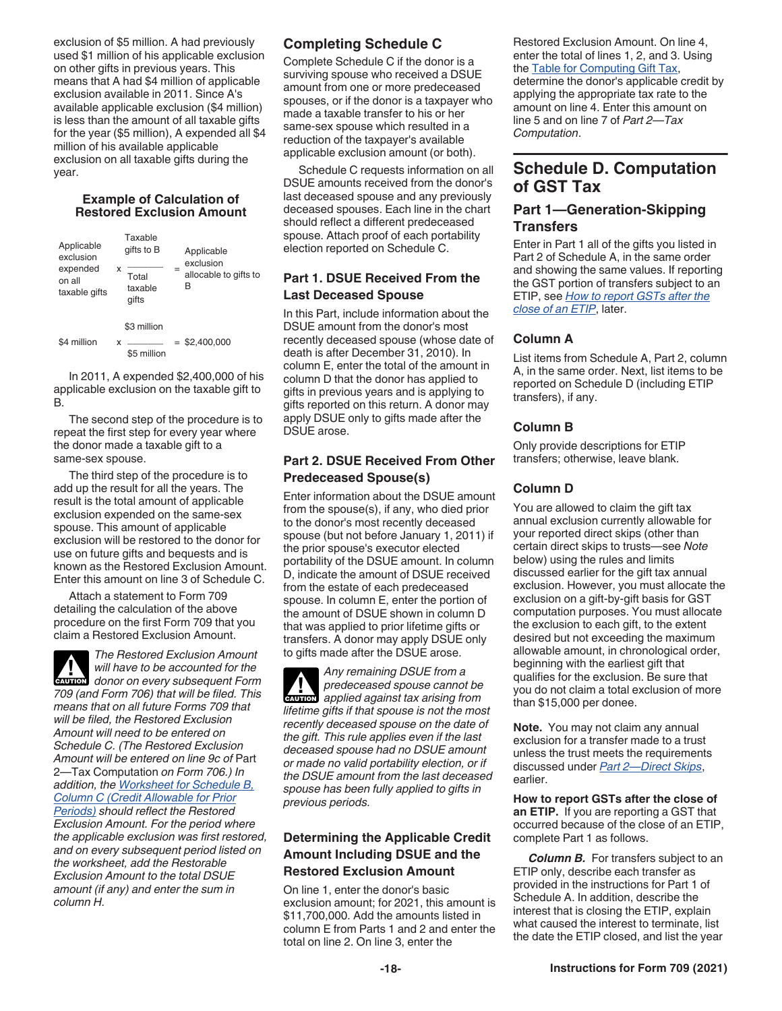exclusion of \$5 million. A had previously used \$1 million of his applicable exclusion on other gifts in previous years. This means that A had \$4 million of applicable exclusion available in 2011. Since A's available applicable exclusion (\$4 million) is less than the amount of all taxable gifts for the year (\$5 million), A expended all \$4 million of his available applicable exclusion on all taxable gifts during the year.

#### **Example of Calculation of Restored Exclusion Amount**

| Applicable<br>exclusion<br>expended<br>on all<br>taxable gifts | Taxable<br>gifts to B<br>x<br>Total<br>taxable<br>gifts | Applicable<br>exclusion<br>allocable to gifts to<br>в |
|----------------------------------------------------------------|---------------------------------------------------------|-------------------------------------------------------|
|                                                                | \$3 million                                             |                                                       |
| \$4 million                                                    | x<br>\$5 million                                        | $=$ \$2,400,000                                       |

In 2011, A expended \$2,400,000 of his applicable exclusion on the taxable gift to B.

The second step of the procedure is to repeat the first step for every year where the donor made a taxable gift to a same-sex spouse.

The third step of the procedure is to add up the result for all the years. The result is the total amount of applicable exclusion expended on the same-sex spouse. This amount of applicable exclusion will be restored to the donor for use on future gifts and bequests and is known as the Restored Exclusion Amount. Enter this amount on line 3 of Schedule C.

Attach a statement to Form 709 detailing the calculation of the above procedure on the first Form 709 that you claim a Restored Exclusion Amount.

*The Restored Exclusion Amount will have to be accounted for the*  will have to be accounted for the **cauncil** donor on every subsequent Form *709 (and Form 706) that will be filed. This means that on all future Forms 709 that will be filed, the Restored Exclusion Amount will need to be entered on Schedule C. (The Restored Exclusion Amount will be entered on line 9c of* Part 2—Tax Computation *on Form 706.) In addition, the Worksheet for Schedule B, Column C (Credit Allowable for Prior Periods) should reflect the Restored Exclusion Amount. For the period where the applicable exclusion was first restored, and on every subsequent period listed on the worksheet, add the Restorable Exclusion Amount to the total DSUE amount (if any) and enter the sum in column H.*

## **Completing Schedule C**

Complete Schedule C if the donor is a surviving spouse who received a DSUE amount from one or more predeceased spouses, or if the donor is a taxpayer who made a taxable transfer to his or her same-sex spouse which resulted in a reduction of the taxpayer's available applicable exclusion amount (or both).

Schedule C requests information on all DSUE amounts received from the donor's last deceased spouse and any previously deceased spouses. Each line in the chart should reflect a different predeceased spouse. Attach proof of each portability election reported on Schedule C.

#### **Part 1. DSUE Received From the Last Deceased Spouse**

In this Part, include information about the DSUE amount from the donor's most recently deceased spouse (whose date of death is after December 31, 2010). In column E, enter the total of the amount in column D that the donor has applied to gifts in previous years and is applying to gifts reported on this return. A donor may apply DSUE only to gifts made after the DSUE arose.

#### **Part 2. DSUE Received From Other Predeceased Spouse(s)**

Enter information about the DSUE amount from the spouse(s), if any, who died prior to the donor's most recently deceased spouse (but not before January 1, 2011) if the prior spouse's executor elected portability of the DSUE amount. In column D, indicate the amount of DSUE received from the estate of each predeceased spouse. In column E, enter the portion of the amount of DSUE shown in column D that was applied to prior lifetime gifts or transfers. A donor may apply DSUE only to gifts made after the DSUE arose.

*Any remaining DSUE from a predeceased spouse cannot be*  **de against tax arising from applied against tax arising from** *lifetime gifts if that spouse is not the most recently deceased spouse on the date of the gift. This rule applies even if the last deceased spouse had no DSUE amount or made no valid portability election, or if the DSUE amount from the last deceased spouse has been fully applied to gifts in previous periods.*

#### **Determining the Applicable Credit Amount Including DSUE and the Restored Exclusion Amount**

On line 1, enter the donor's basic exclusion amount; for 2021, this amount is \$11,700,000. Add the amounts listed in column E from Parts 1 and 2 and enter the total on line 2. On line 3, enter the

Restored Exclusion Amount. On line 4, enter the total of lines 1, 2, and 3. Using the Table for Computing Gift Tax, determine the donor's applicable credit by applying the appropriate tax rate to the amount on line 4. Enter this amount on line 5 and on line 7 of *Part 2—Tax Computation*.

## **Schedule D. Computation of GST Tax**

#### **Part 1—Generation-Skipping Transfers**

Enter in Part 1 all of the gifts you listed in Part 2 of Schedule A, in the same order and showing the same values. If reporting the GST portion of transfers subject to an ETIP, see *How to report GSTs after the close of an ETIP*, later.

#### **Column A**

List items from Schedule A, Part 2, column A, in the same order. Next, list items to be reported on Schedule D (including ETIP transfers), if any.

#### **Column B**

Only provide descriptions for ETIP transfers; otherwise, leave blank.

#### **Column D**

You are allowed to claim the gift tax annual exclusion currently allowable for your reported direct skips (other than certain direct skips to trusts—see *Note*  below) using the rules and limits discussed earlier for the gift tax annual exclusion. However, you must allocate the exclusion on a gift-by-gift basis for GST computation purposes. You must allocate the exclusion to each gift, to the extent desired but not exceeding the maximum allowable amount, in chronological order, beginning with the earliest gift that qualifies for the exclusion. Be sure that you do not claim a total exclusion of more than \$15,000 per donee.

**Note.** You may not claim any annual exclusion for a transfer made to a trust unless the trust meets the requirements discussed under *Part 2—Direct Skips*, earlier.

**How to report GSTs after the close of an ETIP.** If you are reporting a GST that occurred because of the close of an ETIP, complete Part 1 as follows.

*Column B.* For transfers subject to an ETIP only, describe each transfer as provided in the instructions for Part 1 of Schedule A. In addition, describe the interest that is closing the ETIP, explain what caused the interest to terminate, list the date the ETIP closed, and list the year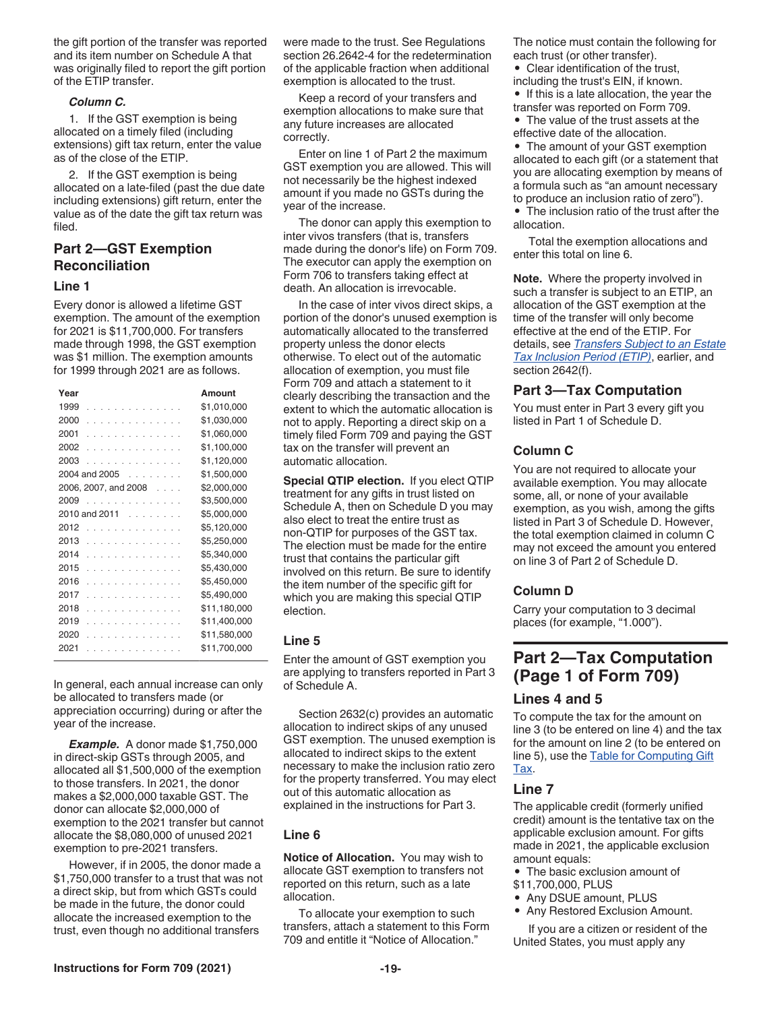the gift portion of the transfer was reported and its item number on Schedule A that was originally filed to report the gift portion of the ETIP transfer.

#### *Column C.*

1. If the GST exemption is being allocated on a timely filed (including extensions) gift tax return, enter the value as of the close of the ETIP.

2. If the GST exemption is being allocated on a late-filed (past the due date including extensions) gift return, enter the value as of the date the gift tax return was filed.

#### **Part 2—GST Exemption Reconciliation**

#### **Line 1**

Every donor is allowed a lifetime GST exemption. The amount of the exemption for 2021 is \$11,700,000. For transfers made through 1998, the GST exemption was \$1 million. The exemption amounts for 1999 through 2021 are as follows.

| Year                                                                                   | Amount       |
|----------------------------------------------------------------------------------------|--------------|
| 1999                                                                                   | \$1,010,000  |
| 2000<br>$\mathbf{r}$<br>÷.<br>J.                                                       | \$1,030,000  |
| 2001<br>÷.<br>ï                                                                        | \$1,060,000  |
| 2002<br>J.<br>i.<br>ï<br>÷.<br>ï<br>ï<br>J.<br>ï                                       | \$1,100,000  |
| 2003<br>$\sim$<br>$\sim$<br>÷.<br>ł.<br>J.<br>÷.<br>÷.<br>J                            | \$1,120,000  |
| 2004 and 2005<br>$\mathbb{R}^2$<br>J.<br>÷.<br>ï<br>ï                                  | \$1,500,000  |
| 2006, 2007, and 2008                                                                   | \$2,000,000  |
| 2009<br>$\overline{a}$<br>$\sim$<br>$\sim$<br>$\sim$<br>$\sim$<br>ï<br>÷.              | \$3,500,000  |
| 2010 and 2011<br>l,<br>÷.<br>ï                                                         | \$5,000,000  |
| 2012<br>÷.<br>$\sim$<br>ł.<br>$\overline{\phantom{a}}$<br>J.<br>÷.<br>ï                | \$5,120,000  |
| 2013<br>$\cdots$<br>$\sim$<br>ï<br>$\overline{\phantom{a}}$<br>÷.<br>ï<br>ï<br>ï<br>ł. | \$5,250,000  |
| 2014<br>J.<br>ï                                                                        | \$5,340,000  |
| 2015<br>÷.                                                                             | \$5,430,000  |
| 2016<br>ł.<br>ł.<br>÷.<br>ï<br>J.<br>ï<br>ï                                            | \$5,450,000  |
| 2017                                                                                   | \$5,490,000  |
| 2018<br>ï<br>÷.<br>ï<br>ï<br>÷.<br>ï                                                   | \$11,180,000 |
| 2019<br>J.                                                                             | \$11,400,000 |
| 2020                                                                                   | \$11,580,000 |
| 2021                                                                                   | \$11,700,000 |

In general, each annual increase can only be allocated to transfers made (or appreciation occurring) during or after the year of the increase.

*Example.* A donor made \$1,750,000 in direct-skip GSTs through 2005, and allocated all \$1,500,000 of the exemption to those transfers. In 2021, the donor makes a \$2,000,000 taxable GST. The donor can allocate \$2,000,000 of exemption to the 2021 transfer but cannot allocate the \$8,080,000 of unused 2021 exemption to pre-2021 transfers.

However, if in 2005, the donor made a \$1,750,000 transfer to a trust that was not a direct skip, but from which GSTs could be made in the future, the donor could allocate the increased exemption to the trust, even though no additional transfers

were made to the trust. See Regulations section 26.2642-4 for the redetermination of the applicable fraction when additional exemption is allocated to the trust.

Keep a record of your transfers and exemption allocations to make sure that any future increases are allocated correctly.

Enter on line 1 of Part 2 the maximum GST exemption you are allowed. This will not necessarily be the highest indexed amount if you made no GSTs during the year of the increase.

The donor can apply this exemption to inter vivos transfers (that is, transfers made during the donor's life) on Form 709. The executor can apply the exemption on Form 706 to transfers taking effect at death. An allocation is irrevocable.

In the case of inter vivos direct skips, a portion of the donor's unused exemption is automatically allocated to the transferred property unless the donor elects otherwise. To elect out of the automatic allocation of exemption, you must file Form 709 and attach a statement to it clearly describing the transaction and the extent to which the automatic allocation is not to apply. Reporting a direct skip on a timely filed Form 709 and paying the GST tax on the transfer will prevent an automatic allocation.

**Special QTIP election.** If you elect QTIP treatment for any gifts in trust listed on Schedule A, then on Schedule D you may also elect to treat the entire trust as non-QTIP for purposes of the GST tax. The election must be made for the entire trust that contains the particular gift involved on this return. Be sure to identify the item number of the specific gift for which you are making this special QTIP election.

#### **Line 5**

Enter the amount of GST exemption you are applying to transfers reported in Part 3 of Schedule A.

Section 2632(c) provides an automatic allocation to indirect skips of any unused GST exemption. The unused exemption is allocated to indirect skips to the extent necessary to make the inclusion ratio zero for the property transferred. You may elect out of this automatic allocation as explained in the instructions for Part 3.

#### **Line 6**

**Notice of Allocation.** You may wish to allocate GST exemption to transfers not reported on this return, such as a late allocation.

To allocate your exemption to such transfers, attach a statement to this Form 709 and entitle it "Notice of Allocation."

The notice must contain the following for each trust (or other transfer).

- Clear identification of the trust,
- including the trust's EIN, if known.
- If this is a late allocation, the year the transfer was reported on Form 709.
- The value of the trust assets at the effective date of the allocation.

• The amount of your GST exemption allocated to each gift (or a statement that you are allocating exemption by means of a formula such as "an amount necessary to produce an inclusion ratio of zero"). • The inclusion ratio of the trust after the allocation.

Total the exemption allocations and enter this total on line 6.

**Note.** Where the property involved in such a transfer is subject to an ETIP, an allocation of the GST exemption at the time of the transfer will only become effective at the end of the ETIP. For details, see *Transfers Subject to an Estate Tax Inclusion Period (ETIP)*, earlier, and section 2642(f).

#### **Part 3—Tax Computation**

You must enter in Part 3 every gift you listed in Part 1 of Schedule D.

#### **Column C**

You are not required to allocate your available exemption. You may allocate some, all, or none of your available exemption, as you wish, among the gifts listed in Part 3 of Schedule D. However, the total exemption claimed in column C may not exceed the amount you entered on line 3 of Part 2 of Schedule D.

#### **Column D**

Carry your computation to 3 decimal places (for example, "1.000").

# **Part 2—Tax Computation (Page 1 of Form 709)**

#### **Lines 4 and 5**

To compute the tax for the amount on line 3 (to be entered on line 4) and the tax for the amount on line 2 (to be entered on line 5), use the Table for Computing Gift Tax.

#### **Line 7**

The applicable credit (formerly unified credit) amount is the tentative tax on the applicable exclusion amount. For gifts made in 2021, the applicable exclusion amount equals:

- The basic exclusion amount of
- \$11,700,000, PLUS
- Any DSUE amount, PLUS
- Any Restored Exclusion Amount.

If you are a citizen or resident of the United States, you must apply any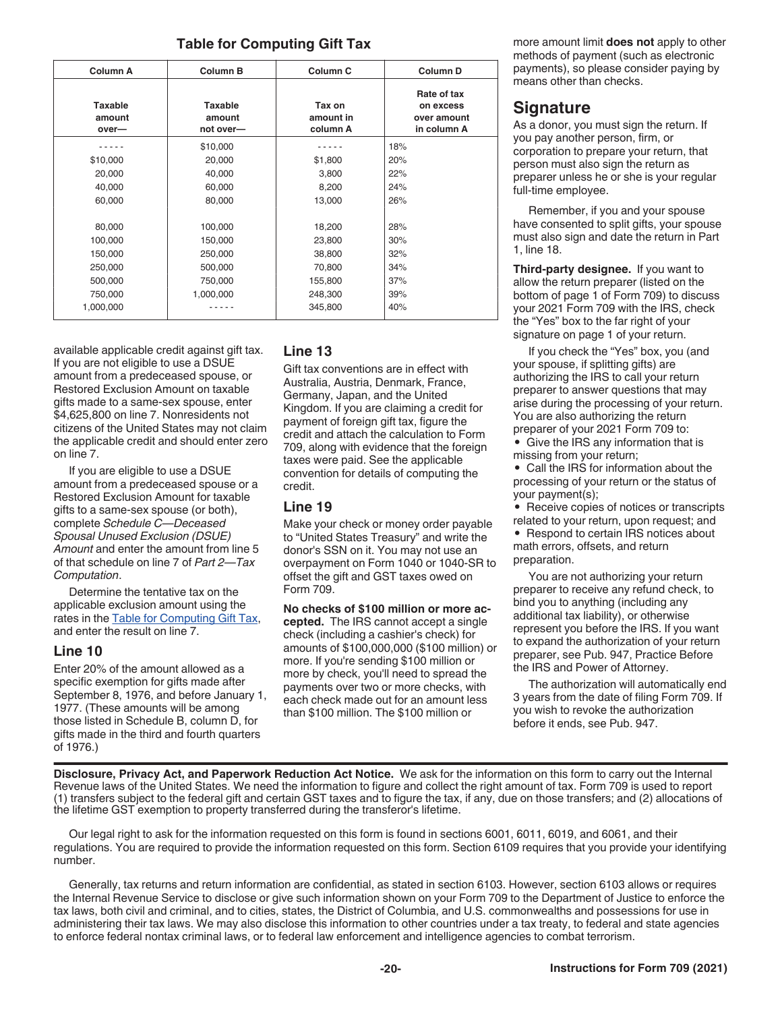## **Table for Computing Gift Tax**

| <b>Column A</b>                   | <b>Column B</b>                       | Column <sub>C</sub>             | <b>Column D</b>                                        |
|-----------------------------------|---------------------------------------|---------------------------------|--------------------------------------------------------|
| <b>Taxable</b><br>amount<br>over- | <b>Taxable</b><br>amount<br>not over- | Tax on<br>amount in<br>column A | Rate of tax<br>on excess<br>over amount<br>in column A |
|                                   | \$10,000                              |                                 | 18%                                                    |
| \$10,000                          | 20,000                                | \$1,800                         | 20%                                                    |
| 20,000                            | 40,000                                | 3,800                           | 22%                                                    |
| 40,000                            | 60,000                                | 8,200                           | 24%                                                    |
| 60,000                            | 80,000                                | 13,000                          | 26%                                                    |
|                                   |                                       |                                 |                                                        |
| 80,000                            | 100,000                               | 18,200                          | 28%                                                    |
| 100,000                           | 150,000                               | 23,800                          | 30%                                                    |
| 150,000                           | 250,000                               | 38,800                          | 32%                                                    |
| 250,000                           | 500,000                               | 70,800                          | 34%                                                    |
| 500,000                           | 750,000                               | 155,800                         | 37%                                                    |
| 750,000                           | 1,000,000                             | 248,300                         | 39%                                                    |
| 1,000,000                         |                                       | 345,800                         | 40%                                                    |

available applicable credit against gift tax. If you are not eligible to use a DSUE amount from a predeceased spouse, or Restored Exclusion Amount on taxable gifts made to a same-sex spouse, enter \$4,625,800 on line 7. Nonresidents not citizens of the United States may not claim the applicable credit and should enter zero on line 7.

If you are eligible to use a DSUE amount from a predeceased spouse or a Restored Exclusion Amount for taxable gifts to a same-sex spouse (or both), complete *Schedule C—Deceased Spousal Unused Exclusion (DSUE) Amount* and enter the amount from line 5 of that schedule on line 7 of *Part 2—Tax Computation*.

Determine the tentative tax on the applicable exclusion amount using the rates in the Table for Computing Gift Tax, and enter the result on line 7.

#### **Line 10**

Enter 20% of the amount allowed as a specific exemption for gifts made after September 8, 1976, and before January 1, 1977. (These amounts will be among those listed in Schedule B, column D, for gifts made in the third and fourth quarters of 1976.)

## **Line 13**

Gift tax conventions are in effect with Australia, Austria, Denmark, France, Germany, Japan, and the United Kingdom. If you are claiming a credit for payment of foreign gift tax, figure the credit and attach the calculation to Form 709, along with evidence that the foreign taxes were paid. See the applicable convention for details of computing the credit.

#### **Line 19**

Make your check or money order payable to "United States Treasury" and write the donor's SSN on it. You may not use an overpayment on Form 1040 or 1040-SR to offset the gift and GST taxes owed on Form 709.

**No checks of \$100 million or more accepted.** The IRS cannot accept a single check (including a cashier's check) for amounts of \$100,000,000 (\$100 million) or more. If you're sending \$100 million or more by check, you'll need to spread the payments over two or more checks, with each check made out for an amount less than \$100 million. The \$100 million or

more amount limit **does not** apply to other methods of payment (such as electronic payments), so please consider paying by means other than checks.

# **Signature**

As a donor, you must sign the return. If you pay another person, firm, or corporation to prepare your return, that person must also sign the return as preparer unless he or she is your regular full-time employee.

Remember, if you and your spouse have consented to split gifts, your spouse must also sign and date the return in Part 1, line 18.

**Third-party designee.** If you want to allow the return preparer (listed on the bottom of page 1 of Form 709) to discuss your 2021 Form 709 with the IRS, check the "Yes" box to the far right of your signature on page 1 of your return.

If you check the "Yes" box, you (and your spouse, if splitting gifts) are authorizing the IRS to call your return preparer to answer questions that may arise during the processing of your return. You are also authorizing the return preparer of your 2021 Form 709 to:

• Give the IRS any information that is missing from your return;

• Call the IRS for information about the processing of your return or the status of your payment(s);

• Receive copies of notices or transcripts

related to your return, upon request; and • Respond to certain IRS notices about math errors, offsets, and return

preparation.

You are not authorizing your return preparer to receive any refund check, to bind you to anything (including any additional tax liability), or otherwise represent you before the IRS. If you want to expand the authorization of your return preparer, see Pub. 947, Practice Before the IRS and Power of Attorney.

The authorization will automatically end 3 years from the date of filing Form 709. If you wish to revoke the authorization before it ends, see Pub. 947.

**Disclosure, Privacy Act, and Paperwork Reduction Act Notice.** We ask for the information on this form to carry out the Internal Revenue laws of the United States. We need the information to figure and collect the right amount of tax. Form 709 is used to report (1) transfers subject to the federal gift and certain GST taxes and to figure the tax, if any, due on those transfers; and (2) allocations of the lifetime GST exemption to property transferred during the transferor's lifetime.

Our legal right to ask for the information requested on this form is found in sections 6001, 6011, 6019, and 6061, and their regulations. You are required to provide the information requested on this form. Section 6109 requires that you provide your identifying number.

Generally, tax returns and return information are confidential, as stated in section 6103. However, section 6103 allows or requires the Internal Revenue Service to disclose or give such information shown on your Form 709 to the Department of Justice to enforce the tax laws, both civil and criminal, and to cities, states, the District of Columbia, and U.S. commonwealths and possessions for use in administering their tax laws. We may also disclose this information to other countries under a tax treaty, to federal and state agencies to enforce federal nontax criminal laws, or to federal law enforcement and intelligence agencies to combat terrorism.